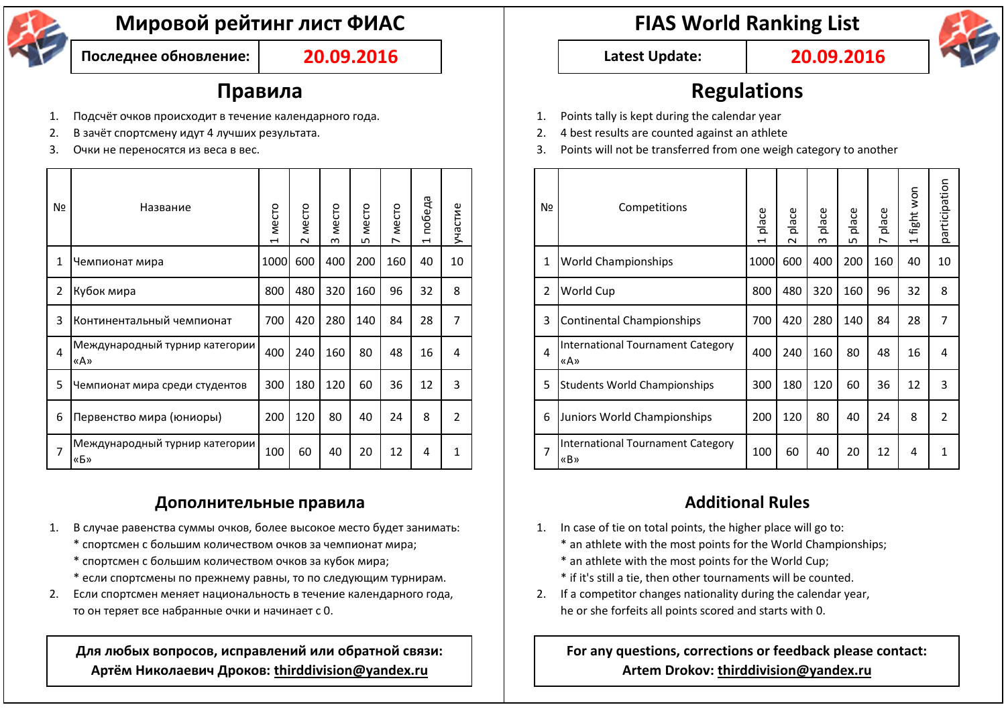

# **Мировой рейтинг лист ФИАС FIAS World Ranking List**

**Последнее обновление: 20.09.2016 Latest Update: 20.09.2016**

- 1. Подсчёт очков происходит в течение календарного года. 1. Points tally is kept during the calendar year
- 2. В зачёт спортсмену идут 4 лучших результата. 2. 4 best results are counted against an athlete
- 

| Nº             | Название                              | C<br>ě<br>↤ | Mecro<br>$\sim$ | Mecro<br>m | Mecro<br>ഗ | Mecro<br>$\overline{\phantom{0}}$ | победа<br>$\overline{\phantom{0}}$ | астие<br>Ĵ<br>↘ |  | Nº             | Competitions                             | place<br>↽ | place<br>$\sim$ | place<br>m | place<br>ഗ | place<br>↖ | won<br>fight<br>$\overline{\phantom{0}}$ |              |
|----------------|---------------------------------------|-------------|-----------------|------------|------------|-----------------------------------|------------------------------------|-----------------|--|----------------|------------------------------------------|------------|-----------------|------------|------------|------------|------------------------------------------|--------------|
|                | Немпионат мира                        | 1000        | 600             | 400        | 200        | 160                               | 40                                 | 10              |  |                | <b>World Championships</b>               |            | 1000 600        | 400        | 200        | 160        | 40                                       | $\mathbf{1}$ |
|                | 2 Кубок мира                          | 800         | 480             | 320        | 160        | 96                                | 32                                 | 8               |  | 2              | <b>World Cup</b>                         | 800        | 480             | 320        | 160        | 96         | 32                                       | 8            |
|                | 3 Континентальный чемпионат           | 700         | 420             | 280        | 140        | 84                                | 28                                 | $\overline{7}$  |  | 3              | Continental Championships                | 700        | 420             | 280        | 140        | 84         | 28                                       |              |
| $\overline{4}$ | Международный турнир категории<br>«A» | 400         | 240             | 160        | 80         | 48                                | 16                                 | 4               |  | $\overline{a}$ | International Tournament Category<br>«A» | 400        | 240             | 160        | 80         | 48         | 16                                       | 4            |
| 5              | Чемпионат мира среди студентов        | 300         | 180             | 120        | 60         | 36                                | 12                                 | 3               |  | 5              | Students World Championships             | 300        | 180             | 120        | 60         | 36         | 12                                       | 3            |
|                | 6 Первенство мира (юниоры)            | 200         | 120             | 80         | 40         | 24                                | 8                                  | 2               |  | 6              | Juniors World Championships              | 200        | 120             | 80         | 40         | 24         | 8                                        |              |
| $\overline{7}$ | Международный турнир категории<br>«Б» | 100         | 60              | 40         | 20         | 12                                | 4                                  | 1               |  | $\overline{7}$ | International Tournament Category<br>«B» | 100        | 60              | 40         | 20         | 12         | 4                                        |              |

## **Дополнительные правила Additional Rules**

- 1. В случае равенства суммы очков, более высокое место будет занимать: 1. In case of tie on total points, the higher place will go to:
	- \* спортсмен с большим количеством очков за чемпионат мира;  $\blacksquare$  \* an athlete with the most points for the World Championships;
	- $*$  спортсмен с большим количеством очков за кубок мира;  $*$  an athlete with the most points for the World Cup;
	- \* если спортсмены по прежнему равны, то по следующим турнирам. <br>  $\qquad \qquad$  if it's still a tie, then other tournaments will be counted.
- 2. Если спортсмен меняет национальность в течение календарного года, 2. If a competitor changes nationality during the calendar year, то он теряет все набранные очки и начинает с 0. he or she forfeits all points scored and starts with 0.

**Для любых вопросов, исправлений или обратной связи: Артём Николаевич Дроков: thirddivision@yandex.ru**



## **Правила Regulations**

- 
- 
- 3. Очки не переносятся из веса в вес. 3. Points will not be transferred from one weigh category to another

| ]ہ | Название                              | Mecro<br>H | Mecro<br>$\sim$ | Mecro<br>$\infty$ | Mecro<br>LN. | Mecro | победа<br>$\overline{\phantom{0}}$ | стие<br>᠊ᢆ |  | Nº             | Competitions                                    | ace<br>호<br>ᆏ | place<br>$\sim$ | place<br>$\infty$ | place<br>ഥ | place | NON<br>fight<br>$\overline{\phantom{0}}$ | participation |
|----|---------------------------------------|------------|-----------------|-------------------|--------------|-------|------------------------------------|------------|--|----------------|-------------------------------------------------|---------------|-----------------|-------------------|------------|-------|------------------------------------------|---------------|
|    | Чемпионат мира                        | 1000 600   |                 | 400               | 200          | 160   | 40                                 | 10         |  |                | <b>World Championships</b>                      | 1000 600      |                 | 400               | 200        | 160   | 40                                       | 10            |
|    | 2 Кубок мира                          | 800        | 480             | 320               | 160          | 96    | 32                                 | 8          |  | $\overline{2}$ | <b>World Cup</b>                                | 800           | 480             | 320               | 160        | 96    | 32                                       | 8             |
|    | 3 Ионтинентальный чемпионат           | 700        | 420             | 280               | 140          | 84    | 28                                 | 7          |  | 3              | Continental Championships                       | 700           | 420             | 280               | 140        | 84    | 28                                       |               |
| 4  | Международный турнир категории<br>«A» | 400        | 240             | 160               | 80           | 48    | 16                                 | 4          |  | 4              | International Tournament Category<br>«A»        | 400           | 240             | 160               | 80         | 48    | 16                                       | 4             |
|    | 5  Чемпионат мира среди студентов     | 300        | 180             | 120               | 60           | 36    | 12                                 | 3          |  | 5              | <b>Students World Championships</b>             | 300           | 180             | 120               | 60         | 36    | 12                                       | 3             |
|    | 6 Первенство мира (юниоры)            | 200        | 120             | 80                | 40           | 24    | 8                                  | 2          |  | 6              | Juniors World Championships                     | 200           | 120             | 80                | 40         | 24    | 8                                        |               |
|    | Международный турнир категории<br>«Б» | 100        | 60              | 40                | 20           | 12    | 4                                  |            |  | $\overline{7}$ | <b>International Tournament Category</b><br>«B» | 100           | 60              | 40                | 20         | 12    | 4                                        |               |

- -
	-
	-
- 

### **For any questions, corrections or feedback please contact: Artem Drokov: thirddivision@yandex.ru**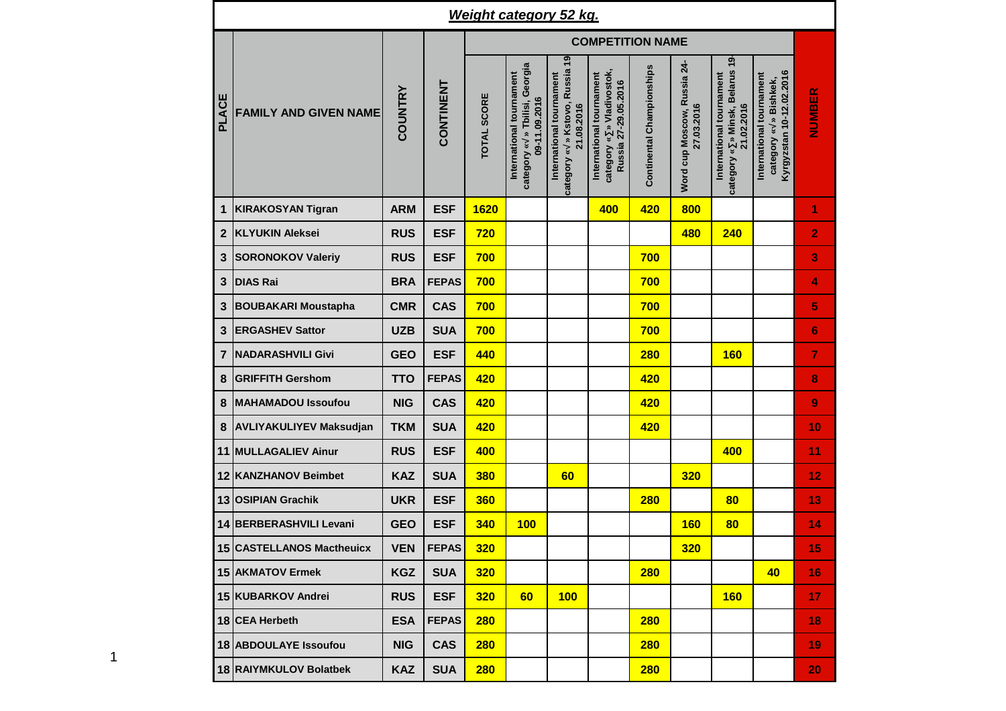|              |                                |            |              |                    |                                                                            | <b>Weight category 52 kg.</b>                                            |                                                                               |                           |                                           |                                                                             |                                                                                  |                |
|--------------|--------------------------------|------------|--------------|--------------------|----------------------------------------------------------------------------|--------------------------------------------------------------------------|-------------------------------------------------------------------------------|---------------------------|-------------------------------------------|-----------------------------------------------------------------------------|----------------------------------------------------------------------------------|----------------|
|              |                                |            |              |                    |                                                                            |                                                                          | <b>COMPETITION NAME</b>                                                       |                           |                                           |                                                                             |                                                                                  |                |
| PLACE        | <b>FAMILY AND GIVEN NAME</b>   | COUNTRY    | CONTINENT    | <b>TOTAL SCORE</b> | category « » Tbilisi, Georgia<br>International tournament<br>09-11.09.2016 | category « » Kstovo, Russia 19<br>International tournament<br>21.08.2016 | category « » Vladivostok,<br>International tournament<br>Russia 27-29.05.2016 | Continental Championships | Word cup Moscow, Russia 24-<br>27.03.2016 | » Minsk, Belarus 19<br>International tournament<br>21.02.2016<br>category « | Kyrgyzstan 10-12.02.2016<br>International tournament<br>» Bishkek,<br>category « | NUMBER         |
| 1            | <b>KIRAKOSYAN Tigran</b>       | <b>ARM</b> | <b>ESF</b>   | 1620               |                                                                            |                                                                          | 400                                                                           | 420                       | 800                                       |                                                                             |                                                                                  | 1              |
| $\mathbf{2}$ | <b>KLYUKIN Aleksei</b>         | <b>RUS</b> | <b>ESF</b>   | 720                |                                                                            |                                                                          |                                                                               |                           | 480                                       | 240                                                                         |                                                                                  | $\overline{2}$ |
| 3            | <b>SORONOKOV Valeriy</b>       | <b>RUS</b> | <b>ESF</b>   | 700                |                                                                            |                                                                          |                                                                               | 700                       |                                           |                                                                             |                                                                                  | 3              |
| 3            | <b>DIAS Rai</b>                | <b>BRA</b> | <b>FEPAS</b> | 700                |                                                                            |                                                                          |                                                                               | 700                       |                                           |                                                                             |                                                                                  | 4              |
| 3            | <b>BOUBAKARI Moustapha</b>     | <b>CMR</b> | <b>CAS</b>   | 700                |                                                                            |                                                                          |                                                                               | 700                       |                                           |                                                                             |                                                                                  | 5              |
| 3            | <b>ERGASHEV Sattor</b>         | <b>UZB</b> | <b>SUA</b>   | 700                |                                                                            |                                                                          |                                                                               | 700                       |                                           |                                                                             |                                                                                  | 6              |
| 7            | <b>NADARASHVILI Givi</b>       | <b>GEO</b> | <b>ESF</b>   | 440                |                                                                            |                                                                          |                                                                               | <b>280</b>                |                                           | <b>160</b>                                                                  |                                                                                  | 7              |
| 8            | <b>GRIFFITH Gershom</b>        | <b>TTO</b> | <b>FEPAS</b> | 420                |                                                                            |                                                                          |                                                                               | 420                       |                                           |                                                                             |                                                                                  | 8              |
| 8            | <b>MAHAMADOU Issoufou</b>      | <b>NIG</b> | <b>CAS</b>   | 420                |                                                                            |                                                                          |                                                                               | 420                       |                                           |                                                                             |                                                                                  | 9              |
| 8            | <b>AVLIYAKULIYEV Maksudjan</b> | <b>TKM</b> | <b>SUA</b>   | 420                |                                                                            |                                                                          |                                                                               | 420                       |                                           |                                                                             |                                                                                  | 10             |
|              | 11 MULLAGALIEV Ainur           | <b>RUS</b> | <b>ESF</b>   | 400                |                                                                            |                                                                          |                                                                               |                           |                                           | 400                                                                         |                                                                                  | 11             |
|              | 12 KANZHANOV Beimbet           | <b>KAZ</b> | <b>SUA</b>   | 380                |                                                                            | 60                                                                       |                                                                               |                           | 320                                       |                                                                             |                                                                                  | 12             |
|              | 13 OSIPIAN Grachik             | <b>UKR</b> | <b>ESF</b>   | 360                |                                                                            |                                                                          |                                                                               | 280                       |                                           | 80                                                                          |                                                                                  | 13             |
|              | 14 BERBERASHVILI Levani        | <b>GEO</b> | <b>ESF</b>   | 340                | 100                                                                        |                                                                          |                                                                               |                           | <b>160</b>                                | 80                                                                          |                                                                                  | 14             |
|              | 15 CASTELLANOS Mactheuicx      | <b>VEN</b> | <b>FEPAS</b> | <b>320</b>         |                                                                            |                                                                          |                                                                               |                           | <b>320</b>                                |                                                                             |                                                                                  | 15             |
|              | 15 AKMATOV Ermek               | <b>KGZ</b> | <b>SUA</b>   | <b>320</b>         |                                                                            |                                                                          |                                                                               | <b>280</b>                |                                           |                                                                             | 40                                                                               | 16             |
|              | 15 KUBARKOV Andrei             | <b>RUS</b> | <b>ESF</b>   | <b>320</b>         | 60                                                                         | 100                                                                      |                                                                               |                           |                                           | <b>160</b>                                                                  |                                                                                  | 17             |
|              | 18 CEA Herbeth                 | <b>ESA</b> | <b>FEPAS</b> | <b>280</b>         |                                                                            |                                                                          |                                                                               | <b>280</b>                |                                           |                                                                             |                                                                                  | 18             |
|              | 18 ABDOULAYE Issoufou          | <b>NIG</b> | <b>CAS</b>   | <b>280</b>         |                                                                            |                                                                          |                                                                               | <b>280</b>                |                                           |                                                                             |                                                                                  | 19             |
|              | 18 RAIYMKULOV Bolatbek         | <b>KAZ</b> | <b>SUA</b>   | <b>280</b>         |                                                                            |                                                                          |                                                                               | <b>280</b>                |                                           |                                                                             |                                                                                  | 20             |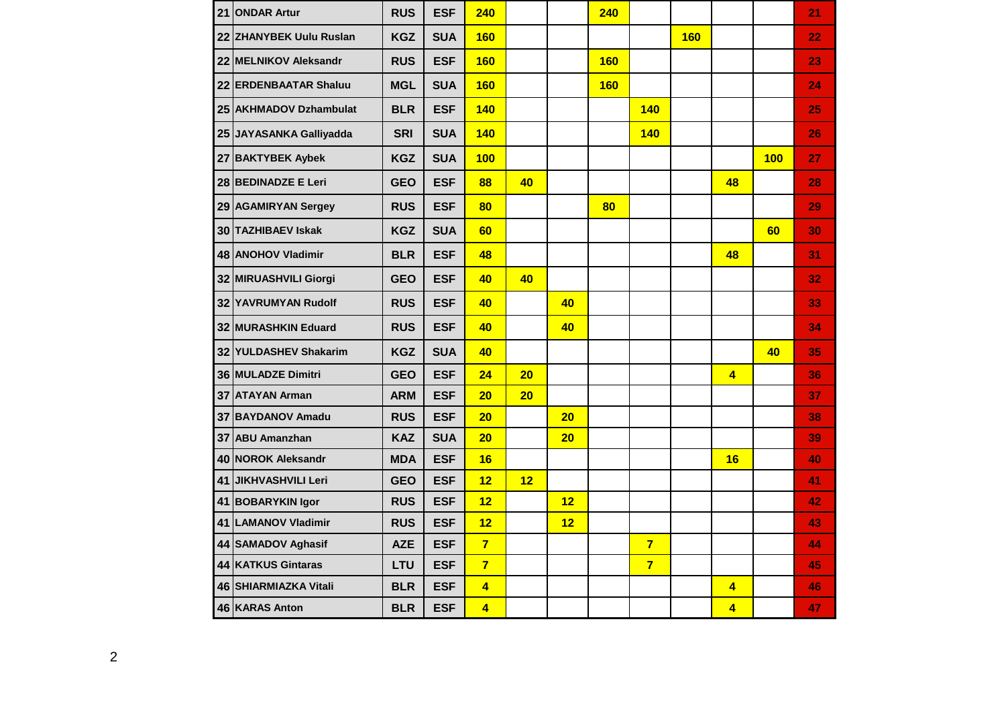| 21 ONDAR Artur            | <b>RUS</b> | <b>ESF</b> | 240                     |    |    | 240        |                |            |                         |            | 21 |
|---------------------------|------------|------------|-------------------------|----|----|------------|----------------|------------|-------------------------|------------|----|
| 22 ZHANYBEK Uulu Ruslan   | <b>KGZ</b> | <b>SUA</b> | <b>160</b>              |    |    |            |                | <b>160</b> |                         |            | 22 |
| 22 MELNIKOV Aleksandr     | <b>RUS</b> | <b>ESF</b> | <b>160</b>              |    |    | <b>160</b> |                |            |                         |            | 23 |
| 22 ERDENBAATAR Shaluu     | <b>MGL</b> | <b>SUA</b> | <b>160</b>              |    |    | <b>160</b> |                |            |                         |            | 24 |
| 25 AKHMADOV Dzhambulat    | <b>BLR</b> | <b>ESF</b> | <b>140</b>              |    |    |            | 140            |            |                         |            | 25 |
| 25 JAYASANKA Galliyadda   | <b>SRI</b> | <b>SUA</b> | 140                     |    |    |            | <b>140</b>     |            |                         |            | 26 |
| 27 BAKTYBEK Aybek         | <b>KGZ</b> | <b>SUA</b> | <b>100</b>              |    |    |            |                |            |                         | <b>100</b> | 27 |
| 28 BEDINADZE E Leri       | <b>GEO</b> | <b>ESF</b> | 88                      | 40 |    |            |                |            | 48                      |            | 28 |
| 29 AGAMIRYAN Sergey       | <b>RUS</b> | <b>ESF</b> | 80                      |    |    | 80         |                |            |                         |            | 29 |
| 30 TAZHIBAEV Iskak        | <b>KGZ</b> | <b>SUA</b> | 60                      |    |    |            |                |            |                         | 60         | 30 |
| <b>48 ANOHOV Vladimir</b> | <b>BLR</b> | <b>ESF</b> | 48                      |    |    |            |                |            | 48                      |            | 31 |
| 32 MIRUASHVILI Giorgi     | <b>GEO</b> | <b>ESF</b> | 40                      | 40 |    |            |                |            |                         |            | 32 |
| 32 YAVRUMYAN Rudolf       | <b>RUS</b> | <b>ESF</b> | 40                      |    | 40 |            |                |            |                         |            | 33 |
| 32 MURASHKIN Eduard       | <b>RUS</b> | <b>ESF</b> | 40                      |    | 40 |            |                |            |                         |            | 34 |
| 32 YULDASHEV Shakarim     | <b>KGZ</b> | <b>SUA</b> | 40                      |    |    |            |                |            |                         | 40         | 35 |
| 36 MULADZE Dimitri        | <b>GEO</b> | <b>ESF</b> | 24                      | 20 |    |            |                |            | $\overline{\mathbf{4}}$ |            | 36 |
| 37 ATAYAN Arman           | <b>ARM</b> | <b>ESF</b> | 20                      | 20 |    |            |                |            |                         |            | 37 |
| 37 BAYDANOV Amadu         | <b>RUS</b> | <b>ESF</b> | 20                      |    | 20 |            |                |            |                         |            | 38 |
| 37 ABU Amanzhan           | <b>KAZ</b> | <b>SUA</b> | 20                      |    | 20 |            |                |            |                         |            | 39 |
| 40 NOROK Aleksandr        | <b>MDA</b> | <b>ESF</b> | 16                      |    |    |            |                |            | 16                      |            | 40 |
| 41 JIKHVASHVILI Leri      | <b>GEO</b> | <b>ESF</b> | 12                      | 12 |    |            |                |            |                         |            | 41 |
| 41 BOBARYKIN Igor         | <b>RUS</b> | <b>ESF</b> | 12                      |    | 12 |            |                |            |                         |            | 42 |
| 41 LAMANOV Vladimir       | <b>RUS</b> | <b>ESF</b> | 12                      |    | 12 |            |                |            |                         |            | 43 |
| 44 SAMADOV Aghasif        | <b>AZE</b> | <b>ESF</b> | $\overline{7}$          |    |    |            | $\overline{7}$ |            |                         |            | 44 |
| 44 KATKUS Gintaras        | LTU        | <b>ESF</b> | $\overline{7}$          |    |    |            | $\overline{7}$ |            |                         |            | 45 |
| 46 SHIARMIAZKA Vitali     | <b>BLR</b> | <b>ESF</b> | $\overline{\mathbf{4}}$ |    |    |            |                |            | $\overline{\mathbf{4}}$ |            | 46 |
| 46 KARAS Anton            | <b>BLR</b> | <b>ESF</b> | $\overline{\mathbf{4}}$ |    |    |            |                |            | $\overline{\mathbf{4}}$ |            | 47 |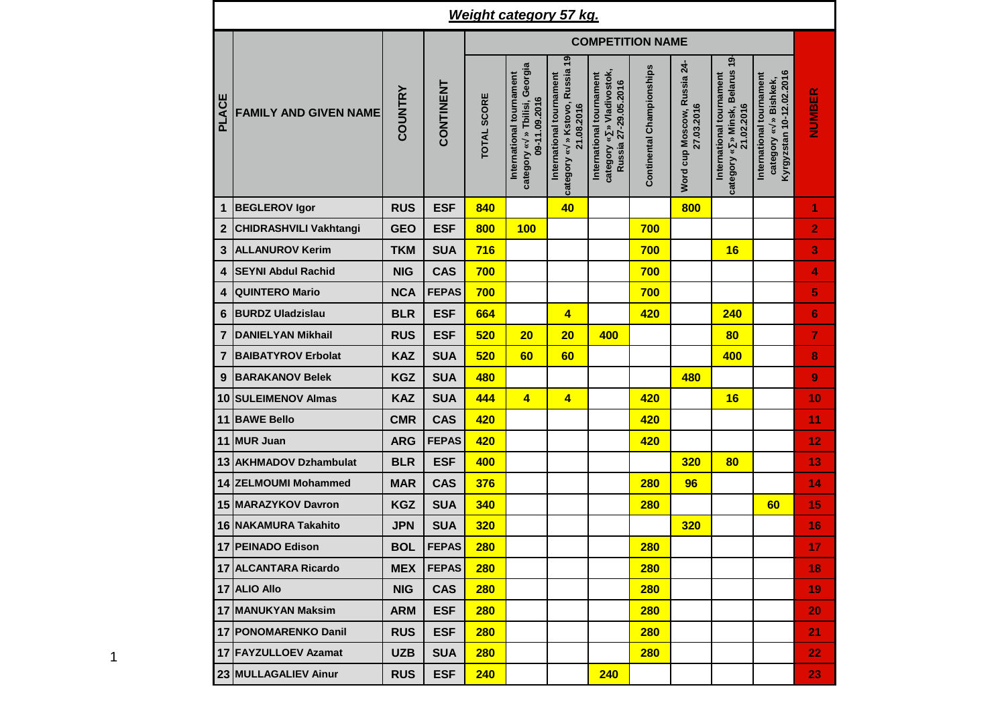|                  |                               |                |              |                    |                                                                            | Weight category 57 kg.                                                   |                                                                               |                           |                                           |                                                                           |                                                                                  |                         |
|------------------|-------------------------------|----------------|--------------|--------------------|----------------------------------------------------------------------------|--------------------------------------------------------------------------|-------------------------------------------------------------------------------|---------------------------|-------------------------------------------|---------------------------------------------------------------------------|----------------------------------------------------------------------------------|-------------------------|
|                  |                               |                |              |                    |                                                                            |                                                                          | <b>COMPETITION NAME</b>                                                       |                           |                                           |                                                                           |                                                                                  |                         |
| <b>PLACE</b>     | <b>FAMILY AND GIVEN NAME</b>  | <b>COUNTRY</b> | CONTINENT    | <b>TOTAL SCORE</b> | category « » Tbilisi, Georgia<br>International tournament<br>09-11.09.2016 | category « » Kstovo, Russia 19<br>International tournament<br>21.08.2016 | category « » Vladivostok,<br>International tournament<br>Russia 27-29.05.2016 | Continental Championships | Word cup Moscow, Russia 24-<br>27.03.2016 | category « » Minsk, Belarus 19-<br>International tournament<br>21.02.2016 | Kyrgyzstan 10-12.02.2016<br>International tournament<br>» Bishkek,<br>category « | NUMBER                  |
| 1                | <b>BEGLEROV Igor</b>          | <b>RUS</b>     | <b>ESF</b>   | 840                |                                                                            | 40                                                                       |                                                                               |                           | 800                                       |                                                                           |                                                                                  | 1                       |
| $\boldsymbol{2}$ | <b>CHIDRASHVILI Vakhtangi</b> | <b>GEO</b>     | <b>ESF</b>   | 800                | 100                                                                        |                                                                          |                                                                               | 700                       |                                           |                                                                           |                                                                                  | $\overline{\mathbf{2}}$ |
| 3                | <b>ALLANUROV Kerim</b>        | <b>TKM</b>     | <b>SUA</b>   | 716                |                                                                            |                                                                          |                                                                               | 700                       |                                           | 16                                                                        |                                                                                  | 3                       |
| 4                | <b>SEYNI Abdul Rachid</b>     | <b>NIG</b>     | <b>CAS</b>   | 700                |                                                                            |                                                                          |                                                                               | 700                       |                                           |                                                                           |                                                                                  | 4                       |
| 4                | <b>QUINTERO Mario</b>         | <b>NCA</b>     | <b>FEPAS</b> | 700                |                                                                            |                                                                          |                                                                               | 700                       |                                           |                                                                           |                                                                                  | 5                       |
| 6                | <b>BURDZ Uladzislau</b>       | <b>BLR</b>     | <b>ESF</b>   | 664                |                                                                            | 4                                                                        |                                                                               | 420                       |                                           | 240                                                                       |                                                                                  | 6                       |
| 7                | <b>DANIELYAN Mikhail</b>      | <b>RUS</b>     | <b>ESF</b>   | 520                | 20                                                                         | 20                                                                       | 400                                                                           |                           |                                           | 80                                                                        |                                                                                  | 7                       |
| 7                | <b>BAIBATYROV Erbolat</b>     | <b>KAZ</b>     | <b>SUA</b>   | 520                | 60                                                                         | 60                                                                       |                                                                               |                           |                                           | 400                                                                       |                                                                                  | 8                       |
| 9                | <b>BARAKANOV Belek</b>        | <b>KGZ</b>     | <b>SUA</b>   | 480                |                                                                            |                                                                          |                                                                               |                           | 480                                       |                                                                           |                                                                                  | 9                       |
| 10               | <b>SULEIMENOV Almas</b>       | <b>KAZ</b>     | <b>SUA</b>   | 444                | 4                                                                          | $\overline{\mathbf{4}}$                                                  |                                                                               | 420                       |                                           | 16                                                                        |                                                                                  | 10                      |
| 11               | <b>BAWE Bello</b>             | <b>CMR</b>     | <b>CAS</b>   | 420                |                                                                            |                                                                          |                                                                               | 420                       |                                           |                                                                           |                                                                                  | 11                      |
| 11               | <b>MUR Juan</b>               | <b>ARG</b>     | <b>FEPAS</b> | 420                |                                                                            |                                                                          |                                                                               | 420                       |                                           |                                                                           |                                                                                  | 12                      |
| 13               | <b>AKHMADOV Dzhambulat</b>    | <b>BLR</b>     | <b>ESF</b>   | 400                |                                                                            |                                                                          |                                                                               |                           | 320                                       | 80                                                                        |                                                                                  | 13                      |
|                  | 14 ZELMOUMI Mohammed          | <b>MAR</b>     | <b>CAS</b>   | 376                |                                                                            |                                                                          |                                                                               | <b>280</b>                | 96                                        |                                                                           |                                                                                  | 14                      |
|                  | 15 MARAZYKOV Davron           | <b>KGZ</b>     | <b>SUA</b>   | 340                |                                                                            |                                                                          |                                                                               | <b>280</b>                |                                           |                                                                           | 60                                                                               | 15                      |
|                  | <b>16 INAKAMURA Takahito</b>  | <b>JPN</b>     | <b>SUA</b>   | <b>320</b>         |                                                                            |                                                                          |                                                                               |                           | 320                                       |                                                                           |                                                                                  | 16                      |
|                  | 17 PEINADO Edison             | <b>BOL</b>     | <b>FEPAS</b> | <b>280</b>         |                                                                            |                                                                          |                                                                               | <b>280</b>                |                                           |                                                                           |                                                                                  | 17                      |
|                  | 17 ALCANTARA Ricardo          | <b>MEX</b>     | <b>FEPAS</b> | 280                |                                                                            |                                                                          |                                                                               | <b>280</b>                |                                           |                                                                           |                                                                                  | 18                      |
|                  | 17 ALIO Allo                  | <b>NIG</b>     | <b>CAS</b>   | 280                |                                                                            |                                                                          |                                                                               | 280                       |                                           |                                                                           |                                                                                  | 19                      |
|                  | <b>17 MANUKYAN Maksim</b>     | <b>ARM</b>     | <b>ESF</b>   | 280                |                                                                            |                                                                          |                                                                               | 280                       |                                           |                                                                           |                                                                                  | 20                      |
|                  | 17 PONOMARENKO Danil          | <b>RUS</b>     | <b>ESF</b>   | 280                |                                                                            |                                                                          |                                                                               | 280                       |                                           |                                                                           |                                                                                  | 21                      |
|                  | 17 FAYZULLOEV Azamat          | <b>UZB</b>     | <b>SUA</b>   | 280                |                                                                            |                                                                          |                                                                               | 280                       |                                           |                                                                           |                                                                                  | 22                      |
|                  | 23 MULLAGALIEV Ainur          | <b>RUS</b>     | <b>ESF</b>   | 240                |                                                                            |                                                                          | 240                                                                           |                           |                                           |                                                                           |                                                                                  | 23                      |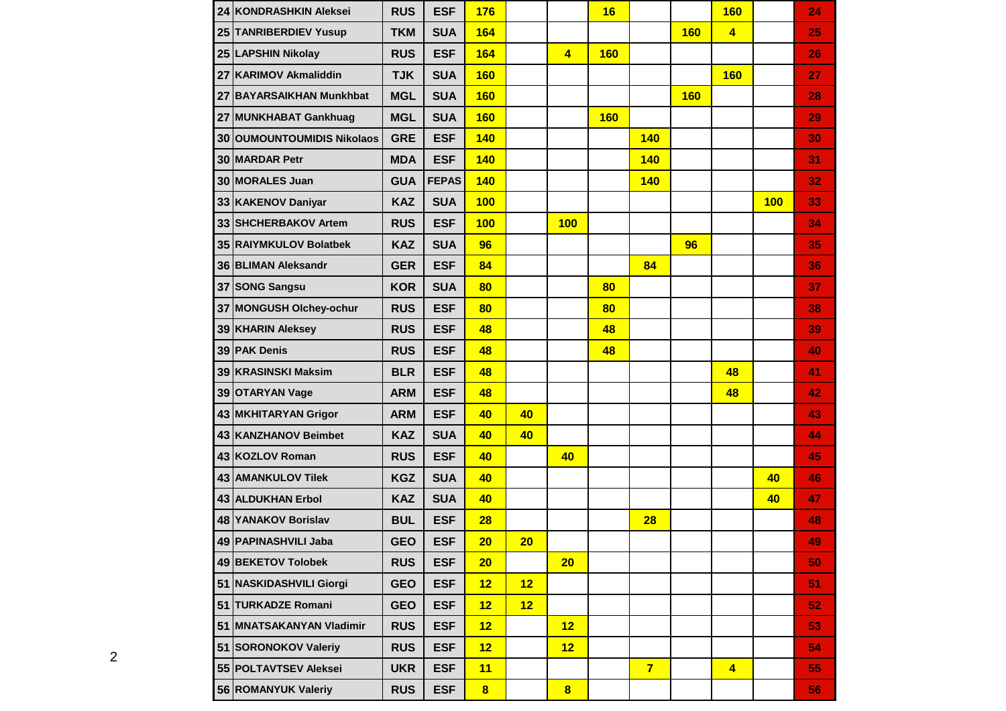|    | 24 KONDRASHKIN Aleksei       | <b>RUS</b> | <b>ESF</b>   | 176                     |    |                         | 16         |                |            | <b>160</b>              |     | 24 |
|----|------------------------------|------------|--------------|-------------------------|----|-------------------------|------------|----------------|------------|-------------------------|-----|----|
|    | 25 TANRIBERDIEV Yusup        | <b>TKM</b> | <b>SUA</b>   | 164                     |    |                         |            |                | <b>160</b> | $\overline{4}$          |     | 25 |
|    | 25 LAPSHIN Nikolay           | <b>RUS</b> | <b>ESF</b>   | 164                     |    | $\overline{4}$          | <b>160</b> |                |            |                         |     | 26 |
| 27 | <b>KARIMOV Akmaliddin</b>    | <b>TJK</b> | <b>SUA</b>   | <b>160</b>              |    |                         |            |                |            | <b>160</b>              |     | 27 |
| 27 | <b>BAYARSAIKHAN Munkhbat</b> | <b>MGL</b> | <b>SUA</b>   | <b>160</b>              |    |                         |            |                | <b>160</b> |                         |     | 28 |
|    | 27 MUNKHABAT Gankhuag        | <b>MGL</b> | <b>SUA</b>   | <b>160</b>              |    |                         | <b>160</b> |                |            |                         |     | 29 |
|    | 30 OUMOUNTOUMIDIS Nikolaos   | <b>GRE</b> | <b>ESF</b>   | 140                     |    |                         |            | <b>140</b>     |            |                         |     | 30 |
|    | 30 MARDAR Petr               | <b>MDA</b> | <b>ESF</b>   | <b>140</b>              |    |                         |            | <b>140</b>     |            |                         |     | 31 |
|    | 30 MORALES Juan              | <b>GUA</b> | <b>FEPAS</b> | 140                     |    |                         |            | <b>140</b>     |            |                         |     | 32 |
|    | 33 KAKENOV Daniyar           | <b>KAZ</b> | <b>SUA</b>   | 100                     |    |                         |            |                |            |                         | 100 | 33 |
| 33 | <b>SHCHERBAKOV Artem</b>     | <b>RUS</b> | <b>ESF</b>   | 100                     |    | 100                     |            |                |            |                         |     | 34 |
|    | 35 RAIYMKULOV Bolatbek       | <b>KAZ</b> | <b>SUA</b>   | 96                      |    |                         |            |                | 96         |                         |     | 35 |
|    | 36 BLIMAN Aleksandr          | <b>GER</b> | <b>ESF</b>   | 84                      |    |                         |            | 84             |            |                         |     | 36 |
|    | 37 SONG Sangsu               | <b>KOR</b> | <b>SUA</b>   | 80                      |    |                         | 80         |                |            |                         |     | 37 |
| 37 | <b>MONGUSH Olchey-ochur</b>  | <b>RUS</b> | <b>ESF</b>   | 80                      |    |                         | 80         |                |            |                         |     | 38 |
|    | 39 KHARIN Aleksey            | <b>RUS</b> | <b>ESF</b>   | 48                      |    |                         | 48         |                |            |                         |     | 39 |
|    | 39 PAK Denis                 | <b>RUS</b> | <b>ESF</b>   | 48                      |    |                         | 48         |                |            |                         |     | 40 |
|    | 39 KRASINSKI Maksim          | <b>BLR</b> | <b>ESF</b>   | 48                      |    |                         |            |                |            | 48                      |     | 41 |
|    | 39 OTARYAN Vage              | <b>ARM</b> | <b>ESF</b>   | 48                      |    |                         |            |                |            | 48                      |     | 42 |
|    | 43 MKHITARYAN Grigor         | <b>ARM</b> | <b>ESF</b>   | 40                      | 40 |                         |            |                |            |                         |     | 43 |
|    | 43 KANZHANOV Beimbet         | <b>KAZ</b> | <b>SUA</b>   | 40                      | 40 |                         |            |                |            |                         |     | 44 |
|    | 43 KOZLOV Roman              | <b>RUS</b> | <b>ESF</b>   | 40                      |    | 40                      |            |                |            |                         |     | 45 |
|    | 43 AMANKULOV Tilek           | <b>KGZ</b> | <b>SUA</b>   | 40                      |    |                         |            |                |            |                         | 40  | 46 |
|    | <b>43 ALDUKHAN Erbol</b>     | <b>KAZ</b> | <b>SUA</b>   | 40                      |    |                         |            |                |            |                         | 40  | 47 |
|    | <b>48 YANAKOV Borislav</b>   | <b>BUL</b> | <b>ESF</b>   | 28                      |    |                         |            | 28             |            |                         |     | 48 |
|    | 49 PAPINASHVILI Jaba         | <b>GEO</b> | <b>ESF</b>   | 20                      | 20 |                         |            |                |            |                         |     | 49 |
|    | 49 BEKETOV Tolobek           | <b>RUS</b> | <b>ESF</b>   | 20                      |    | 20                      |            |                |            |                         |     | 50 |
|    | 51 NASKIDASHVILI Giorgi      | <b>GEO</b> | <b>ESF</b>   | 12                      | 12 |                         |            |                |            |                         |     | 51 |
|    | 51 TURKADZE Romani           | <b>GEO</b> | <b>ESF</b>   | 12                      | 12 |                         |            |                |            |                         |     | 52 |
|    | 51 MNATSAKANYAN Vladimir     | <b>RUS</b> | <b>ESF</b>   | 12                      |    | 12                      |            |                |            |                         |     | 53 |
|    | 51 SORONOKOV Valeriy         | <b>RUS</b> | <b>ESF</b>   | 12                      |    | 12                      |            |                |            |                         |     | 54 |
|    | 55 POLTAVTSEV Aleksei        | <b>UKR</b> | <b>ESF</b>   | 11                      |    |                         |            | $\overline{7}$ |            | $\overline{\mathbf{4}}$ |     | 55 |
|    | 56 ROMANYUK Valeriy          | <b>RUS</b> | <b>ESF</b>   | $\overline{\mathbf{8}}$ |    | $\overline{\mathbf{8}}$ |            |                |            |                         |     | 56 |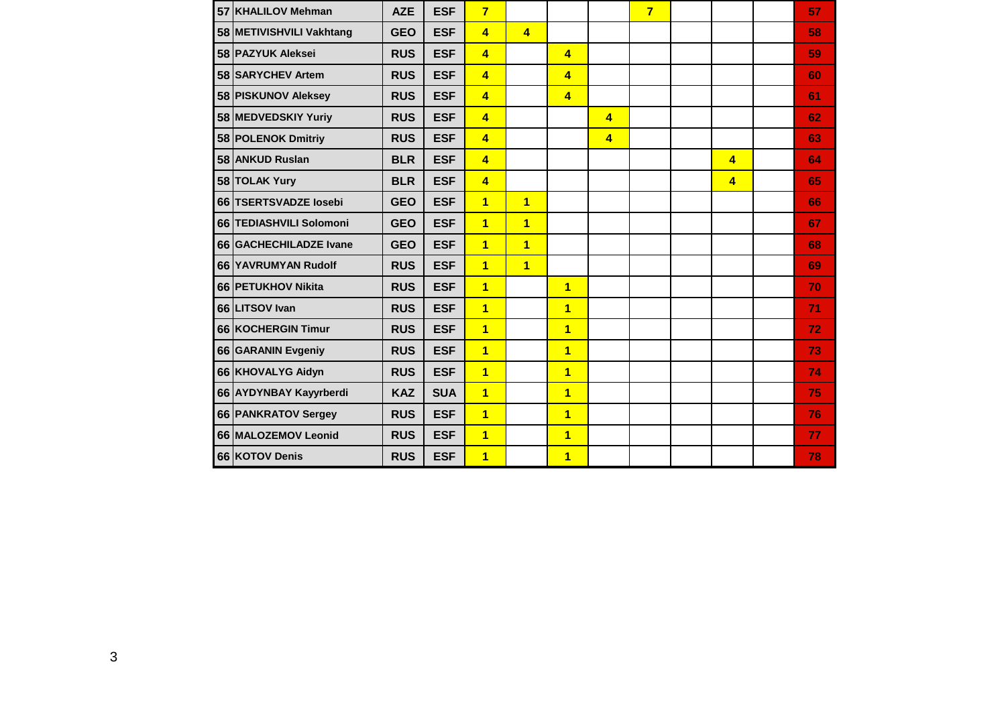| 57 KHALILOV Mehman        | <b>AZE</b> | <b>ESF</b> | 7                       |                         |                         |                | $\overline{7}$ |                | 57 |
|---------------------------|------------|------------|-------------------------|-------------------------|-------------------------|----------------|----------------|----------------|----|
| 58 METIVISHVILI Vakhtang  | <b>GEO</b> | <b>ESF</b> | $\overline{\mathbf{4}}$ | $\overline{\mathbf{4}}$ |                         |                |                |                | 58 |
| 58 PAZYUK Aleksei         | <b>RUS</b> | <b>ESF</b> | $\overline{4}$          |                         | $\overline{4}$          |                |                |                | 59 |
| 58 SARYCHEV Artem         | <b>RUS</b> | <b>ESF</b> | $\overline{4}$          |                         | $\overline{4}$          |                |                |                | 60 |
| 58 PISKUNOV Aleksey       | <b>RUS</b> | <b>ESF</b> | $\overline{4}$          |                         | $\overline{4}$          |                |                |                | 61 |
| 58 MEDVEDSKIY Yuriy       | <b>RUS</b> | <b>ESF</b> | $\overline{4}$          |                         |                         | $\overline{4}$ |                |                | 62 |
| 58 POLENOK Dmitriy        | <b>RUS</b> | <b>ESF</b> | $\overline{\mathbf{4}}$ |                         |                         | $\overline{4}$ |                |                | 63 |
| 58 ANKUD Ruslan           | <b>BLR</b> | <b>ESF</b> | $\overline{4}$          |                         |                         |                |                | $\overline{4}$ | 64 |
| 58 TOLAK Yury             | <b>BLR</b> | <b>ESF</b> | $\overline{4}$          |                         |                         |                |                | $\overline{4}$ | 65 |
| 66 TSERTSVADZE losebi     | <b>GEO</b> | <b>ESF</b> | $\overline{1}$          | $\overline{1}$          |                         |                |                |                | 66 |
| 66 TEDIASHVILI Solomoni   | <b>GEO</b> | <b>ESF</b> | $\overline{1}$          | $\overline{1}$          |                         |                |                |                | 67 |
| 66 GACHECHILADZE Ivane    | <b>GEO</b> | <b>ESF</b> | $\overline{1}$          | $\overline{1}$          |                         |                |                |                | 68 |
| 66 YAVRUMYAN Rudolf       | <b>RUS</b> | <b>ESF</b> | $\overline{1}$          | $\overline{1}$          |                         |                |                |                | 69 |
| 66 PETUKHOV Nikita        | <b>RUS</b> | <b>ESF</b> | $\overline{1}$          |                         | $\overline{\mathbf{1}}$ |                |                |                | 70 |
| 66 LITSOV Ivan            | <b>RUS</b> | <b>ESF</b> | $\overline{\mathbf{1}}$ |                         | $\overline{\mathbf{1}}$ |                |                |                | 71 |
| <b>66 KOCHERGIN Timur</b> | <b>RUS</b> | <b>ESF</b> | $\overline{1}$          |                         | $\overline{\mathbf{1}}$ |                |                |                | 72 |
| 66 GARANIN Evgeniy        | <b>RUS</b> | <b>ESF</b> | $\overline{1}$          |                         | $\overline{\mathbf{1}}$ |                |                |                | 73 |
| 66 KHOVALYG Aidyn         | <b>RUS</b> | <b>ESF</b> | $\overline{\mathbf{1}}$ |                         | $\overline{1}$          |                |                |                | 74 |
| 66 AYDYNBAY Kayyrberdi    | <b>KAZ</b> | <b>SUA</b> | $\overline{1}$          |                         | $\overline{\mathbf{1}}$ |                |                |                | 75 |
| 66 PANKRATOV Sergey       | <b>RUS</b> | <b>ESF</b> | $\overline{1}$          |                         | $\overline{1}$          |                |                |                | 76 |
| 66 MALOZEMOV Leonid       | <b>RUS</b> | <b>ESF</b> | $\overline{1}$          |                         | $\mathbf 1$             |                |                |                | 77 |
| 66 KOTOV Denis            | <b>RUS</b> | <b>ESF</b> | $\overline{1}$          |                         | $\overline{\mathbf{1}}$ |                |                |                | 78 |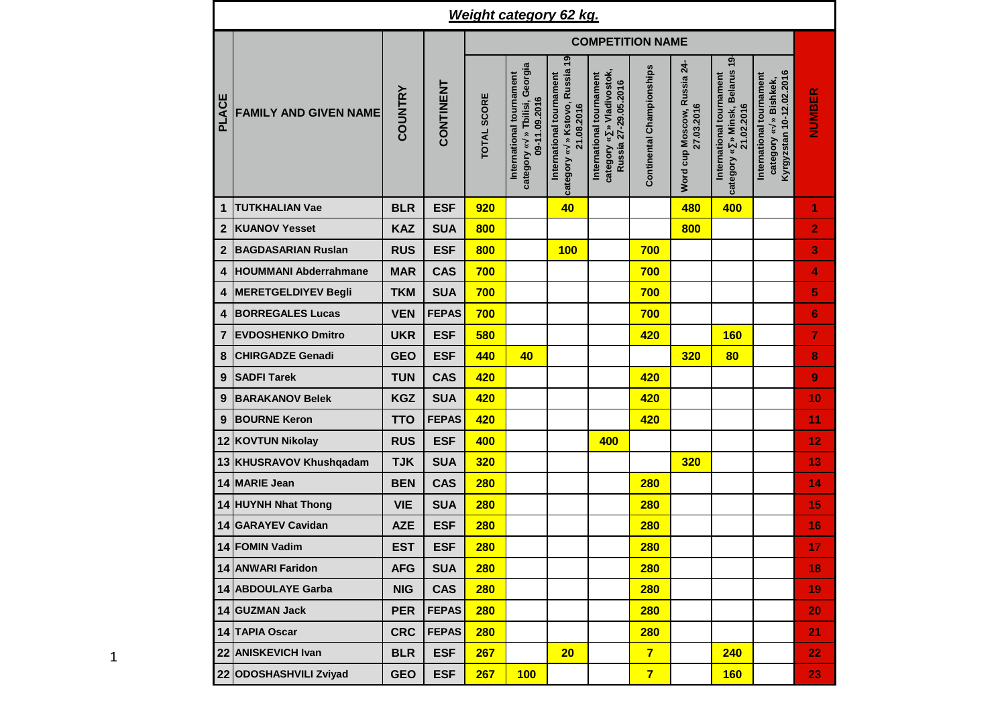|                  |                              |                |              |                    | <b>Weight category 62 kg.</b>                                              |                                                                          |                                                                               |                           |                                           |                                                                           |                                                                                  |                |
|------------------|------------------------------|----------------|--------------|--------------------|----------------------------------------------------------------------------|--------------------------------------------------------------------------|-------------------------------------------------------------------------------|---------------------------|-------------------------------------------|---------------------------------------------------------------------------|----------------------------------------------------------------------------------|----------------|
|                  |                              |                |              |                    |                                                                            |                                                                          | <b>COMPETITION NAME</b>                                                       |                           |                                           |                                                                           |                                                                                  |                |
| PLACE            | <b>FAMILY AND GIVEN NAME</b> | <b>COUNTRY</b> | CONTINENT    | <b>TOTAL SCORE</b> | category « » Tbilisi, Georgia<br>International tournament<br>09-11.09.2016 | category « » Kstovo, Russia 19<br>International tournament<br>21.08.2016 | category « » Vladivostok,<br>International tournament<br>Russia 27-29.05.2016 | Continental Championships | Word cup Moscow, Russia 24-<br>27.03.2016 | category « » Minsk, Belarus 19-<br>International tournament<br>21.02.2016 | Kyrgyzstan 10-12.02.2016<br>International tournament<br>» Bishkek,<br>category « | <b>NUMBER</b>  |
| $\mathbf{1}$     | <b>TUTKHALIAN Vae</b>        | <b>BLR</b>     | <b>ESF</b>   | 920                |                                                                            | 40                                                                       |                                                                               |                           | 480                                       | 400                                                                       |                                                                                  | 1              |
| $\overline{2}$   | <b>KUANOV Yesset</b>         | <b>KAZ</b>     | <b>SUA</b>   | 800                |                                                                            |                                                                          |                                                                               |                           | 800                                       |                                                                           |                                                                                  | 2              |
| $\boldsymbol{2}$ | <b>BAGDASARIAN Ruslan</b>    | <b>RUS</b>     | <b>ESF</b>   | 800                |                                                                            | 100                                                                      |                                                                               | 700                       |                                           |                                                                           |                                                                                  | 3              |
| 4                | <b>HOUMMANI Abderrahmane</b> | <b>MAR</b>     | <b>CAS</b>   | 700                |                                                                            |                                                                          |                                                                               | 700                       |                                           |                                                                           |                                                                                  | 4              |
| 4                | <b>MERETGELDIYEV Begli</b>   | <b>TKM</b>     | <b>SUA</b>   | 700                |                                                                            |                                                                          |                                                                               | 700                       |                                           |                                                                           |                                                                                  | 5              |
| $\boldsymbol{4}$ | <b>BORREGALES Lucas</b>      | <b>VEN</b>     | <b>FEPAS</b> | 700                |                                                                            |                                                                          |                                                                               | 700                       |                                           |                                                                           |                                                                                  | 6              |
| $\overline{7}$   | <b>EVDOSHENKO Dmitro</b>     | <b>UKR</b>     | <b>ESF</b>   | 580                |                                                                            |                                                                          |                                                                               | 420                       |                                           | <b>160</b>                                                                |                                                                                  | $\overline{7}$ |
| $\bf 8$          | <b>CHIRGADZE Genadi</b>      | <b>GEO</b>     | <b>ESF</b>   | 440                | 40                                                                         |                                                                          |                                                                               |                           | 320                                       | 80                                                                        |                                                                                  | 8              |
| 9                | <b>SADFI Tarek</b>           | <b>TUN</b>     | <b>CAS</b>   | 420                |                                                                            |                                                                          |                                                                               | 420                       |                                           |                                                                           |                                                                                  | 9              |
| 9                | <b>BARAKANOV Belek</b>       | <b>KGZ</b>     | <b>SUA</b>   | 420                |                                                                            |                                                                          |                                                                               | 420                       |                                           |                                                                           |                                                                                  | 10             |
| $\boldsymbol{9}$ | <b>BOURNE Keron</b>          | <b>TTO</b>     | <b>FEPAS</b> | 420                |                                                                            |                                                                          |                                                                               | 420                       |                                           |                                                                           |                                                                                  | 11             |
|                  | 12 KOVTUN Nikolay            | <b>RUS</b>     | <b>ESF</b>   | 400                |                                                                            |                                                                          | 400                                                                           |                           |                                           |                                                                           |                                                                                  | 12             |
|                  | 13 KHUSRAVOV Khushqadam      | <b>TJK</b>     | <b>SUA</b>   | 320                |                                                                            |                                                                          |                                                                               |                           | 320                                       |                                                                           |                                                                                  | 13             |
|                  | 14 MARIE Jean                | <b>BEN</b>     | <b>CAS</b>   | <b>280</b>         |                                                                            |                                                                          |                                                                               | <b>280</b>                |                                           |                                                                           |                                                                                  | 14             |
|                  | 14 HUYNH Nhat Thong          | <b>VIE</b>     | <b>SUA</b>   | <b>280</b>         |                                                                            |                                                                          |                                                                               | <b>280</b>                |                                           |                                                                           |                                                                                  | 15             |
|                  | 14 GARAYEV Cavidan           | <b>AZE</b>     | <b>ESF</b>   | <b>280</b>         |                                                                            |                                                                          |                                                                               | <b>280</b>                |                                           |                                                                           |                                                                                  | 16             |
|                  | 14 FOMIN Vadim               | <b>EST</b>     | <b>ESF</b>   | <b>280</b>         |                                                                            |                                                                          |                                                                               | <b>280</b>                |                                           |                                                                           |                                                                                  | 17             |
|                  | 14 ANWARI Faridon            | <b>AFG</b>     | <b>SUA</b>   | <b>280</b>         |                                                                            |                                                                          |                                                                               | 280                       |                                           |                                                                           |                                                                                  | 18             |
|                  | 14 ABDOULAYE Garba           | <b>NIG</b>     | <b>CAS</b>   | <b>280</b>         |                                                                            |                                                                          |                                                                               | 280                       |                                           |                                                                           |                                                                                  | 19             |
|                  | 14 GUZMAN Jack               | <b>PER</b>     | <b>FEPAS</b> | 280                |                                                                            |                                                                          |                                                                               | 280                       |                                           |                                                                           |                                                                                  | 20             |
|                  | 14 TAPIA Oscar               | <b>CRC</b>     | <b>FEPAS</b> | <b>280</b>         |                                                                            |                                                                          |                                                                               | <b>280</b>                |                                           |                                                                           |                                                                                  | 21             |
|                  | 22 ANISKEVICH Ivan           | <b>BLR</b>     | <b>ESF</b>   | 267                |                                                                            | 20                                                                       |                                                                               | $\overline{7}$            |                                           | 240                                                                       |                                                                                  | 22             |
|                  | 22 ODOSHASHVILI Zviyad       | <b>GEO</b>     | <b>ESF</b>   | 267                | 100                                                                        |                                                                          |                                                                               | $\overline{7}$            |                                           | <b>160</b>                                                                |                                                                                  | 23             |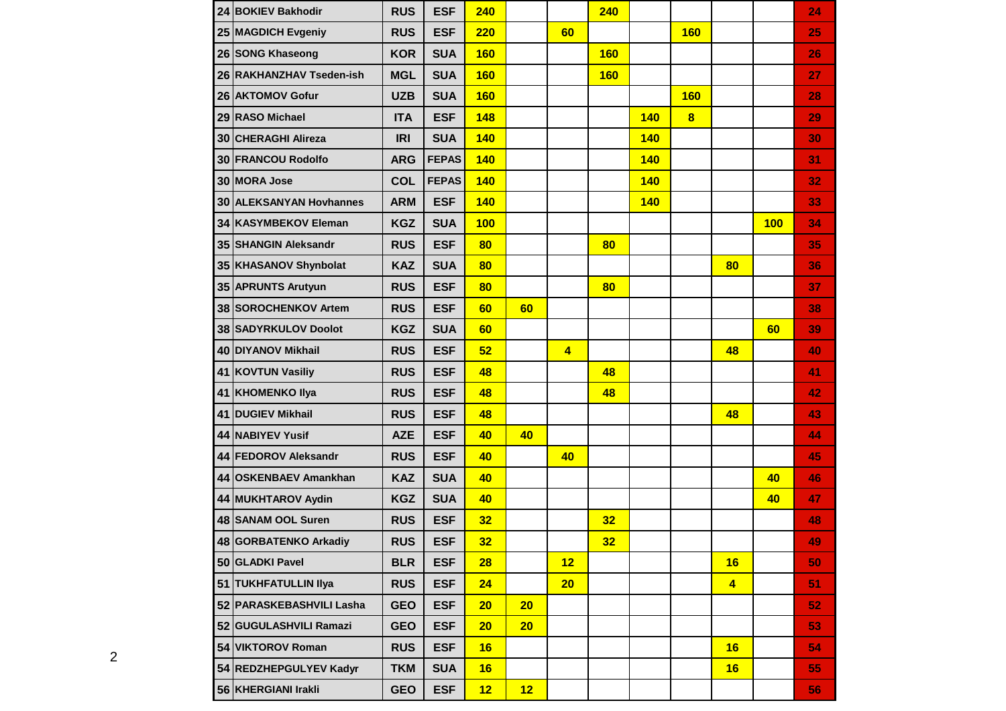|    | 24 BOKIEV Bakhodir       | <b>RUS</b> | <b>ESF</b>   | 240        |    |                | 240        |            |                         |                         |            | 24 |
|----|--------------------------|------------|--------------|------------|----|----------------|------------|------------|-------------------------|-------------------------|------------|----|
|    | 25 MAGDICH Evgeniy       | <b>RUS</b> | <b>ESF</b>   | <b>220</b> |    | 60             |            |            | <b>160</b>              |                         |            | 25 |
|    | 26 SONG Khaseong         | <b>KOR</b> | <b>SUA</b>   | <b>160</b> |    |                | <b>160</b> |            |                         |                         |            | 26 |
|    | 26 RAKHANZHAV Tseden-ish | <b>MGL</b> | <b>SUA</b>   | <b>160</b> |    |                | <b>160</b> |            |                         |                         |            | 27 |
|    | 26 AKTOMOV Gofur         | <b>UZB</b> | <b>SUA</b>   | <b>160</b> |    |                |            |            | <b>160</b>              |                         |            | 28 |
|    | 29 RASO Michael          | <b>ITA</b> | <b>ESF</b>   | 148        |    |                |            | <b>140</b> | $\overline{\mathbf{8}}$ |                         |            | 29 |
|    | 30 CHERAGHI Alireza      | <b>IRI</b> | <b>SUA</b>   | 140        |    |                |            | 140        |                         |                         |            | 30 |
|    | 30 FRANCOU Rodolfo       | <b>ARG</b> | <b>FEPAS</b> | <b>140</b> |    |                |            | <b>140</b> |                         |                         |            | 31 |
|    | 30 MORA Jose             | <b>COL</b> | <b>FEPAS</b> | <b>140</b> |    |                |            | <b>140</b> |                         |                         |            | 32 |
|    | 30 ALEKSANYAN Hovhannes  | <b>ARM</b> | <b>ESF</b>   | <b>140</b> |    |                |            | <b>140</b> |                         |                         |            | 33 |
|    | 34 KASYMBEKOV Eleman     | <b>KGZ</b> | <b>SUA</b>   | 100        |    |                |            |            |                         |                         | <b>100</b> | 34 |
|    | 35 SHANGIN Aleksandr     | <b>RUS</b> | <b>ESF</b>   | 80         |    |                | 80         |            |                         |                         |            | 35 |
|    | 35 KHASANOV Shynbolat    | <b>KAZ</b> | <b>SUA</b>   | 80         |    |                |            |            |                         | 80                      |            | 36 |
|    | 35 APRUNTS Arutyun       | <b>RUS</b> | <b>ESF</b>   | 80         |    |                | 80         |            |                         |                         |            | 37 |
|    | 38 SOROCHENKOV Artem     | <b>RUS</b> | <b>ESF</b>   | 60         | 60 |                |            |            |                         |                         |            | 38 |
|    | 38 SADYRKULOV Doolot     | <b>KGZ</b> | <b>SUA</b>   | 60         |    |                |            |            |                         |                         | 60         | 39 |
|    | 40 DIYANOV Mikhail       | <b>RUS</b> | <b>ESF</b>   | 52         |    | $\overline{4}$ |            |            |                         | 48                      |            | 40 |
| 41 | <b>KOVTUN Vasiliy</b>    | <b>RUS</b> | <b>ESF</b>   | 48         |    |                | 48         |            |                         |                         |            | 41 |
| 41 | <b>KHOMENKO Ilya</b>     | <b>RUS</b> | <b>ESF</b>   | 48         |    |                | 48         |            |                         |                         |            | 42 |
| 41 | <b>DUGIEV Mikhail</b>    | <b>RUS</b> | <b>ESF</b>   | 48         |    |                |            |            |                         | 48                      |            | 43 |
|    | 44 NABIYEV Yusif         | <b>AZE</b> | <b>ESF</b>   | 40         | 40 |                |            |            |                         |                         |            | 44 |
|    | 44 FEDOROV Aleksandr     | <b>RUS</b> | <b>ESF</b>   | 40         |    | 40             |            |            |                         |                         |            | 45 |
|    | 44 OSKENBAEV Amankhan    | <b>KAZ</b> | <b>SUA</b>   | 40         |    |                |            |            |                         |                         | 40         | 46 |
|    | 44 MUKHTAROV Aydin       | <b>KGZ</b> | <b>SUA</b>   | 40         |    |                |            |            |                         |                         | 40         | 47 |
|    | 48 SANAM OOL Suren       | <b>RUS</b> | <b>ESF</b>   | 32         |    |                | 32         |            |                         |                         |            | 48 |
|    | 48 GORBATENKO Arkadiy    | <b>RUS</b> | <b>ESF</b>   | 32         |    |                | 32         |            |                         |                         |            | 49 |
|    | 50 GLADKI Pavel          | <b>BLR</b> | <b>ESF</b>   | 28         |    | 12             |            |            |                         | 16                      |            | 50 |
|    | 51 TUKHFATULLIN Ilya     | <b>RUS</b> | <b>ESF</b>   | 24         |    | 20             |            |            |                         | $\overline{\mathbf{4}}$ |            | 51 |
|    | 52 PARASKEBASHVILI Lasha | <b>GEO</b> | <b>ESF</b>   | 20         | 20 |                |            |            |                         |                         |            | 52 |
|    | 52 GUGULASHVILI Ramazi   | <b>GEO</b> | <b>ESF</b>   | 20         | 20 |                |            |            |                         |                         |            | 53 |
|    | 54 VIKTOROV Roman        | <b>RUS</b> | <b>ESF</b>   | 16         |    |                |            |            |                         | 16                      |            | 54 |
|    | 54 REDZHEPGULYEV Kadyr   | <b>TKM</b> | <b>SUA</b>   | 16         |    |                |            |            |                         | 16                      |            | 55 |
|    | 56 KHERGIANI Irakli      | <b>GEO</b> | <b>ESF</b>   | 12         | 12 |                |            |            |                         |                         |            | 56 |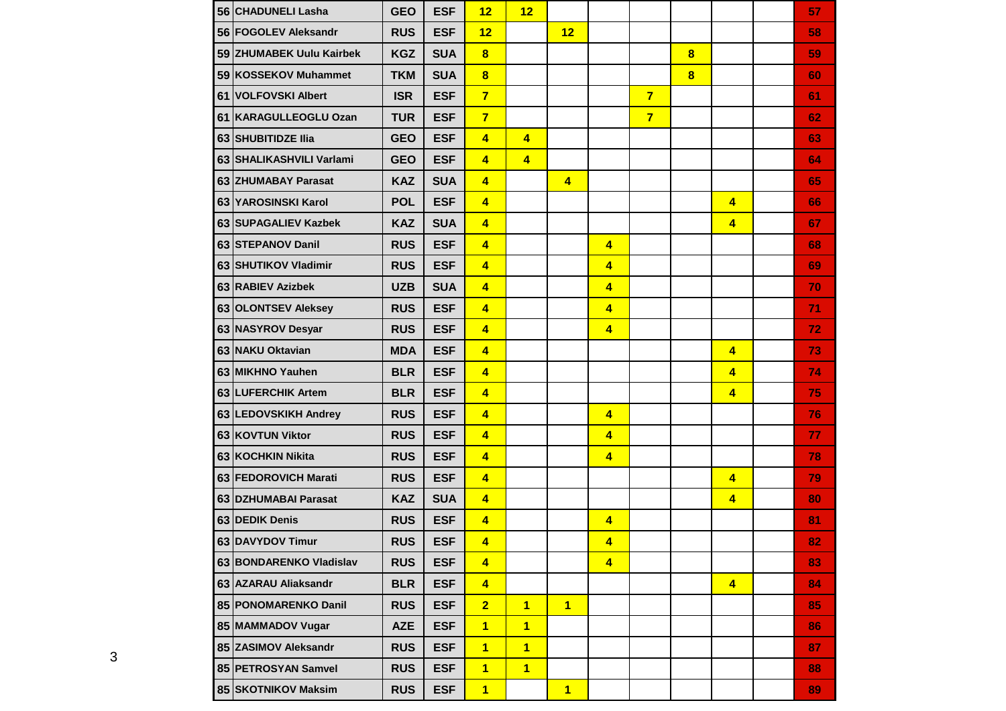|    | 56 CHADUNELI Lasha       | <b>GEO</b> | <b>ESF</b> | 12                      | 12                      |                |                         |                |                         |                         | 57 |
|----|--------------------------|------------|------------|-------------------------|-------------------------|----------------|-------------------------|----------------|-------------------------|-------------------------|----|
|    | 56 FOGOLEV Aleksandr     | <b>RUS</b> | <b>ESF</b> | 12                      |                         | 12             |                         |                |                         |                         | 58 |
|    | 59 ZHUMABEK Uulu Kairbek | <b>KGZ</b> | <b>SUA</b> | $\overline{\mathbf{8}}$ |                         |                |                         |                | $\bf{8}$                |                         | 59 |
|    | 59 KOSSEKOV Muhammet     | <b>TKM</b> | <b>SUA</b> | $\overline{\mathbf{8}}$ |                         |                |                         |                | $\overline{\mathbf{8}}$ |                         | 60 |
|    | 61 VOLFOVSKI Albert      | <b>ISR</b> | <b>ESF</b> | $\overline{7}$          |                         |                |                         | $\overline{7}$ |                         |                         | 61 |
| 61 | KARAGULLEOGLU Ozan       | <b>TUR</b> | <b>ESF</b> | $\overline{7}$          |                         |                |                         | $\overline{7}$ |                         |                         | 62 |
|    | 63 SHUBITIDZE IIia       | <b>GEO</b> | <b>ESF</b> | $\overline{\mathbf{4}}$ | $\overline{4}$          |                |                         |                |                         |                         | 63 |
|    | 63 SHALIKASHVILI Varlami | <b>GEO</b> | <b>ESF</b> | $\overline{\mathbf{4}}$ | $\overline{\mathbf{4}}$ |                |                         |                |                         |                         | 64 |
|    | 63 ZHUMABAY Parasat      | <b>KAZ</b> | <b>SUA</b> | $\overline{\mathbf{4}}$ |                         | $\overline{4}$ |                         |                |                         |                         | 65 |
|    | 63 YAROSINSKI Karol      | <b>POL</b> | <b>ESF</b> | $\overline{\mathbf{4}}$ |                         |                |                         |                |                         | $\overline{\mathbf{4}}$ | 66 |
|    | 63 SUPAGALIEV Kazbek     | <b>KAZ</b> | <b>SUA</b> | $\overline{\mathbf{4}}$ |                         |                |                         |                |                         | $\overline{4}$          | 67 |
|    | 63 STEPANOV Danil        | <b>RUS</b> | <b>ESF</b> | $\overline{\mathbf{4}}$ |                         |                | $\overline{4}$          |                |                         |                         | 68 |
|    | 63 SHUTIKOV Vladimir     | <b>RUS</b> | <b>ESF</b> | $\overline{\mathbf{4}}$ |                         |                | 4                       |                |                         |                         | 69 |
|    | 63 RABIEV Azizbek        | <b>UZB</b> | <b>SUA</b> | $\overline{4}$          |                         |                | $\overline{\mathbf{4}}$ |                |                         |                         | 70 |
|    | 63 OLONTSEV Aleksey      | <b>RUS</b> | <b>ESF</b> | $\overline{4}$          |                         |                | $\overline{\mathbf{4}}$ |                |                         |                         | 71 |
|    | 63 NASYROV Desyar        | <b>RUS</b> | <b>ESF</b> | $\overline{4}$          |                         |                | $\overline{\mathbf{4}}$ |                |                         |                         | 72 |
|    | 63 NAKU Oktavian         | <b>MDA</b> | <b>ESF</b> | $\overline{4}$          |                         |                |                         |                |                         | $\overline{4}$          | 73 |
|    | 63 MIKHNO Yauhen         | <b>BLR</b> | <b>ESF</b> | $\overline{4}$          |                         |                |                         |                |                         | $\overline{4}$          | 74 |
|    | 63 LUFERCHIK Artem       | <b>BLR</b> | <b>ESF</b> | $\overline{4}$          |                         |                |                         |                |                         | $\overline{4}$          | 75 |
|    | 63 LEDOVSKIKH Andrey     | <b>RUS</b> | <b>ESF</b> | $\overline{4}$          |                         |                | $\overline{\mathbf{4}}$ |                |                         |                         | 76 |
|    | 63 KOVTUN Viktor         | <b>RUS</b> | <b>ESF</b> | $\overline{4}$          |                         |                | $\overline{4}$          |                |                         |                         | 77 |
|    | 63 KOCHKIN Nikita        | <b>RUS</b> | <b>ESF</b> | $\overline{4}$          |                         |                | $\overline{4}$          |                |                         |                         | 78 |
|    | 63 FEDOROVICH Marati     | <b>RUS</b> | <b>ESF</b> | $\overline{4}$          |                         |                |                         |                |                         | $\overline{4}$          | 79 |
|    | 63 DZHUMABAI Parasat     | <b>KAZ</b> | <b>SUA</b> | $\overline{4}$          |                         |                |                         |                |                         | $\overline{4}$          | 80 |
|    | 63 DEDIK Denis           | <b>RUS</b> | <b>ESF</b> | $\overline{\mathbf{4}}$ |                         |                | $\overline{4}$          |                |                         |                         | 81 |
|    | 63 DAVYDOV Timur         | <b>RUS</b> | <b>ESF</b> | $\overline{\mathbf{4}}$ |                         |                | $\overline{\mathbf{4}}$ |                |                         |                         | 82 |
|    | 63 BONDARENKO Vladislav  | <b>RUS</b> | <b>ESF</b> | $\overline{\mathbf{4}}$ |                         |                | $\overline{4}$          |                |                         |                         | 83 |
|    | 63 AZARAU Aliaksandr     | <b>BLR</b> | <b>ESF</b> | $\overline{\mathbf{4}}$ |                         |                |                         |                |                         | $\overline{4}$          | 84 |
|    | 85 PONOMARENKO Danil     | <b>RUS</b> | <b>ESF</b> | $\overline{2}$          | $\mathbf{1}$            | $\mathbf{1}$   |                         |                |                         |                         | 85 |
|    | 85 MAMMADOV Vugar        | <b>AZE</b> | <b>ESF</b> | $\overline{1}$          | $\overline{1}$          |                |                         |                |                         |                         | 86 |
|    | 85 ZASIMOV Aleksandr     | <b>RUS</b> | <b>ESF</b> | $\overline{1}$          | $\mathbf{1}$            |                |                         |                |                         |                         | 87 |
|    | 85 PETROSYAN Samvel      | <b>RUS</b> | <b>ESF</b> | 1                       | $\overline{1}$          |                |                         |                |                         |                         | 88 |
|    | 85 SKOTNIKOV Maksim      | <b>RUS</b> | <b>ESF</b> | $\overline{1}$          |                         | $\mathbf{1}$   |                         |                |                         |                         | 89 |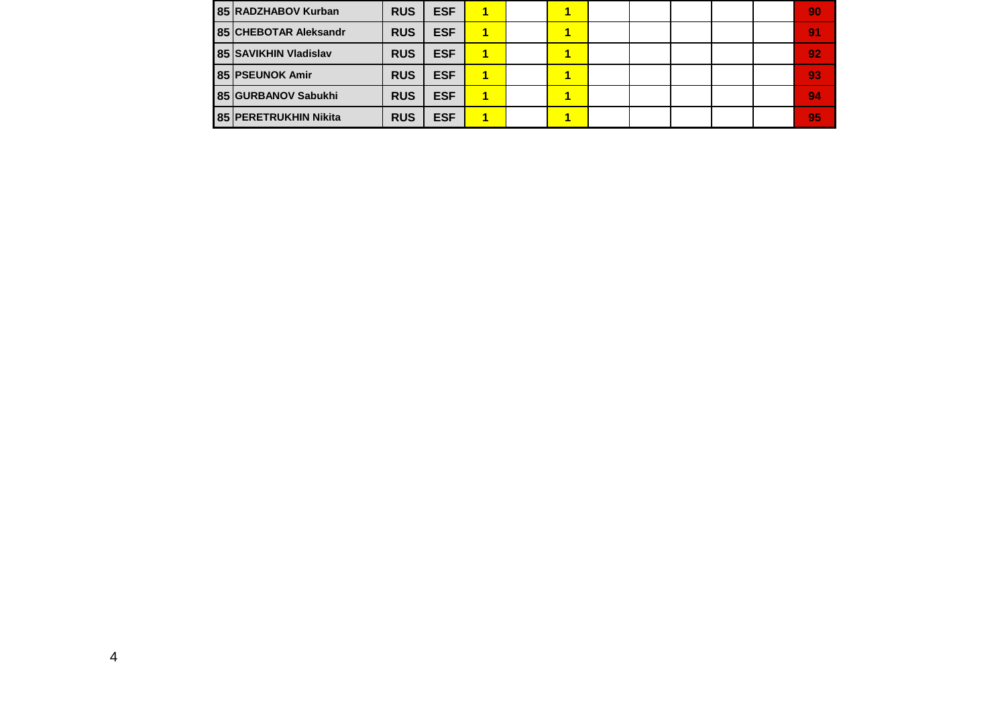| 85 RADZHABOV Kurban   | <b>RUS</b> | <b>ESF</b> | 1 |  |  |  | 190            |
|-----------------------|------------|------------|---|--|--|--|----------------|
| 85 CHEBOTAR Aleksandr | <b>RUS</b> | <b>ESF</b> | и |  |  |  | 9 <sub>1</sub> |
| 85 SAVIKHIN Vladislav | <b>RUS</b> | <b>ESF</b> |   |  |  |  | 92             |
| 85 PSEUNOK Amir       | <b>RUS</b> | <b>ESF</b> |   |  |  |  | 93             |
| 85 GURBANOV Sabukhi   | <b>RUS</b> | <b>ESF</b> |   |  |  |  | 94             |
| 85 PERETRUKHIN Nikita | <b>RUS</b> | <b>ESF</b> |   |  |  |  | 95             |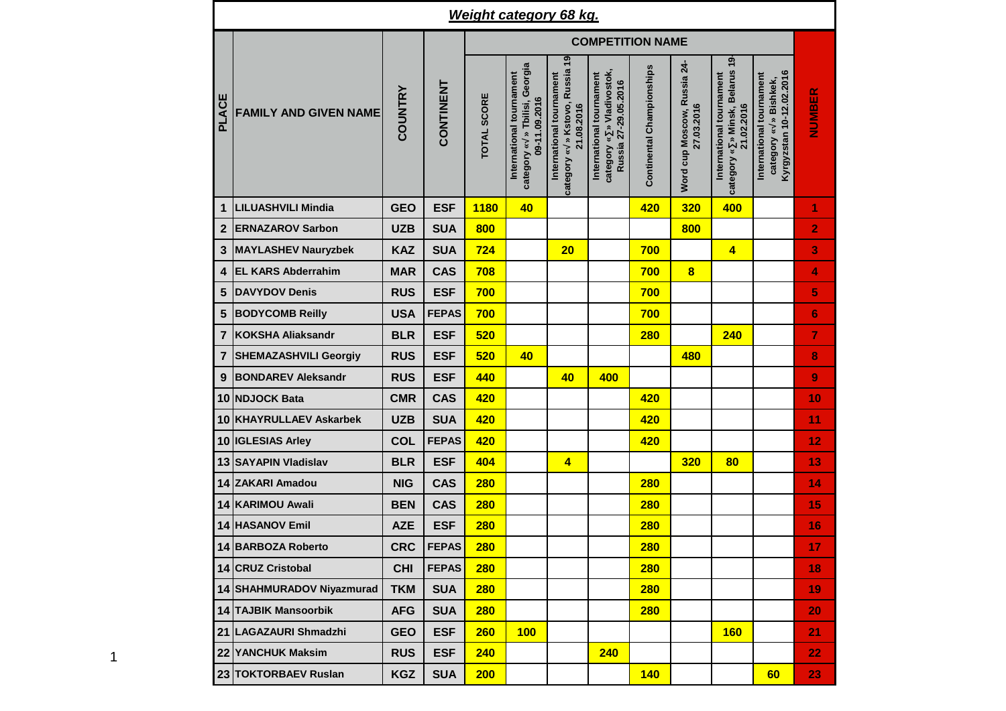|                |                              |                |              |             | <b>Weight category 68 kg.</b>                                                 |                                                                          |                                                                               |                           |                                           |                                                                           |                                                                                  |                |
|----------------|------------------------------|----------------|--------------|-------------|-------------------------------------------------------------------------------|--------------------------------------------------------------------------|-------------------------------------------------------------------------------|---------------------------|-------------------------------------------|---------------------------------------------------------------------------|----------------------------------------------------------------------------------|----------------|
|                |                              |                |              |             |                                                                               |                                                                          | <b>COMPETITION NAME</b>                                                       |                           |                                           |                                                                           |                                                                                  |                |
| <b>PLACE</b>   | <b>FAMILY AND GIVEN NAME</b> | <b>COUNTRY</b> | CONTINENT    | TOTAL SCORE | » Tbilisi, Georgia<br>International tournament<br>09-11.09.2016<br>category « | category « » Kstovo, Russia 19<br>International tournament<br>21.08.2016 | category « » Vladivostok,<br>International tournament<br>Russia 27-29.05.2016 | Continental Championships | Word cup Moscow, Russia 24-<br>27.03.2016 | category « » Minsk, Belarus 19-<br>International tournament<br>21.02.2016 | Kyrgyzstan 10-12.02.2016<br>International tournament<br>» Bishkek,<br>category « | NUMBER         |
| 1              | <b>LILUASHVILI Mindia</b>    | <b>GEO</b>     | <b>ESF</b>   | <b>1180</b> | 40                                                                            |                                                                          |                                                                               | 420                       | 320                                       | 400                                                                       |                                                                                  | 1              |
| $\overline{2}$ | <b>ERNAZAROV Sarbon</b>      | <b>UZB</b>     | <b>SUA</b>   | 800         |                                                                               |                                                                          |                                                                               |                           | 800                                       |                                                                           |                                                                                  | $\overline{2}$ |
| 3              | <b>MAYLASHEV Nauryzbek</b>   | <b>KAZ</b>     | <b>SUA</b>   | 724         |                                                                               | 20                                                                       |                                                                               | 700                       |                                           | $\overline{\mathbf{4}}$                                                   |                                                                                  | 3              |
| 4              | <b>EL KARS Abderrahim</b>    | <b>MAR</b>     | <b>CAS</b>   | 708         |                                                                               |                                                                          |                                                                               | 700                       | $\overline{\mathbf{8}}$                   |                                                                           |                                                                                  | 4              |
| 5              | <b>DAVYDOV Denis</b>         | <b>RUS</b>     | <b>ESF</b>   | 700         |                                                                               |                                                                          |                                                                               | 700                       |                                           |                                                                           |                                                                                  | 5              |
| 5              | <b>BODYCOMB Reilly</b>       | <b>USA</b>     | <b>FEPAS</b> | 700         |                                                                               |                                                                          |                                                                               | 700                       |                                           |                                                                           |                                                                                  | $6\phantom{1}$ |
| $\overline{7}$ | <b>KOKSHA Aliaksandr</b>     | <b>BLR</b>     | <b>ESF</b>   | 520         |                                                                               |                                                                          |                                                                               | <b>280</b>                |                                           | 240                                                                       |                                                                                  | 7              |
| 7              | <b>SHEMAZASHVILI Georgiy</b> | <b>RUS</b>     | <b>ESF</b>   | 520         | 40                                                                            |                                                                          |                                                                               |                           | 480                                       |                                                                           |                                                                                  | 8              |
| 9              | <b>BONDAREV Aleksandr</b>    | <b>RUS</b>     | <b>ESF</b>   | 440         |                                                                               | 40                                                                       | 400                                                                           |                           |                                           |                                                                           |                                                                                  | 9              |
| 10             | <b>NDJOCK Bata</b>           | <b>CMR</b>     | <b>CAS</b>   | 420         |                                                                               |                                                                          |                                                                               | 420                       |                                           |                                                                           |                                                                                  | 10             |
| 10             | <b>KHAYRULLAEV Askarbek</b>  | <b>UZB</b>     | <b>SUA</b>   | 420         |                                                                               |                                                                          |                                                                               | 420                       |                                           |                                                                           |                                                                                  | 11             |
| 10             | <b>IGLESIAS Arley</b>        | <b>COL</b>     | <b>FEPAS</b> | 420         |                                                                               |                                                                          |                                                                               | 420                       |                                           |                                                                           |                                                                                  | 12             |
| 13             | <b>SAYAPIN Vladislav</b>     | <b>BLR</b>     | <b>ESF</b>   | 404         |                                                                               | $\overline{\mathbf{4}}$                                                  |                                                                               |                           | 320                                       | 80                                                                        |                                                                                  | 13             |
|                | 14 ZAKARI Amadou             | <b>NIG</b>     | <b>CAS</b>   | <b>280</b>  |                                                                               |                                                                          |                                                                               | 280                       |                                           |                                                                           |                                                                                  | 14             |
| 14             | <b>KARIMOU Awali</b>         | <b>BEN</b>     | <b>CAS</b>   | <b>280</b>  |                                                                               |                                                                          |                                                                               | <b>280</b>                |                                           |                                                                           |                                                                                  | 15             |
|                | <b>14 HASANOV Emil</b>       | <b>AZE</b>     | <b>ESF</b>   | <b>280</b>  |                                                                               |                                                                          |                                                                               | <b>280</b>                |                                           |                                                                           |                                                                                  | 16             |
|                | 14 BARBOZA Roberto           | <b>CRC</b>     | <b>FEPAS</b> | <b>280</b>  |                                                                               |                                                                          |                                                                               | <b>280</b>                |                                           |                                                                           |                                                                                  | 17             |
|                | 14 CRUZ Cristobal            | <b>CHI</b>     | <b>FEPAS</b> | 280         |                                                                               |                                                                          |                                                                               | <b>280</b>                |                                           |                                                                           |                                                                                  | 18             |
|                | 14 SHAHMURADOV Niyazmurad    | <b>TKM</b>     | <b>SUA</b>   | 280         |                                                                               |                                                                          |                                                                               | <b>280</b>                |                                           |                                                                           |                                                                                  | 19             |
|                | 14 TAJBIK Mansoorbik         | <b>AFG</b>     | <b>SUA</b>   | <b>280</b>  |                                                                               |                                                                          |                                                                               | <b>280</b>                |                                           |                                                                           |                                                                                  | 20             |
|                | 21 LAGAZAURI Shmadzhi        | <b>GEO</b>     | <b>ESF</b>   | <b>260</b>  | 100                                                                           |                                                                          |                                                                               |                           |                                           | <b>160</b>                                                                |                                                                                  | 21             |
|                | 22 YANCHUK Maksim            | <b>RUS</b>     | <b>ESF</b>   | 240         |                                                                               |                                                                          | 240                                                                           |                           |                                           |                                                                           |                                                                                  | 22             |
|                | 23 TOKTORBAEV Ruslan         | KGZ            | <b>SUA</b>   | 200         |                                                                               |                                                                          |                                                                               | 140                       |                                           |                                                                           | 60                                                                               | 23             |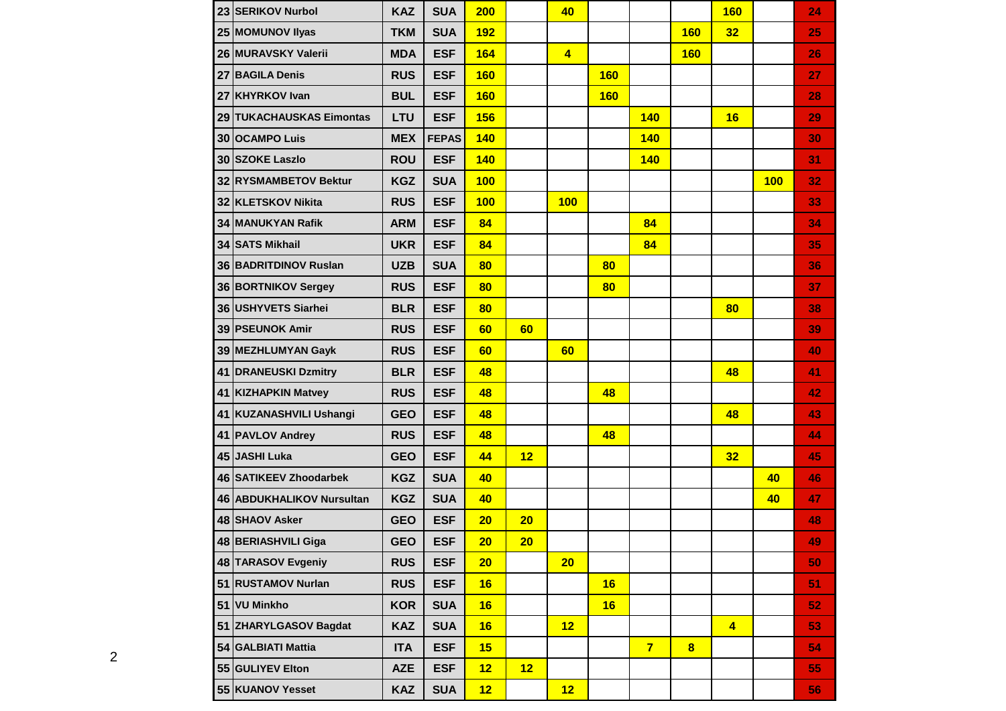|    | 23 SERIKOV Nurbol         | <b>KAZ</b> | <b>SUA</b>   | 200        |    | 40             |            |                |            | <b>160</b>     |     | 24 |
|----|---------------------------|------------|--------------|------------|----|----------------|------------|----------------|------------|----------------|-----|----|
|    | 25 MOMUNOV Ilyas          | <b>TKM</b> | <b>SUA</b>   | <b>192</b> |    |                |            |                | <b>160</b> | 32             |     | 25 |
|    | 26 MURAVSKY Valerii       | <b>MDA</b> | <b>ESF</b>   | 164        |    | $\overline{4}$ |            |                | <b>160</b> |                |     | 26 |
| 27 | <b>BAGILA Denis</b>       | <b>RUS</b> | <b>ESF</b>   | <b>160</b> |    |                | <b>160</b> |                |            |                |     | 27 |
|    | 27 KHYRKOV Ivan           | <b>BUL</b> | <b>ESF</b>   | 160        |    |                | <b>160</b> |                |            |                |     | 28 |
|    | 29 TUKACHAUSKAS Eimontas  | <b>LTU</b> | <b>ESF</b>   | 156        |    |                |            | <b>140</b>     |            | 16             |     | 29 |
|    | 30 OCAMPO Luis            | <b>MEX</b> | <b>FEPAS</b> | <b>140</b> |    |                |            | <b>140</b>     |            |                |     | 30 |
|    | 30 SZOKE Laszlo           | <b>ROU</b> | <b>ESF</b>   | 140        |    |                |            | 140            |            |                |     | 31 |
|    | 32 RYSMAMBETOV Bektur     | <b>KGZ</b> | <b>SUA</b>   | 100        |    |                |            |                |            |                | 100 | 32 |
|    | 32 KLETSKOV Nikita        | <b>RUS</b> | <b>ESF</b>   | 100        |    | 100            |            |                |            |                |     | 33 |
| 34 | <b>IMANUKYAN Rafik</b>    | <b>ARM</b> | <b>ESF</b>   | 84         |    |                |            | 84             |            |                |     | 34 |
|    | 34 SATS Mikhail           | <b>UKR</b> | <b>ESF</b>   | 84         |    |                |            | 84             |            |                |     | 35 |
|    | 36 BADRITDINOV Ruslan     | <b>UZB</b> | <b>SUA</b>   | 80         |    |                | 80         |                |            |                |     | 36 |
|    | 36 BORTNIKOV Sergey       | <b>RUS</b> | <b>ESF</b>   | 80         |    |                | 80         |                |            |                |     | 37 |
|    | 36 USHYVETS Siarhei       | <b>BLR</b> | <b>ESF</b>   | 80         |    |                |            |                |            | 80             |     | 38 |
|    | 39 PSEUNOK Amir           | <b>RUS</b> | <b>ESF</b>   | 60         | 60 |                |            |                |            |                |     | 39 |
|    | 39 MEZHLUMYAN Gayk        | <b>RUS</b> | <b>ESF</b>   | 60         |    | 60             |            |                |            |                |     | 40 |
| 41 | <b>DRANEUSKI Dzmitry</b>  | <b>BLR</b> | <b>ESF</b>   | 48         |    |                |            |                |            | 48             |     | 41 |
|    | 41 KIZHAPKIN Matvey       | <b>RUS</b> | <b>ESF</b>   | 48         |    |                | 48         |                |            |                |     | 42 |
|    | 41 KUZANASHVILI Ushangi   | <b>GEO</b> | <b>ESF</b>   | 48         |    |                |            |                |            | 48             |     | 43 |
|    | 41 PAVLOV Andrey          | <b>RUS</b> | <b>ESF</b>   | 48         |    |                | 48         |                |            |                |     | 44 |
|    | 45 JASHI Luka             | <b>GEO</b> | <b>ESF</b>   | 44         | 12 |                |            |                |            | 32             |     | 45 |
|    | 46 SATIKEEV Zhoodarbek    | <b>KGZ</b> | <b>SUA</b>   | 40         |    |                |            |                |            |                | 40  | 46 |
|    | 46 ABDUKHALIKOV Nursultan | <b>KGZ</b> | <b>SUA</b>   | 40         |    |                |            |                |            |                | 40  | 47 |
|    | 48 SHAOV Asker            | <b>GEO</b> | <b>ESF</b>   | 20         | 20 |                |            |                |            |                |     | 48 |
|    | 48 BERIASHVILI Giga       | <b>GEO</b> | <b>ESF</b>   | 20         | 20 |                |            |                |            |                |     | 49 |
|    | 48 TARASOV Evgeniy        | <b>RUS</b> | <b>ESF</b>   | 20         |    | 20             |            |                |            |                |     | 50 |
|    | 51 RUSTAMOV Nurlan        | <b>RUS</b> | <b>ESF</b>   | 16         |    |                | 16         |                |            |                |     | 51 |
|    | 51 VU Minkho              | <b>KOR</b> | <b>SUA</b>   | 16         |    |                | 16         |                |            |                |     | 52 |
|    | 51 ZHARYLGASOV Bagdat     | <b>KAZ</b> | <b>SUA</b>   | 16         |    | 12             |            |                |            | $\overline{4}$ |     | 53 |
|    | 54 GALBIATI Mattia        | <b>ITA</b> | <b>ESF</b>   | 15         |    |                |            | $\overline{7}$ | 8          |                |     | 54 |
|    | 55 GULIYEV Elton          | <b>AZE</b> | <b>ESF</b>   | 12         | 12 |                |            |                |            |                |     | 55 |
|    | 55 KUANOV Yesset          | <b>KAZ</b> | <b>SUA</b>   | 12         |    | 12             |            |                |            |                |     | 56 |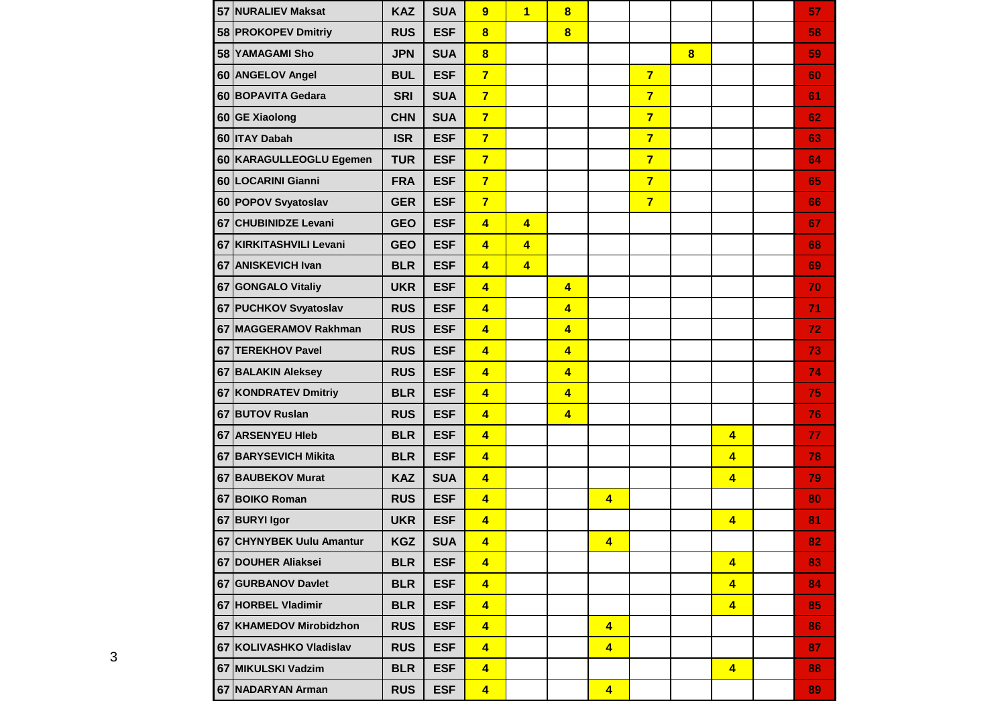|    | 57 NURALIEV Maksat          | <b>KAZ</b> | <b>SUA</b> | 9                       | $\overline{1}$          | 8                       |                         |                |          |                | 57 |
|----|-----------------------------|------------|------------|-------------------------|-------------------------|-------------------------|-------------------------|----------------|----------|----------------|----|
|    | 58 PROKOPEV Dmitriy         | <b>RUS</b> | <b>ESF</b> | $\overline{\mathbf{8}}$ |                         | $\overline{\mathbf{8}}$ |                         |                |          |                | 58 |
|    | 58 YAMAGAMI Sho             | <b>JPN</b> | <b>SUA</b> | $\overline{\mathbf{8}}$ |                         |                         |                         |                | $\bf{8}$ |                | 59 |
|    | 60 ANGELOV Angel            | <b>BUL</b> | <b>ESF</b> | $\overline{7}$          |                         |                         |                         | $\overline{7}$ |          |                | 60 |
|    | 60 BOPAVITA Gedara          | <b>SRI</b> | <b>SUA</b> | $\overline{7}$          |                         |                         |                         | $\overline{7}$ |          |                | 61 |
|    | 60 GE Xiaolong              | <b>CHN</b> | <b>SUA</b> | $\overline{7}$          |                         |                         |                         | $\overline{7}$ |          |                | 62 |
|    | 60 ITAY Dabah               | <b>ISR</b> | <b>ESF</b> | $\overline{7}$          |                         |                         |                         | $\overline{7}$ |          |                | 63 |
|    | 60 KARAGULLEOGLU Egemen     | <b>TUR</b> | <b>ESF</b> | $\overline{7}$          |                         |                         |                         | $\overline{7}$ |          |                | 64 |
|    | 60 LOCARINI Gianni          | <b>FRA</b> | <b>ESF</b> | $\overline{7}$          |                         |                         |                         | $\overline{7}$ |          |                | 65 |
|    | 60 POPOV Svyatoslav         | <b>GER</b> | <b>ESF</b> | $\overline{7}$          |                         |                         |                         | $\overline{7}$ |          |                | 66 |
| 67 | <b>CHUBINIDZE Levani</b>    | <b>GEO</b> | <b>ESF</b> | $\overline{4}$          | 4                       |                         |                         |                |          |                | 67 |
| 67 | <b>KIRKITASHVILI Levani</b> | <b>GEO</b> | <b>ESF</b> | $\overline{4}$          | 4                       |                         |                         |                |          |                | 68 |
| 67 | <b>ANISKEVICH Ivan</b>      | <b>BLR</b> | <b>ESF</b> | $\overline{4}$          | $\overline{\mathbf{4}}$ |                         |                         |                |          |                | 69 |
|    | 67 GONGALO Vitaliy          | <b>UKR</b> | <b>ESF</b> | $\overline{4}$          |                         | $\overline{4}$          |                         |                |          |                | 70 |
|    | 67 PUCHKOV Svyatoslav       | <b>RUS</b> | <b>ESF</b> | $\overline{4}$          |                         | $\overline{\mathbf{4}}$ |                         |                |          |                | 71 |
|    | 67 MAGGERAMOV Rakhman       | <b>RUS</b> | <b>ESF</b> | $\overline{4}$          |                         | $\overline{4}$          |                         |                |          |                | 72 |
|    | 67 TEREKHOV Pavel           | <b>RUS</b> | <b>ESF</b> | $\overline{4}$          |                         | $\overline{\mathbf{4}}$ |                         |                |          |                | 73 |
|    | 67 BALAKIN Aleksey          | <b>RUS</b> | <b>ESF</b> | $\overline{4}$          |                         | $\overline{\mathbf{4}}$ |                         |                |          |                | 74 |
|    | 67 KONDRATEV Dmitriy        | <b>BLR</b> | <b>ESF</b> | $\overline{4}$          |                         | $\overline{\mathbf{4}}$ |                         |                |          |                | 75 |
|    | 67 BUTOV Ruslan             | <b>RUS</b> | <b>ESF</b> | $\overline{4}$          |                         | $\overline{4}$          |                         |                |          |                | 76 |
|    | 67 ARSENYEU HIeb            | <b>BLR</b> | <b>ESF</b> | $\overline{4}$          |                         |                         |                         |                |          | $\overline{4}$ | 77 |
|    | 67 BARYSEVICH Mikita        | <b>BLR</b> | <b>ESF</b> | $\overline{\mathbf{4}}$ |                         |                         |                         |                |          | $\overline{4}$ | 78 |
|    | 67 BAUBEKOV Murat           | <b>KAZ</b> | <b>SUA</b> | 4                       |                         |                         |                         |                |          | $\overline{4}$ | 79 |
|    | 67 BOIKO Roman              | <b>RUS</b> | <b>ESF</b> | 4                       |                         |                         | $\overline{\mathbf{4}}$ |                |          |                | 80 |
|    | 67 BURYI Igor               | <b>UKR</b> | <b>ESF</b> | $\overline{4}$          |                         |                         |                         |                |          | $\overline{4}$ | 81 |
|    | 67 CHYNYBEK Uulu Amantur    | <b>KGZ</b> | <b>SUA</b> | $\overline{\mathbf{4}}$ |                         |                         | $\overline{4}$          |                |          |                | 82 |
|    | 67 DOUHER Aliaksei          | <b>BLR</b> | <b>ESF</b> | $\overline{4}$          |                         |                         |                         |                |          | $\overline{4}$ | 83 |
|    | 67 GURBANOV Davlet          | <b>BLR</b> | <b>ESF</b> | $\overline{4}$          |                         |                         |                         |                |          | $\overline{4}$ | 84 |
|    | 67 HORBEL Vladimir          | <b>BLR</b> | <b>ESF</b> | $\overline{\mathbf{4}}$ |                         |                         |                         |                |          | $\overline{4}$ | 85 |
|    | 67 KHAMEDOV Mirobidzhon     | <b>RUS</b> | <b>ESF</b> | $\overline{\mathbf{4}}$ |                         |                         | $\overline{4}$          |                |          |                | 86 |
|    | 67 KOLIVASHKO Vladislav     | <b>RUS</b> | <b>ESF</b> | $\overline{\mathbf{4}}$ |                         |                         | $\overline{4}$          |                |          |                | 87 |
|    | 67 MIKULSKI Vadzim          | <b>BLR</b> | <b>ESF</b> | $\overline{\mathbf{4}}$ |                         |                         |                         |                |          | $\overline{4}$ | 88 |
|    | 67 NADARYAN Arman           | <b>RUS</b> | <b>ESF</b> | $\overline{4}$          |                         |                         | $\overline{4}$          |                |          |                | 89 |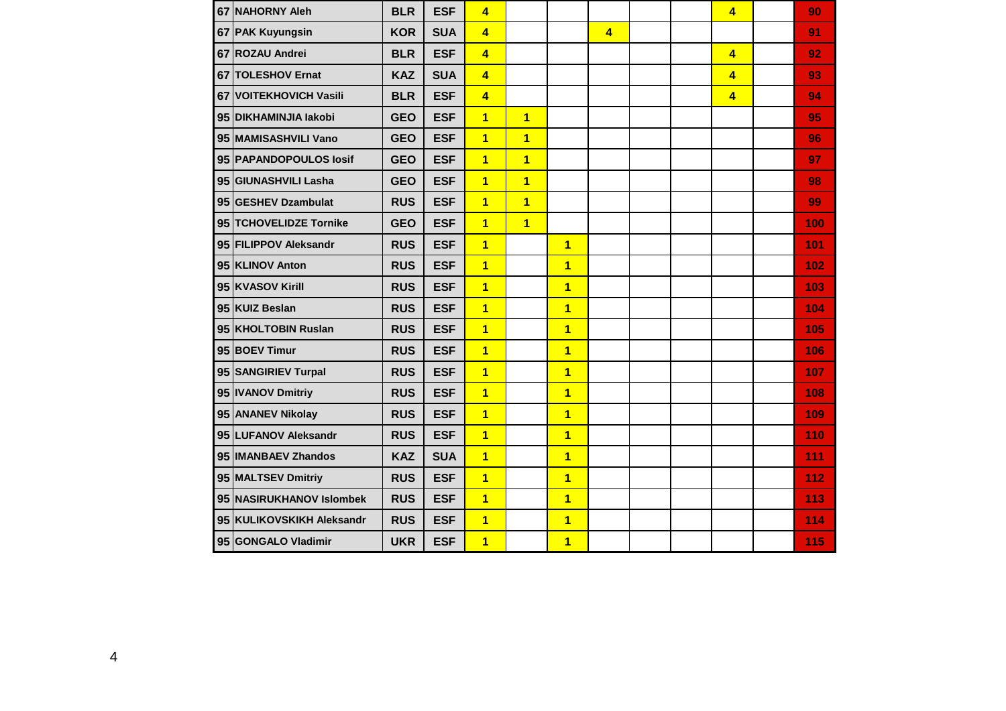| 67 NAHORNY Aleh           | <b>BLR</b> | <b>ESF</b> | 4                       |                |                         |                         |  | $\overline{4}$ | 90  |
|---------------------------|------------|------------|-------------------------|----------------|-------------------------|-------------------------|--|----------------|-----|
| 67 PAK Kuyungsin          | <b>KOR</b> | <b>SUA</b> | $\overline{\mathbf{4}}$ |                |                         | $\overline{\mathbf{4}}$ |  |                | 91  |
| 67 ROZAU Andrei           | <b>BLR</b> | <b>ESF</b> | $\overline{\mathbf{4}}$ |                |                         |                         |  | $\overline{4}$ | 92  |
| 67 TOLESHOV Ernat         | <b>KAZ</b> | <b>SUA</b> | $\overline{4}$          |                |                         |                         |  | $\overline{4}$ | 93  |
| 67 VOITEKHOVICH Vasili    | <b>BLR</b> | <b>ESF</b> | $\overline{4}$          |                |                         |                         |  | $\overline{4}$ | 94  |
| 95 DIKHAMINJIA lakobi     | <b>GEO</b> | <b>ESF</b> | $\overline{1}$          | $\overline{1}$ |                         |                         |  |                | 95  |
| 95 MAMISASHVILI Vano      | <b>GEO</b> | <b>ESF</b> | $\overline{1}$          | $\overline{1}$ |                         |                         |  |                | 96  |
| 95 PAPANDOPOULOS losif    | <b>GEO</b> | <b>ESF</b> | $\overline{1}$          | $\overline{1}$ |                         |                         |  |                | 97  |
| 95 GIUNASHVILI Lasha      | <b>GEO</b> | <b>ESF</b> | $\overline{1}$          | $\overline{1}$ |                         |                         |  |                | 98  |
| 95 GESHEV Dzambulat       | <b>RUS</b> | <b>ESF</b> | $\overline{1}$          | $\overline{1}$ |                         |                         |  |                | 99  |
| 95 TCHOVELIDZE Tornike    | <b>GEO</b> | <b>ESF</b> | $\overline{1}$          | $\overline{1}$ |                         |                         |  |                | 100 |
| 95 FILIPPOV Aleksandr     | <b>RUS</b> | <b>ESF</b> | $\overline{1}$          |                | $\overline{1}$          |                         |  |                | 101 |
| 95 KLINOV Anton           | <b>RUS</b> | <b>ESF</b> | $\overline{1}$          |                | $\overline{\mathbf{1}}$ |                         |  |                | 102 |
| 95 KVASOV Kirill          | <b>RUS</b> | <b>ESF</b> | $\overline{1}$          |                | $\overline{1}$          |                         |  |                | 103 |
| 95 KUIZ Beslan            | <b>RUS</b> | <b>ESF</b> | $\overline{\mathbf{1}}$ |                | $\overline{1}$          |                         |  |                | 104 |
| 95 KHOLTOBIN Ruslan       | <b>RUS</b> | <b>ESF</b> | $\overline{\mathbf{1}}$ |                | $\overline{\mathbf{1}}$ |                         |  |                | 105 |
| 95 BOEV Timur             | <b>RUS</b> | <b>ESF</b> | $\overline{\mathbf{1}}$ |                | $\overline{\mathbf{1}}$ |                         |  |                | 106 |
| 95 SANGIRIEV Turpal       | <b>RUS</b> | <b>ESF</b> | $\overline{1}$          |                | $\overline{1}$          |                         |  |                | 107 |
| 95   IVANOV Dmitriy       | <b>RUS</b> | <b>ESF</b> | $\overline{1}$          |                | $\overline{1}$          |                         |  |                | 108 |
| 95 ANANEV Nikolay         | <b>RUS</b> | <b>ESF</b> | $\overline{1}$          |                | $\overline{1}$          |                         |  |                | 109 |
| 95 LUFANOV Aleksandr      | <b>RUS</b> | <b>ESF</b> | $\overline{1}$          |                | $\overline{\mathbf{1}}$ |                         |  |                | 110 |
| 95  IMANBAEV Zhandos      | <b>KAZ</b> | <b>SUA</b> | $\overline{1}$          |                | $\overline{\mathbf{1}}$ |                         |  |                | 111 |
| 95 MALTSEV Dmitriy        | <b>RUS</b> | <b>ESF</b> | $\overline{1}$          |                | $\overline{1}$          |                         |  |                | 112 |
| 95 NASIRUKHANOV Islombek  | <b>RUS</b> | <b>ESF</b> | $\overline{1}$          |                | $\overline{\mathbf{1}}$ |                         |  |                | 113 |
| 95 KULIKOVSKIKH Aleksandr | <b>RUS</b> | <b>ESF</b> | $\overline{1}$          |                | $\overline{\mathbf{1}}$ |                         |  |                | 114 |
| 95 GONGALO Vladimir       | <b>UKR</b> | <b>ESF</b> | $\overline{1}$          |                | $\overline{\mathbf{1}}$ |                         |  |                | 115 |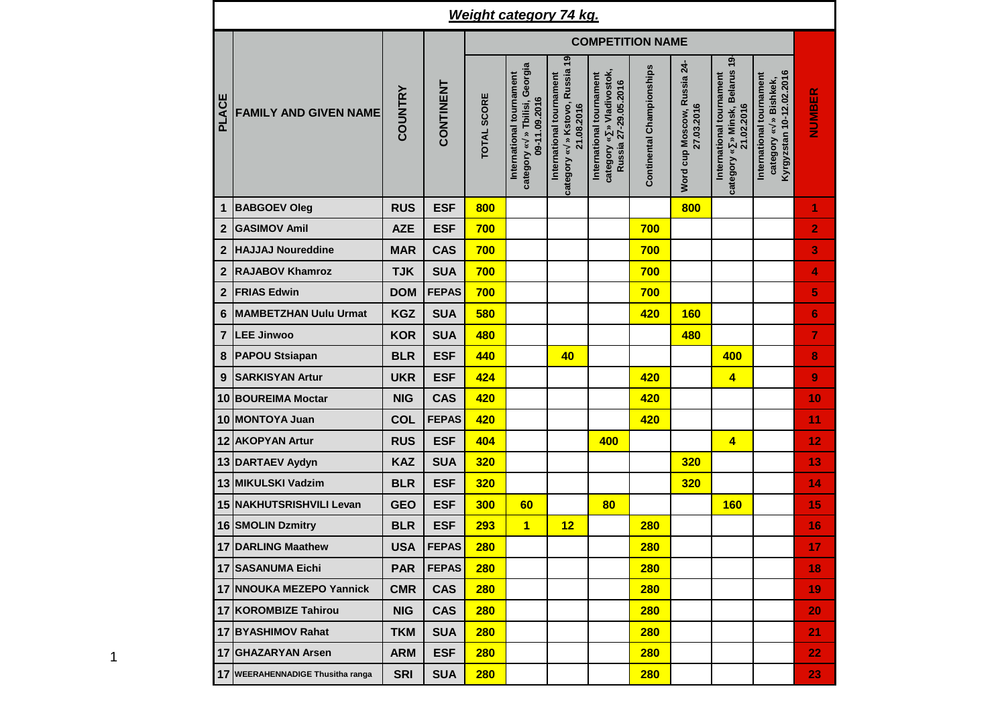|                         |                                  |                |              |                    | <b>Weight category 74 kg.</b>                                              |                                                                          |                                                                               |                           |                                           |                                                                           |                                                                                  |                |
|-------------------------|----------------------------------|----------------|--------------|--------------------|----------------------------------------------------------------------------|--------------------------------------------------------------------------|-------------------------------------------------------------------------------|---------------------------|-------------------------------------------|---------------------------------------------------------------------------|----------------------------------------------------------------------------------|----------------|
|                         |                                  |                |              |                    |                                                                            |                                                                          | <b>COMPETITION NAME</b>                                                       |                           |                                           |                                                                           |                                                                                  |                |
| PLACE                   | <b>FAMILY AND GIVEN NAME</b>     | <b>COUNTRY</b> | CONTINENT    | <b>TOTAL SCORE</b> | category « » Tbilisi, Georgia<br>International tournament<br>09-11.09.2016 | category « » Kstovo, Russia 19<br>International tournament<br>21.08.2016 | category « » Vladivostok,<br>International tournament<br>Russia 27-29.05.2016 | Continental Championships | Word cup Moscow, Russia 24-<br>27.03.2016 | category « » Minsk, Belarus 19-<br>International tournament<br>21.02.2016 | Kyrgyzstan 10-12.02.2016<br>International tournament<br>» Bishkek,<br>category « | NUMBER         |
| $\mathbf{1}$            | <b>BABGOEV Oleg</b>              | <b>RUS</b>     | <b>ESF</b>   | 800                |                                                                            |                                                                          |                                                                               |                           | 800                                       |                                                                           |                                                                                  | 1              |
| $\overline{\mathbf{2}}$ | <b>GASIMOV Amil</b>              | <b>AZE</b>     | <b>ESF</b>   | 700                |                                                                            |                                                                          |                                                                               | 700                       |                                           |                                                                           |                                                                                  | 2              |
| $\mathbf{2}$            | <b>HAJJAJ Noureddine</b>         | <b>MAR</b>     | <b>CAS</b>   | 700                |                                                                            |                                                                          |                                                                               | 700                       |                                           |                                                                           |                                                                                  | 3              |
| $\overline{2}$          | <b>RAJABOV Khamroz</b>           | <b>TJK</b>     | <b>SUA</b>   | 700                |                                                                            |                                                                          |                                                                               | 700                       |                                           |                                                                           |                                                                                  | 4              |
| $\overline{2}$          | <b>FRIAS Edwin</b>               | <b>DOM</b>     | <b>FEPAS</b> | 700                |                                                                            |                                                                          |                                                                               | 700                       |                                           |                                                                           |                                                                                  | 5              |
| 6                       | <b>MAMBETZHAN Uulu Urmat</b>     | <b>KGZ</b>     | <b>SUA</b>   | 580                |                                                                            |                                                                          |                                                                               | 420                       | <b>160</b>                                |                                                                           |                                                                                  | $6\phantom{1}$ |
| $\overline{7}$          | <b>LEE Jinwoo</b>                | <b>KOR</b>     | <b>SUA</b>   | 480                |                                                                            |                                                                          |                                                                               |                           | 480                                       |                                                                           |                                                                                  | $\overline{7}$ |
| 8                       | <b>PAPOU Stsiapan</b>            | <b>BLR</b>     | <b>ESF</b>   | 440                |                                                                            | 40                                                                       |                                                                               |                           |                                           | 400                                                                       |                                                                                  | 8              |
| $9$                     | <b>SARKISYAN Artur</b>           | <b>UKR</b>     | <b>ESF</b>   | 424                |                                                                            |                                                                          |                                                                               | 420                       |                                           | $\overline{\mathbf{4}}$                                                   |                                                                                  | 9              |
| 10                      | <b>BOUREIMA Moctar</b>           | <b>NIG</b>     | <b>CAS</b>   | 420                |                                                                            |                                                                          |                                                                               | 420                       |                                           |                                                                           |                                                                                  | 10             |
| 10                      | <b>MONTOYA Juan</b>              | COL            | <b>FEPAS</b> | 420                |                                                                            |                                                                          |                                                                               | 420                       |                                           |                                                                           |                                                                                  | 11             |
| 12                      | <b>AKOPYAN Artur</b>             | <b>RUS</b>     | <b>ESF</b>   | 404                |                                                                            |                                                                          | 400                                                                           |                           |                                           | 4                                                                         |                                                                                  | 12             |
|                         | 13 DARTAEV Aydyn                 | <b>KAZ</b>     | <b>SUA</b>   | 320                |                                                                            |                                                                          |                                                                               |                           | 320                                       |                                                                           |                                                                                  | 13             |
|                         | 13 MIKULSKI Vadzim               | <b>BLR</b>     | <b>ESF</b>   | 320                |                                                                            |                                                                          |                                                                               |                           | <b>320</b>                                |                                                                           |                                                                                  | 14             |
|                         | 15 NAKHUTSRISHVILI Levan         | <b>GEO</b>     | <b>ESF</b>   | 300                | 60                                                                         |                                                                          | 80                                                                            |                           |                                           | <b>160</b>                                                                |                                                                                  | 15             |
|                         | 16 SMOLIN Dzmitry                | <b>BLR</b>     | <b>ESF</b>   | 293                | $\overline{\mathbf{1}}$                                                    | 12                                                                       |                                                                               | <b>280</b>                |                                           |                                                                           |                                                                                  | 16             |
|                         | 17 DARLING Maathew               | <b>USA</b>     | <b>FEPAS</b> | <b>280</b>         |                                                                            |                                                                          |                                                                               | 280                       |                                           |                                                                           |                                                                                  | 17             |
|                         | 17 SASANUMA Eichi                | <b>PAR</b>     | <b>FEPAS</b> | <b>280</b>         |                                                                            |                                                                          |                                                                               | 280                       |                                           |                                                                           |                                                                                  | 18             |
|                         | 17 NNOUKA MEZEPO Yannick         | <b>CMR</b>     | <b>CAS</b>   | 280                |                                                                            |                                                                          |                                                                               | 280                       |                                           |                                                                           |                                                                                  | 19             |
|                         | 17 KOROMBIZE Tahirou             | <b>NIG</b>     | <b>CAS</b>   | 280                |                                                                            |                                                                          |                                                                               | 280                       |                                           |                                                                           |                                                                                  | 20             |
|                         | 17 BYASHIMOV Rahat               | <b>TKM</b>     | <b>SUA</b>   | 280                |                                                                            |                                                                          |                                                                               | 280                       |                                           |                                                                           |                                                                                  | 21             |
|                         | 17 GHAZARYAN Arsen               | <b>ARM</b>     | <b>ESF</b>   | <b>280</b>         |                                                                            |                                                                          |                                                                               | 280                       |                                           |                                                                           |                                                                                  | 22             |
|                         | 17 WEERAHENNADIGE Thusitha ranga | <b>SRI</b>     | <b>SUA</b>   | <b>280</b>         |                                                                            |                                                                          |                                                                               | 280                       |                                           |                                                                           |                                                                                  | 23             |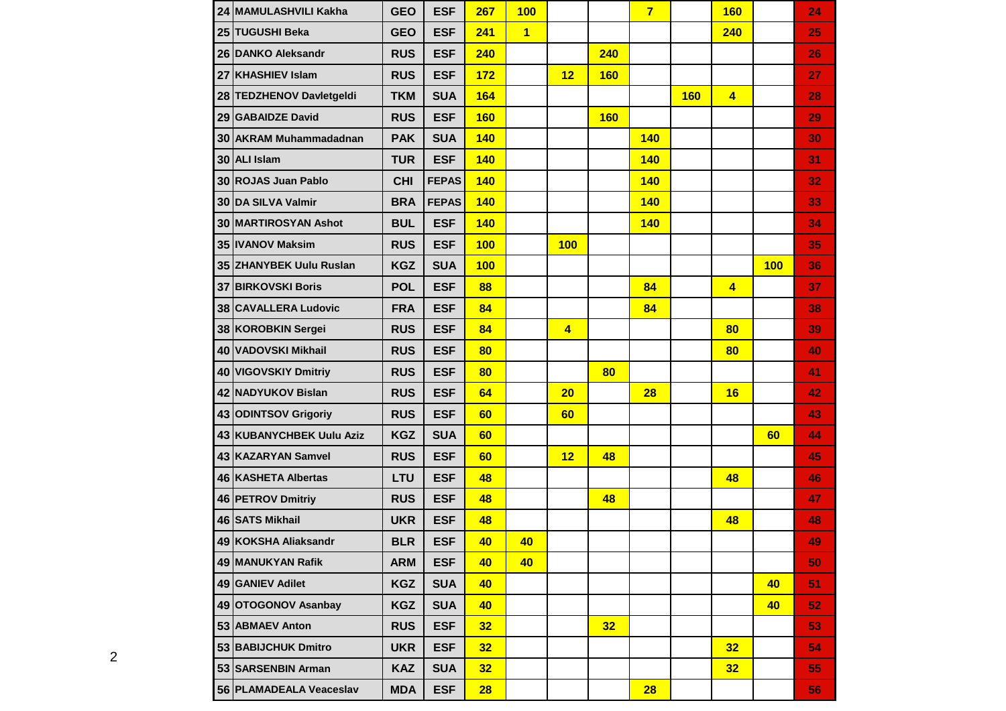| 24 MAMULASHVILI Kakha       | <b>GEO</b> | <b>ESF</b>   | 267             | 100            |                |            | $\overline{7}$ |            | <b>160</b>              |     | 24 |
|-----------------------------|------------|--------------|-----------------|----------------|----------------|------------|----------------|------------|-------------------------|-----|----|
| 25 TUGUSHI Beka             | <b>GEO</b> | <b>ESF</b>   | 241             | $\overline{1}$ |                |            |                |            | 240                     |     | 25 |
| 26 DANKO Aleksandr          | <b>RUS</b> | <b>ESF</b>   | 240             |                |                | 240        |                |            |                         |     | 26 |
| 27 KHASHIEV Islam           | <b>RUS</b> | <b>ESF</b>   | 172             |                | 12             | <b>160</b> |                |            |                         |     | 27 |
| 28 TEDZHENOV Davletgeldi    | <b>TKM</b> | <b>SUA</b>   | 164             |                |                |            |                | <b>160</b> | $\overline{4}$          |     | 28 |
| 29 GABAIDZE David           | <b>RUS</b> | <b>ESF</b>   | <b>160</b>      |                |                | <b>160</b> |                |            |                         |     | 29 |
| 30 AKRAM Muhammadadnan      | <b>PAK</b> | <b>SUA</b>   | <b>140</b>      |                |                |            | <b>140</b>     |            |                         |     | 30 |
| 30 ALI Islam                | <b>TUR</b> | <b>ESF</b>   | <b>140</b>      |                |                |            | <b>140</b>     |            |                         |     | 31 |
| 30 ROJAS Juan Pablo         | <b>CHI</b> | <b>FEPAS</b> | <b>140</b>      |                |                |            | <b>140</b>     |            |                         |     | 32 |
| 30 DA SILVA Valmir          | <b>BRA</b> | <b>FEPAS</b> | <b>140</b>      |                |                |            | <b>140</b>     |            |                         |     | 33 |
| <b>30 MARTIROSYAN Ashot</b> | <b>BUL</b> | <b>ESF</b>   | <b>140</b>      |                |                |            | <b>140</b>     |            |                         |     | 34 |
| 35 IVANOV Maksim            | <b>RUS</b> | <b>ESF</b>   | 100             |                | <b>100</b>     |            |                |            |                         |     | 35 |
| 35 ZHANYBEK Uulu Ruslan     | <b>KGZ</b> | <b>SUA</b>   | 100             |                |                |            |                |            |                         | 100 | 36 |
| <b>37 BIRKOVSKI Boris</b>   | <b>POL</b> | <b>ESF</b>   | 88              |                |                |            | 84             |            | $\overline{\mathbf{4}}$ |     | 37 |
| 38 CAVALLERA Ludovic        | <b>FRA</b> | <b>ESF</b>   | 84              |                |                |            | 84             |            |                         |     | 38 |
| 38 KOROBKIN Sergei          | <b>RUS</b> | <b>ESF</b>   | 84              |                | $\overline{4}$ |            |                |            | 80                      |     | 39 |
| 40 VADOVSKI Mikhail         | <b>RUS</b> | <b>ESF</b>   | 80              |                |                |            |                |            | 80                      |     | 40 |
| 40 VIGOVSKIY Dmitriy        | <b>RUS</b> | <b>ESF</b>   | 80              |                |                | 80         |                |            |                         |     | 41 |
| 42 NADYUKOV Bislan          | <b>RUS</b> | <b>ESF</b>   | 64              |                | 20             |            | 28             |            | 16                      |     | 42 |
| 43 ODINTSOV Grigoriy        | <b>RUS</b> | <b>ESF</b>   | 60              |                | 60             |            |                |            |                         |     | 43 |
| 43 KUBANYCHBEK Uulu Aziz    | <b>KGZ</b> | <b>SUA</b>   | 60              |                |                |            |                |            |                         | 60  | 44 |
| 43 KAZARYAN Samvel          | <b>RUS</b> | <b>ESF</b>   | 60              |                | 12             | 48         |                |            |                         |     | 45 |
| 46 KASHETA Albertas         | LTU        | <b>ESF</b>   | 48              |                |                |            |                |            | 48                      |     | 46 |
| 46 PETROV Dmitriy           | <b>RUS</b> | <b>ESF</b>   | 48              |                |                | 48         |                |            |                         |     | 47 |
| 46 SATS Mikhail             | <b>UKR</b> | <b>ESF</b>   | 48              |                |                |            |                |            | 48                      |     | 48 |
| 49 KOKSHA Aliaksandr        | <b>BLR</b> | <b>ESF</b>   | 40              | 40             |                |            |                |            |                         |     | 49 |
| 49 MANUKYAN Rafik           | <b>ARM</b> | <b>ESF</b>   | 40              | 40             |                |            |                |            |                         |     | 50 |
| 49 GANIEV Adilet            | <b>KGZ</b> | <b>SUA</b>   | 40              |                |                |            |                |            |                         | 40  | 51 |
| 49 OTOGONOV Asanbay         | <b>KGZ</b> | <b>SUA</b>   | 40              |                |                |            |                |            |                         | 40  | 52 |
| 53 ABMAEV Anton             | <b>RUS</b> | <b>ESF</b>   | 32 <sub>2</sub> |                |                | 32         |                |            |                         |     | 53 |
| 53 BABIJCHUK Dmitro         | <b>UKR</b> | <b>ESF</b>   | 32 <sub>2</sub> |                |                |            |                |            | 32                      |     | 54 |
| 53 SARSENBIN Arman          | <b>KAZ</b> | <b>SUA</b>   | 32 <sub>2</sub> |                |                |            |                |            | 32                      |     | 55 |
| 56 PLAMADEALA Veaceslav     | <b>MDA</b> | <b>ESF</b>   | 28              |                |                |            | 28             |            |                         |     | 56 |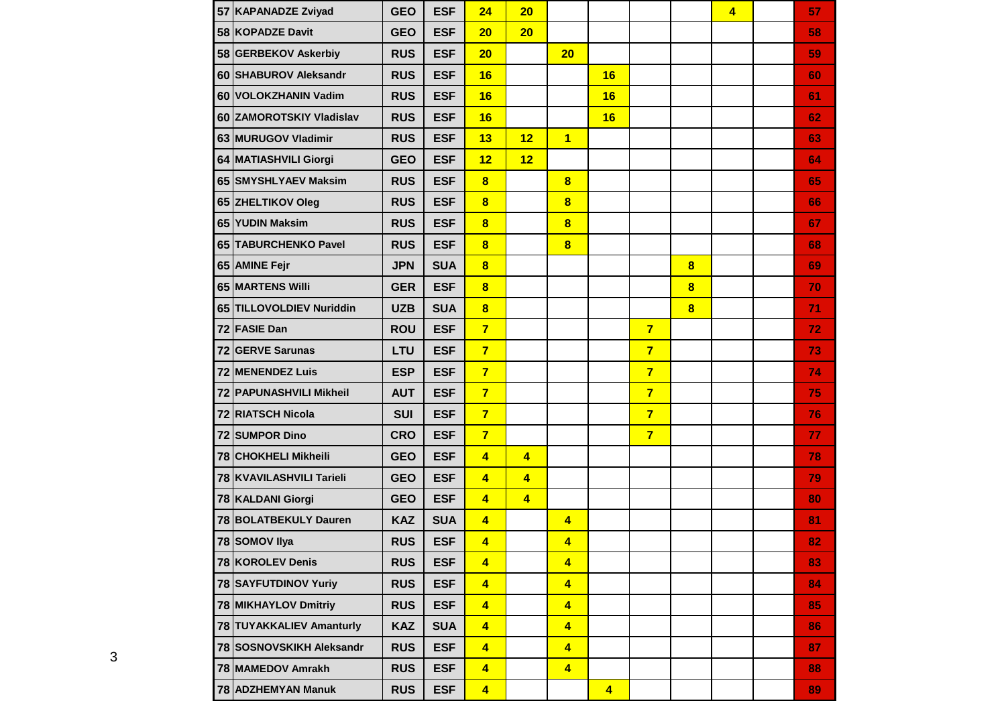| 57 KAPANADZE Zviyad            | <b>GEO</b> | <b>ESF</b> | 24                      | 20                      |                         |                         |                |                         | $\overline{4}$ | 57 |
|--------------------------------|------------|------------|-------------------------|-------------------------|-------------------------|-------------------------|----------------|-------------------------|----------------|----|
| 58 KOPADZE Davit               | <b>GEO</b> | <b>ESF</b> | 20                      | 20                      |                         |                         |                |                         |                | 58 |
| 58 GERBEKOV Askerbiy           | <b>RUS</b> | <b>ESF</b> | 20                      |                         | 20                      |                         |                |                         |                | 59 |
| 60 SHABUROV Aleksandr          | <b>RUS</b> | <b>ESF</b> | 16                      |                         |                         | 16                      |                |                         |                | 60 |
| 60 VOLOKZHANIN Vadim           | <b>RUS</b> | <b>ESF</b> | 16                      |                         |                         | 16                      |                |                         |                | 61 |
| 60 ZAMOROTSKIY Vladislav       | <b>RUS</b> | <b>ESF</b> | 16                      |                         |                         | 16                      |                |                         |                | 62 |
| 63 MURUGOV Vladimir            | <b>RUS</b> | <b>ESF</b> | 13                      | 12                      | $\overline{1}$          |                         |                |                         |                | 63 |
| 64 MATIASHVILI Giorgi          | <b>GEO</b> | <b>ESF</b> | 12                      | 12                      |                         |                         |                |                         |                | 64 |
| 65 SMYSHLYAEV Maksim           | <b>RUS</b> | <b>ESF</b> | $\bf{8}$                |                         | $\bf{8}$                |                         |                |                         |                | 65 |
| 65 ZHELTIKOV Oleg              | <b>RUS</b> | <b>ESF</b> | $\bf{8}$                |                         | $\bf{8}$                |                         |                |                         |                | 66 |
| 65 YUDIN Maksim                | <b>RUS</b> | <b>ESF</b> | $\bf{8}$                |                         | $\bf{8}$                |                         |                |                         |                | 67 |
| 65 TABURCHENKO Pavel           | <b>RUS</b> | <b>ESF</b> | $\bf{8}$                |                         | $\bf{8}$                |                         |                |                         |                | 68 |
| 65 AMINE Fejr                  | <b>JPN</b> | <b>SUA</b> | $\overline{\mathbf{8}}$ |                         |                         |                         |                | $\bf{8}$                |                | 69 |
| 65 MARTENS Willi               | <b>GER</b> | <b>ESF</b> | $\overline{\mathbf{8}}$ |                         |                         |                         |                | $\overline{\mathbf{8}}$ |                | 70 |
| 65 TILLOVOLDIEV Nuriddin       | <b>UZB</b> | <b>SUA</b> | $\overline{\mathbf{8}}$ |                         |                         |                         |                | $\overline{\mathbf{8}}$ |                | 71 |
| 72 FASIE Dan                   | <b>ROU</b> | <b>ESF</b> | $\overline{7}$          |                         |                         |                         | $\overline{7}$ |                         |                | 72 |
| 72 GERVE Sarunas               | LTU        | <b>ESF</b> | $\overline{7}$          |                         |                         |                         | $\overline{7}$ |                         |                | 73 |
| 72 MENENDEZ Luis               | <b>ESP</b> | <b>ESF</b> | $\overline{7}$          |                         |                         |                         | $\overline{7}$ |                         |                | 74 |
| <b>72 PAPUNASHVILI Mikheil</b> | <b>AUT</b> | <b>ESF</b> | $\overline{7}$          |                         |                         |                         | $\overline{7}$ |                         |                | 75 |
| 72 RIATSCH Nicola              | <b>SUI</b> | <b>ESF</b> | $\overline{7}$          |                         |                         |                         | $\overline{7}$ |                         |                | 76 |
| 72 SUMPOR Dino                 | <b>CRO</b> | <b>ESF</b> | $\overline{7}$          |                         |                         |                         | $\overline{7}$ |                         |                | 77 |
| 78 CHOKHELI Mikheili           | <b>GEO</b> | <b>ESF</b> | $\overline{4}$          | $\overline{\mathbf{4}}$ |                         |                         |                |                         |                | 78 |
| 78 KVAVILASHVILI Tarieli       | <b>GEO</b> | <b>ESF</b> | $\overline{4}$          | $\overline{\mathbf{4}}$ |                         |                         |                |                         |                | 79 |
| 78 KALDANI Giorgi              | <b>GEO</b> | <b>ESF</b> | $\overline{\mathbf{4}}$ | $\overline{\mathbf{4}}$ |                         |                         |                |                         |                | 80 |
| 78 BOLATBEKULY Dauren          | <b>KAZ</b> | <b>SUA</b> | $\overline{4}$          |                         | $\blacktriangleleft$    |                         |                |                         |                | 81 |
| 78 SOMOV Ilya                  | <b>RUS</b> | <b>ESF</b> | $\overline{\mathbf{4}}$ |                         | $\overline{\mathbf{4}}$ |                         |                |                         |                | 82 |
| 78 KOROLEV Denis               | <b>RUS</b> | <b>ESF</b> | $\overline{\mathbf{4}}$ |                         | $\overline{\mathbf{4}}$ |                         |                |                         |                | 83 |
| 78 SAYFUTDINOV Yuriy           | <b>RUS</b> | <b>ESF</b> | $\overline{\mathbf{4}}$ |                         | $\overline{\mathbf{4}}$ |                         |                |                         |                | 84 |
| 78 MIKHAYLOV Dmitriy           | <b>RUS</b> | <b>ESF</b> | $\overline{4}$          |                         | $\overline{\mathbf{4}}$ |                         |                |                         |                | 85 |
| 78 TUYAKKALIEV Amanturly       | <b>KAZ</b> | <b>SUA</b> | $\overline{\mathbf{4}}$ |                         | $\overline{\mathbf{4}}$ |                         |                |                         |                | 86 |
| 78 SOSNOVSKIKH Aleksandr       | <b>RUS</b> | <b>ESF</b> | $\overline{\mathbf{4}}$ |                         | $\overline{\mathbf{4}}$ |                         |                |                         |                | 87 |
| 78 MAMEDOV Amrakh              | <b>RUS</b> | <b>ESF</b> | $\overline{\mathbf{4}}$ |                         | $\overline{\mathbf{4}}$ |                         |                |                         |                | 88 |
| 78 ADZHEMYAN Manuk             | <b>RUS</b> | <b>ESF</b> | $\overline{\mathbf{4}}$ |                         |                         | $\overline{\mathbf{4}}$ |                |                         |                | 89 |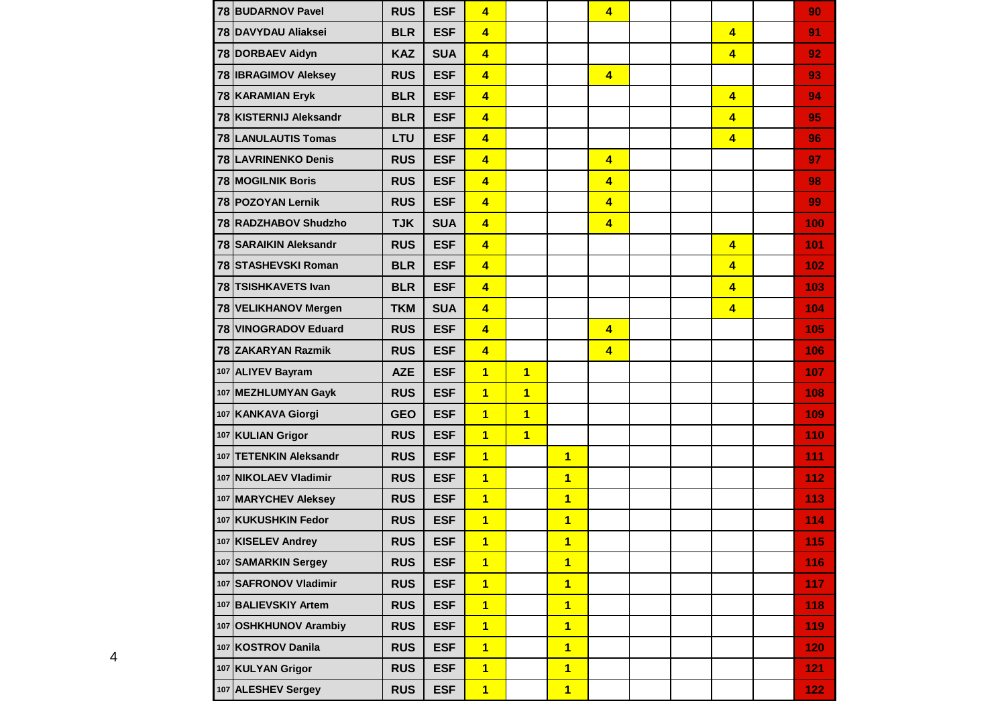| 78 BUDARNOV Pavel           | <b>RUS</b> | <b>ESF</b> | 4                       |                |                         | $\overline{\mathbf{4}}$ |  |                         | 90               |
|-----------------------------|------------|------------|-------------------------|----------------|-------------------------|-------------------------|--|-------------------------|------------------|
| 78 DAVYDAU Aliaksei         | <b>BLR</b> | <b>ESF</b> | $\overline{\mathbf{4}}$ |                |                         |                         |  | $\overline{4}$          | 91               |
| 78 DORBAEV Aidyn            | <b>KAZ</b> | <b>SUA</b> | $\overline{\mathbf{4}}$ |                |                         |                         |  | $\overline{4}$          | 92               |
| 78 <b>IBRAGIMOV</b> Aleksey | <b>RUS</b> | <b>ESF</b> | $\overline{\mathbf{4}}$ |                |                         | $\overline{4}$          |  |                         | 93               |
| 78 KARAMIAN Eryk            | <b>BLR</b> | <b>ESF</b> | $\overline{\mathbf{4}}$ |                |                         |                         |  | $\overline{4}$          | 94               |
| 78 KISTERNIJ Aleksandr      | <b>BLR</b> | <b>ESF</b> | $\overline{\mathbf{4}}$ |                |                         |                         |  | $\overline{\mathbf{4}}$ | 95               |
| <b>78 LANULAUTIS Tomas</b>  | LTU        | <b>ESF</b> | $\overline{4}$          |                |                         |                         |  | $\overline{\mathbf{4}}$ | 96               |
| 78 LAVRINENKO Denis         | <b>RUS</b> | <b>ESF</b> | $\overline{\mathbf{4}}$ |                |                         | $\overline{4}$          |  |                         | 97               |
| 78 MOGILNIK Boris           | <b>RUS</b> | <b>ESF</b> | $\overline{\mathbf{4}}$ |                |                         | $\overline{4}$          |  |                         | 98               |
| 78 POZOYAN Lernik           | <b>RUS</b> | <b>ESF</b> | $\overline{\mathbf{4}}$ |                |                         | $\overline{\mathbf{4}}$ |  |                         | 99               |
| 78 RADZHABOV Shudzho        | <b>TJK</b> | <b>SUA</b> | $\overline{\mathbf{4}}$ |                |                         | $\overline{\mathbf{4}}$ |  |                         | 100              |
| 78 SARAIKIN Aleksandr       | <b>RUS</b> | <b>ESF</b> | $\overline{\mathbf{4}}$ |                |                         |                         |  | $\overline{4}$          | 101              |
| 78 STASHEVSKI Roman         | <b>BLR</b> | <b>ESF</b> | $\overline{4}$          |                |                         |                         |  | $\overline{4}$          | 102              |
| 78 TSISHKAVETS Ivan         | <b>BLR</b> | <b>ESF</b> | $\overline{4}$          |                |                         |                         |  | $\overline{4}$          | 103              |
| 78 VELIKHANOV Mergen        | <b>TKM</b> | <b>SUA</b> | $\overline{\mathbf{4}}$ |                |                         |                         |  | $\overline{4}$          | 104              |
| 78 VINOGRADOV Eduard        | <b>RUS</b> | <b>ESF</b> | $\overline{4}$          |                |                         | $\overline{4}$          |  |                         | 105              |
| 78 ZAKARYAN Razmik          | <b>RUS</b> | <b>ESF</b> | $\overline{4}$          |                |                         | $\overline{4}$          |  |                         | 106              |
| 107 ALIYEV Bayram           | <b>AZE</b> | <b>ESF</b> | $\overline{1}$          | $\overline{1}$ |                         |                         |  |                         | 107              |
| 107 MEZHLUMYAN Gayk         | <b>RUS</b> | <b>ESF</b> | $\overline{1}$          | $\overline{1}$ |                         |                         |  |                         | 108              |
| 107 KANKAVA Giorgi          | <b>GEO</b> | <b>ESF</b> | $\overline{1}$          | $\overline{1}$ |                         |                         |  |                         | 109              |
| 107 KULIAN Grigor           | <b>RUS</b> | <b>ESF</b> | $\overline{1}$          | $\overline{1}$ |                         |                         |  |                         | 110              |
| 107 TETENKIN Aleksandr      | <b>RUS</b> | <b>ESF</b> | $\overline{1}$          |                | $\overline{1}$          |                         |  |                         | 111              |
| 107 NIKOLAEV Vladimir       | <b>RUS</b> | <b>ESF</b> | $\overline{1}$          |                | $\overline{\mathbf{1}}$ |                         |  |                         | 112              |
| 107 MARYCHEV Aleksey        | <b>RUS</b> | <b>ESF</b> | $\overline{1}$          |                | $\overline{\mathbf{1}}$ |                         |  |                         | 113              |
| 107 KUKUSHKIN Fedor         | <b>RUS</b> | <b>ESF</b> | $\overline{1}$          |                | $\overline{\mathbf{1}}$ |                         |  |                         | 114              |
| 107 KISELEV Andrey          | <b>RUS</b> | <b>ESF</b> | $\overline{\mathbf{1}}$ |                | $\overline{\mathbf{1}}$ |                         |  |                         | 115              |
| 107 SAMARKIN Sergey         | <b>RUS</b> | <b>ESF</b> | $\mathbf{1}$            |                | $\overline{1}$          |                         |  |                         | 116              |
| 107 SAFRONOV Vladimir       | <b>RUS</b> | <b>ESF</b> | $\overline{1}$          |                | $\overline{1}$          |                         |  |                         | 117 <sub>1</sub> |
| 107 BALIEVSKIY Artem        | <b>RUS</b> | <b>ESF</b> | $\overline{1}$          |                | $\overline{1}$          |                         |  |                         | 118              |
| 107 OSHKHUNOV Arambiy       | <b>RUS</b> | <b>ESF</b> | $\overline{1}$          |                | $\overline{1}$          |                         |  |                         | 119              |
| 107 KOSTROV Danila          | <b>RUS</b> | <b>ESF</b> | $\overline{1}$          |                | $\overline{1}$          |                         |  |                         | 120 <sub>1</sub> |
| 107 KULYAN Grigor           | <b>RUS</b> | <b>ESF</b> | $\overline{1}$          |                | $\overline{1}$          |                         |  |                         | 121              |
| 107 ALESHEV Sergey          | <b>RUS</b> | <b>ESF</b> | $\overline{1}$          |                | $\overline{1}$          |                         |  |                         | $122 -$          |

┱

 $\blacksquare$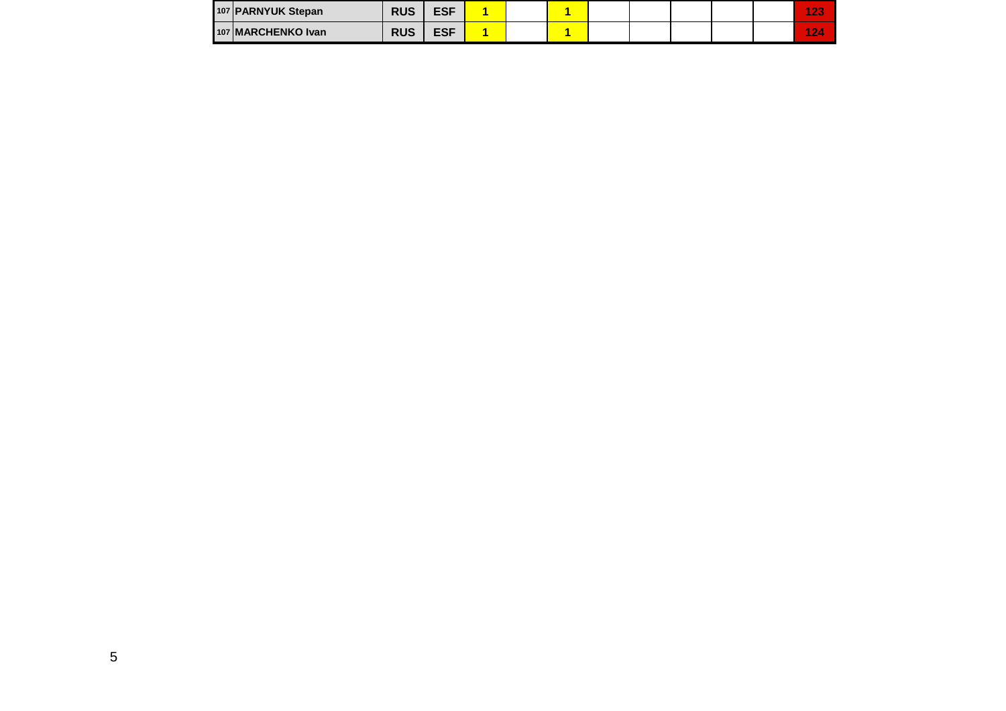| 107 PARNYUK Stepan | <b>RUS</b> | <b>ESF</b> |  |  |  |  | 4.00<br><b>COMPANY</b>     |
|--------------------|------------|------------|--|--|--|--|----------------------------|
| 107 MARCHENKO Ivan | <b>RUS</b> | <b>ESF</b> |  |  |  |  | $\sim$<br>$\sim$<br>$\sim$ |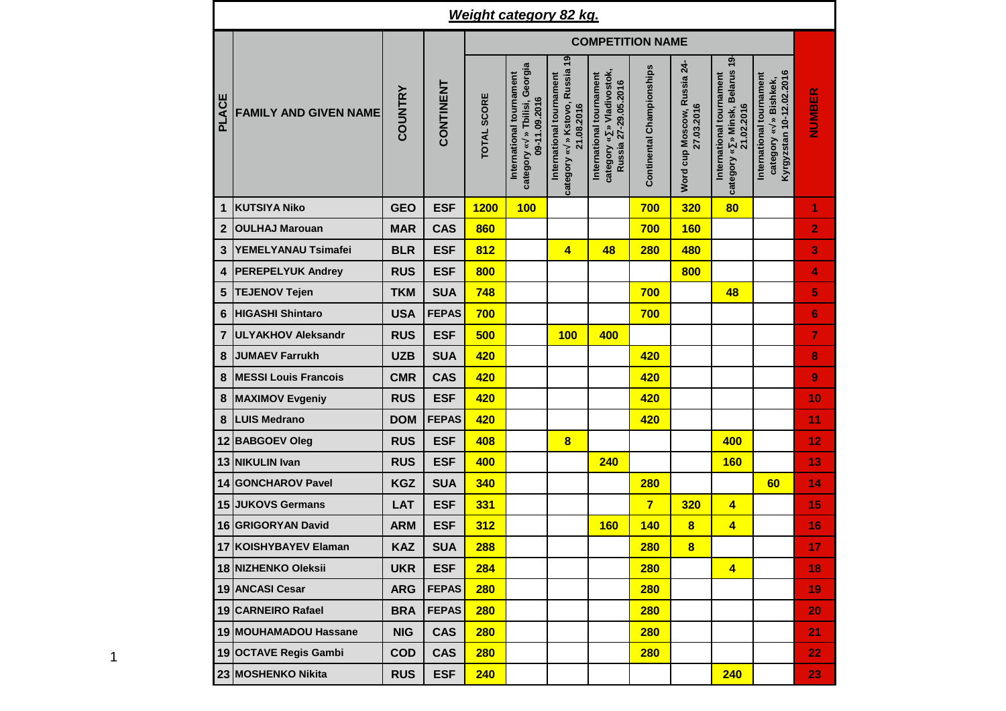|                |                              |                |              |                    | <b>Weight category 82 kg.</b>                                              |                                                                          |                                                                               |                           |                                           |                                                                             |                                                                                  |                |
|----------------|------------------------------|----------------|--------------|--------------------|----------------------------------------------------------------------------|--------------------------------------------------------------------------|-------------------------------------------------------------------------------|---------------------------|-------------------------------------------|-----------------------------------------------------------------------------|----------------------------------------------------------------------------------|----------------|
|                |                              |                |              |                    |                                                                            |                                                                          | <b>COMPETITION NAME</b>                                                       |                           |                                           |                                                                             |                                                                                  |                |
| PLACE          | <b>FAMILY AND GIVEN NAME</b> | <b>COUNTRY</b> | CONTINENT    | <b>TOTAL SCORE</b> | category « » Tbilisi, Georgia<br>International tournament<br>09-11.09.2016 | category « » Kstovo, Russia 19<br>International tournament<br>21.08.2016 | category « » Vladivostok,<br>International tournament<br>Russia 27-29.05.2016 | Continental Championships | Word cup Moscow, Russia 24-<br>27.03.2016 | » Minsk, Belarus 19<br>International tournament<br>21.02.2016<br>category « | Kyrgyzstan 10-12.02.2016<br>International tournament<br>» Bishkek,<br>category « | NUMBER         |
| $\mathbf{1}$   | <b>KUTSIYA Niko</b>          | <b>GEO</b>     | <b>ESF</b>   | <b>1200</b>        | 100                                                                        |                                                                          |                                                                               | 700                       | 320                                       | 80                                                                          |                                                                                  | 1              |
| $\mathbf{2}$   | <b>OULHAJ Marouan</b>        | <b>MAR</b>     | <b>CAS</b>   | 860                |                                                                            |                                                                          |                                                                               | 700                       | <b>160</b>                                |                                                                             |                                                                                  | 2              |
| $\mathbf{3}$   | YEMELYANAU Tsimafei          | <b>BLR</b>     | <b>ESF</b>   | 812                |                                                                            | 4                                                                        | 48                                                                            | <b>280</b>                | 480                                       |                                                                             |                                                                                  | 3              |
| 4              | <b>PEREPELYUK Andrey</b>     | <b>RUS</b>     | <b>ESF</b>   | 800                |                                                                            |                                                                          |                                                                               |                           | 800                                       |                                                                             |                                                                                  | 4              |
| 5              | <b>TEJENOV Tejen</b>         | <b>TKM</b>     | <b>SUA</b>   | 748                |                                                                            |                                                                          |                                                                               | 700                       |                                           | 48                                                                          |                                                                                  | 5              |
| 6              | <b>HIGASHI Shintaro</b>      | <b>USA</b>     | <b>FEPAS</b> | 700                |                                                                            |                                                                          |                                                                               | 700                       |                                           |                                                                             |                                                                                  | $6\phantom{1}$ |
| $\overline{7}$ | <b>ULYAKHOV Aleksandr</b>    | <b>RUS</b>     | <b>ESF</b>   | 500                |                                                                            | 100                                                                      | 400                                                                           |                           |                                           |                                                                             |                                                                                  | $\overline{7}$ |
| $\bf 8$        | <b>JUMAEV Farrukh</b>        | <b>UZB</b>     | <b>SUA</b>   | 420                |                                                                            |                                                                          |                                                                               | 420                       |                                           |                                                                             |                                                                                  | 8              |
| $\bf 8$        | <b>MESSI Louis Francois</b>  | <b>CMR</b>     | <b>CAS</b>   | 420                |                                                                            |                                                                          |                                                                               | 420                       |                                           |                                                                             |                                                                                  | 9              |
| 8              | <b>MAXIMOV Evgeniy</b>       | <b>RUS</b>     | <b>ESF</b>   | 420                |                                                                            |                                                                          |                                                                               | 420                       |                                           |                                                                             |                                                                                  | 10             |
| $\bf 8$        | <b>LUIS Medrano</b>          | <b>DOM</b>     | <b>FEPAS</b> | 420                |                                                                            |                                                                          |                                                                               | 420                       |                                           |                                                                             |                                                                                  | 11             |
| 12             | <b>BABGOEV Oleg</b>          | <b>RUS</b>     | <b>ESF</b>   | 408                |                                                                            | 8                                                                        |                                                                               |                           |                                           | 400                                                                         |                                                                                  | 12             |
| 13             | <b>NIKULIN Ivan</b>          | <b>RUS</b>     | <b>ESF</b>   | 400                |                                                                            |                                                                          | 240                                                                           |                           |                                           | <b>160</b>                                                                  |                                                                                  | 13             |
| 14             | <b>GONCHAROV Pavel</b>       | <b>KGZ</b>     | <b>SUA</b>   | 340                |                                                                            |                                                                          |                                                                               | <b>280</b>                |                                           |                                                                             | 60                                                                               | 14             |
| 15             | <b>JUKOVS Germans</b>        | <b>LAT</b>     | <b>ESF</b>   | 331                |                                                                            |                                                                          |                                                                               | $\overline{7}$            | <b>320</b>                                | 4                                                                           |                                                                                  | 15             |
|                | 16 GRIGORYAN David           | <b>ARM</b>     | <b>ESF</b>   | 312                |                                                                            |                                                                          | <b>160</b>                                                                    | <b>140</b>                | 8                                         | 4                                                                           |                                                                                  | 16             |
|                | 17 KOISHYBAYEV Elaman        | <b>KAZ</b>     | <b>SUA</b>   | 288                |                                                                            |                                                                          |                                                                               | <b>280</b>                | 8                                         |                                                                             |                                                                                  | 17             |
|                | 18 NIZHENKO Oleksii          | <b>UKR</b>     | <b>ESF</b>   | 284                |                                                                            |                                                                          |                                                                               | <b>280</b>                |                                           | $\overline{4}$                                                              |                                                                                  | 18             |
|                | 19 ANCASI Cesar              | <b>ARG</b>     | <b>FEPAS</b> | 280                |                                                                            |                                                                          |                                                                               | 280                       |                                           |                                                                             |                                                                                  | 19             |
|                | 19 CARNEIRO Rafael           | <b>BRA</b>     | <b>FEPAS</b> | 280                |                                                                            |                                                                          |                                                                               | 280                       |                                           |                                                                             |                                                                                  | 20             |
|                | 19 MOUHAMADOU Hassane        | <b>NIG</b>     | <b>CAS</b>   | <b>280</b>         |                                                                            |                                                                          |                                                                               | 280                       |                                           |                                                                             |                                                                                  | 21             |
|                | 19 OCTAVE Regis Gambi        | <b>COD</b>     | <b>CAS</b>   | 280                |                                                                            |                                                                          |                                                                               | <b>280</b>                |                                           |                                                                             |                                                                                  | 22             |
|                | 23 MOSHENKO Nikita           | <b>RUS</b>     | <b>ESF</b>   | 240                |                                                                            |                                                                          |                                                                               |                           |                                           | 240                                                                         |                                                                                  | 23             |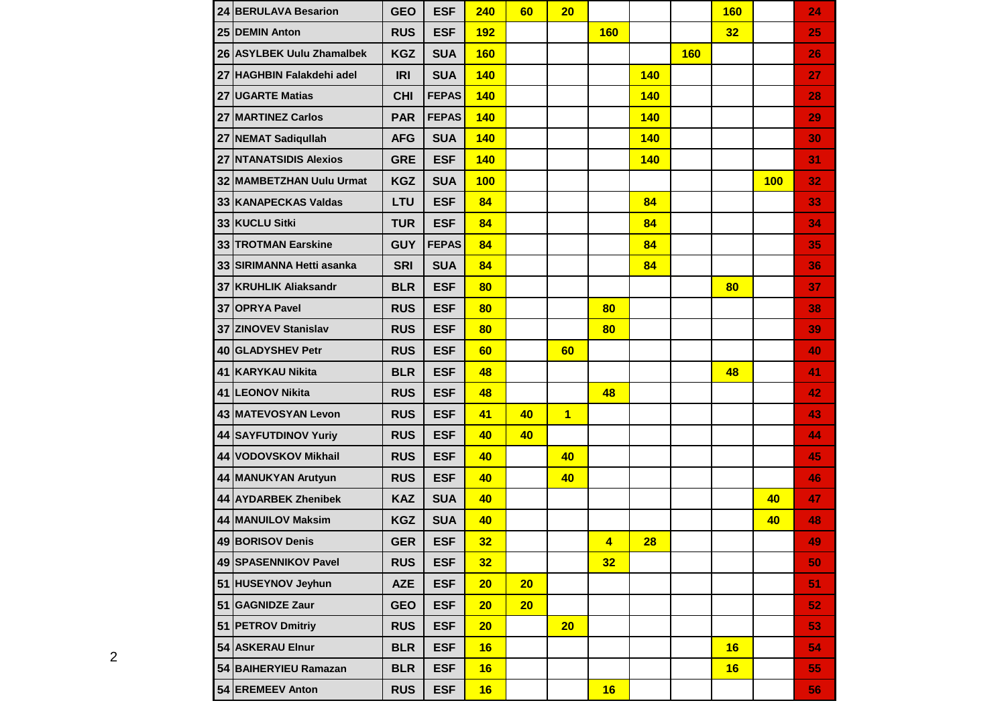|    | 24 BERULAVA Besarion         | <b>GEO</b> | <b>ESF</b>   | 240        | 60 | 20             |                 |            |            | <b>160</b> |            | 24              |
|----|------------------------------|------------|--------------|------------|----|----------------|-----------------|------------|------------|------------|------------|-----------------|
|    | 25 DEMIN Anton               | <b>RUS</b> | <b>ESF</b>   | <b>192</b> |    |                | <b>160</b>      |            |            | 32         |            | 25              |
|    | 26 ASYLBEK Uulu Zhamalbek    | <b>KGZ</b> | <b>SUA</b>   | <b>160</b> |    |                |                 |            | <b>160</b> |            |            | 26              |
|    | 27 HAGHBIN Falakdehi adel    | <b>IRI</b> | <b>SUA</b>   | 140        |    |                |                 | <b>140</b> |            |            |            | 27              |
|    | 27 UGARTE Matias             | <b>CHI</b> | <b>FEPAS</b> | 140        |    |                |                 | <b>140</b> |            |            |            | 28              |
| 27 | <b>MARTINEZ Carlos</b>       | <b>PAR</b> | <b>FEPAS</b> | 140        |    |                |                 | <b>140</b> |            |            |            | 29              |
|    | 27 NEMAT Sadiquilah          | <b>AFG</b> | <b>SUA</b>   | 140        |    |                |                 | <b>140</b> |            |            |            | 30              |
|    | 27 NTANATSIDIS Alexios       | <b>GRE</b> | <b>ESF</b>   | 140        |    |                |                 | <b>140</b> |            |            |            | 31              |
| 32 | <b>MAMBETZHAN Uulu Urmat</b> | <b>KGZ</b> | <b>SUA</b>   | 100        |    |                |                 |            |            |            | <b>100</b> | 32              |
|    | 33 KANAPECKAS Valdas         | LTU        | <b>ESF</b>   | 84         |    |                |                 | 84         |            |            |            | 33              |
|    | 33 KUCLU Sitki               | <b>TUR</b> | <b>ESF</b>   | 84         |    |                |                 | 84         |            |            |            | 34              |
|    | 33 TROTMAN Earskine          | <b>GUY</b> | <b>FEPAS</b> | 84         |    |                |                 | 84         |            |            |            | 35              |
|    | 33 SIRIMANNA Hetti asanka    | <b>SRI</b> | <b>SUA</b>   | 84         |    |                |                 | 84         |            |            |            | 36              |
|    | 37 KRUHLIK Aliaksandr        | <b>BLR</b> | <b>ESF</b>   | 80         |    |                |                 |            |            | 80         |            | 37              |
|    | <b>37 OPRYA Pavel</b>        | <b>RUS</b> | <b>ESF</b>   | 80         |    |                | 80              |            |            |            |            | 38              |
|    | 37 ZINOVEV Stanislav         | <b>RUS</b> | <b>ESF</b>   | 80         |    |                | 80              |            |            |            |            | 39              |
|    | 40 GLADYSHEV Petr            | <b>RUS</b> | <b>ESF</b>   | 60         |    | 60             |                 |            |            |            |            | 40              |
|    | 41 KARYKAU Nikita            | <b>BLR</b> | <b>ESF</b>   | 48         |    |                |                 |            |            | 48         |            | 41              |
| 41 | <b>LEONOV Nikita</b>         | <b>RUS</b> | <b>ESF</b>   | 48         |    |                | 48              |            |            |            |            | 42              |
|    | 43 MATEVOSYAN Levon          | <b>RUS</b> | <b>ESF</b>   | 41         | 40 | $\overline{1}$ |                 |            |            |            |            | 43              |
|    | 44 SAYFUTDINOV Yuriy         | <b>RUS</b> | <b>ESF</b>   | 40         | 40 |                |                 |            |            |            |            | 44              |
|    | 44 VODOVSKOV Mikhail         | <b>RUS</b> | <b>ESF</b>   | 40         |    | 40             |                 |            |            |            |            | 45              |
|    | 44 MANUKYAN Arutyun          | <b>RUS</b> | <b>ESF</b>   | 40         |    | 40             |                 |            |            |            |            | 46              |
|    | 44 AYDARBEK Zhenibek         | <b>KAZ</b> | <b>SUA</b>   | 40         |    |                |                 |            |            |            | 40         | 47              |
|    | 44 MANUILOV Maksim           | <b>KGZ</b> | <b>SUA</b>   | 40         |    |                |                 |            |            |            | 40         | 48              |
|    | 49 BORISOV Denis             | <b>GER</b> | <b>ESF</b>   | 32         |    |                | $\overline{4}$  | 28         |            |            |            | 49              |
|    | 49 SPASENNIKOV Pavel         | <b>RUS</b> | <b>ESF</b>   | 32         |    |                | 32 <sub>2</sub> |            |            |            |            | 50              |
|    | 51 HUSEYNOV Jeyhun           | <b>AZE</b> | <b>ESF</b>   | 20         | 20 |                |                 |            |            |            |            | 51              |
|    | 51 GAGNIDZE Zaur             | <b>GEO</b> | <b>ESF</b>   | 20         | 20 |                |                 |            |            |            |            | 52              |
|    | 51 PETROV Dmitriy            | <b>RUS</b> | <b>ESF</b>   | 20         |    | 20             |                 |            |            |            |            | 53              |
|    | 54 ASKERAU Elnur             | <b>BLR</b> | <b>ESF</b>   | 16         |    |                |                 |            |            | 16         |            | 54              |
|    | 54 BAIHERYIEU Ramazan        | <b>BLR</b> | <b>ESF</b>   | 16         |    |                |                 |            |            | 16         |            | 55 <sub>1</sub> |
|    | 54 EREMEEV Anton             | <b>RUS</b> | <b>ESF</b>   | 16         |    |                | 16              |            |            |            |            | 56              |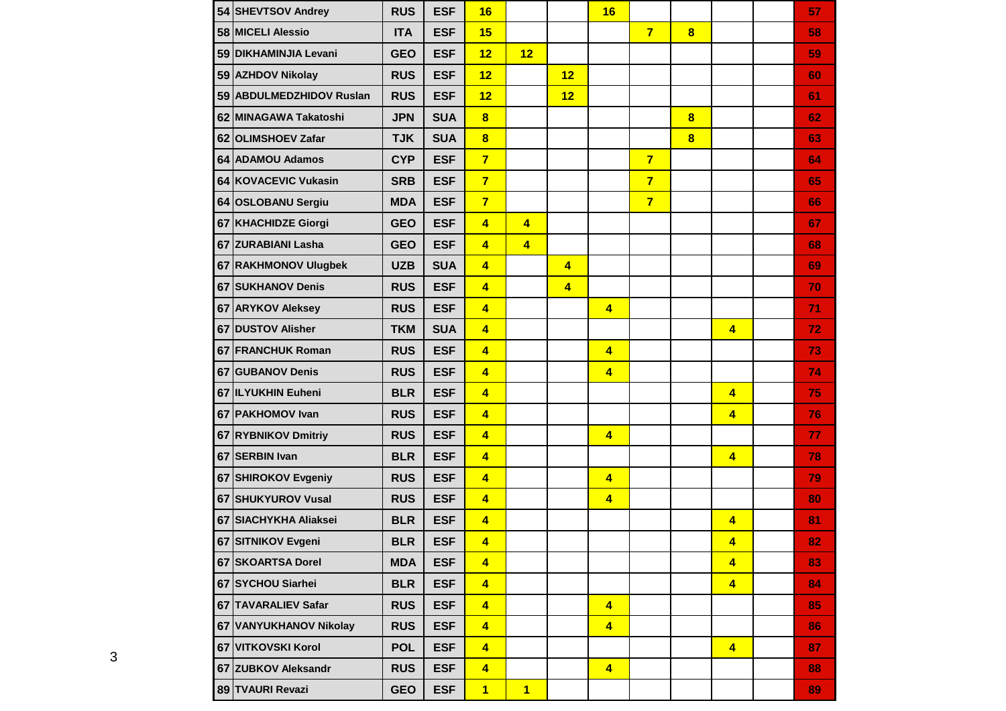|    | 54 SHEVTSOV Andrey       | <b>RUS</b> | <b>ESF</b> | 16                      |                         |                         | 16                      |                |   |                         | 57 |
|----|--------------------------|------------|------------|-------------------------|-------------------------|-------------------------|-------------------------|----------------|---|-------------------------|----|
|    | 58 MICELI Alessio        | <b>ITA</b> | <b>ESF</b> | 15                      |                         |                         |                         | $\overline{7}$ | 8 |                         | 58 |
|    | 59 DIKHAMINJIA Levani    | <b>GEO</b> | <b>ESF</b> | 12                      | 12                      |                         |                         |                |   |                         | 59 |
|    | 59 AZHDOV Nikolay        | <b>RUS</b> | <b>ESF</b> | 12                      |                         | 12                      |                         |                |   |                         | 60 |
|    | 59 ABDULMEDZHIDOV Ruslan | <b>RUS</b> | <b>ESF</b> | 12                      |                         | 12                      |                         |                |   |                         | 61 |
|    | 62 MINAGAWA Takatoshi    | <b>JPN</b> | <b>SUA</b> | $\overline{\mathbf{8}}$ |                         |                         |                         |                | 8 |                         | 62 |
|    | 62 OLIMSHOEV Zafar       | <b>TJK</b> | <b>SUA</b> | $\overline{\mathbf{8}}$ |                         |                         |                         |                | 8 |                         | 63 |
|    | 64 ADAMOU Adamos         | <b>CYP</b> | <b>ESF</b> | $\overline{7}$          |                         |                         |                         | $\overline{7}$ |   |                         | 64 |
|    | 64 KOVACEVIC Vukasin     | <b>SRB</b> | <b>ESF</b> | $\overline{7}$          |                         |                         |                         | $\overline{7}$ |   |                         | 65 |
|    | 64 OSLOBANU Sergiu       | <b>MDA</b> | <b>ESF</b> | $\overline{7}$          |                         |                         |                         | $\overline{7}$ |   |                         | 66 |
|    | 67 KHACHIDZE Giorgi      | <b>GEO</b> | <b>ESF</b> | $\overline{4}$          | $\overline{4}$          |                         |                         |                |   |                         | 67 |
|    | 67 ZURABIANI Lasha       | <b>GEO</b> | <b>ESF</b> | $\overline{\mathbf{4}}$ | $\overline{\mathbf{4}}$ |                         |                         |                |   |                         | 68 |
| 67 | <b>RAKHMONOV Ulugbek</b> | <b>UZB</b> | <b>SUA</b> | $\overline{\mathbf{4}}$ |                         | $\overline{4}$          |                         |                |   |                         | 69 |
|    | 67 SUKHANOV Denis        | <b>RUS</b> | <b>ESF</b> | $\overline{\mathbf{4}}$ |                         | $\overline{\mathbf{4}}$ |                         |                |   |                         | 70 |
| 67 | <b>ARYKOV Aleksey</b>    | <b>RUS</b> | <b>ESF</b> | $\overline{\mathbf{4}}$ |                         |                         | $\overline{\mathbf{4}}$ |                |   |                         | 71 |
| 67 | <b>DUSTOV Alisher</b>    | <b>TKM</b> | <b>SUA</b> | $\overline{4}$          |                         |                         |                         |                |   | $\overline{4}$          | 72 |
|    | 67 FRANCHUK Roman        | <b>RUS</b> | <b>ESF</b> | $\overline{4}$          |                         |                         | $\overline{4}$          |                |   |                         | 73 |
|    | 67 GUBANOV Denis         | <b>RUS</b> | <b>ESF</b> | $\overline{\mathbf{4}}$ |                         |                         | $\overline{\mathbf{4}}$ |                |   |                         | 74 |
|    | 67 ILYUKHIN Euheni       | <b>BLR</b> | <b>ESF</b> | $\overline{4}$          |                         |                         |                         |                |   | $\overline{4}$          | 75 |
|    | 67 PAKHOMOV Ivan         | <b>RUS</b> | <b>ESF</b> | $\overline{\mathbf{4}}$ |                         |                         |                         |                |   | $\overline{4}$          | 76 |
|    | 67 RYBNIKOV Dmitriy      | <b>RUS</b> | <b>ESF</b> | $\overline{4}$          |                         |                         | $\overline{\mathbf{4}}$ |                |   |                         | 77 |
|    | 67 SERBIN Ivan           | <b>BLR</b> | <b>ESF</b> | $\overline{4}$          |                         |                         |                         |                |   | $\overline{4}$          | 78 |
|    | 67 SHIROKOV Evgeniy      | <b>RUS</b> | <b>ESF</b> | $\overline{4}$          |                         |                         | $\overline{\mathbf{4}}$ |                |   |                         | 79 |
|    | 67 SHUKYUROV Vusal       | <b>RUS</b> | <b>ESF</b> | $\overline{4}$          |                         |                         | $\overline{4}$          |                |   |                         | 80 |
|    | 67 SIACHYKHA Aliaksei    | <b>BLR</b> | <b>ESF</b> | $\overline{4}$          |                         |                         |                         |                |   | $\overline{4}$          | 81 |
|    | 67 SITNIKOV Evgeni       | <b>BLR</b> | <b>ESF</b> | $\overline{\mathbf{4}}$ |                         |                         |                         |                |   | $\overline{\mathbf{4}}$ | 82 |
|    | 67 SKOARTSA Dorel        | <b>MDA</b> | <b>ESF</b> | $\overline{4}$          |                         |                         |                         |                |   | $\overline{4}$          | 83 |
|    | 67 SYCHOU Siarhei        | <b>BLR</b> | <b>ESF</b> | $\overline{4}$          |                         |                         |                         |                |   | $\overline{4}$          | 84 |
|    | 67 TAVARALIEV Safar      | <b>RUS</b> | <b>ESF</b> | $\overline{4}$          |                         |                         | $\overline{4}$          |                |   |                         | 85 |
|    | 67 VANYUKHANOV Nikolay   | <b>RUS</b> | <b>ESF</b> | $\overline{\mathbf{4}}$ |                         |                         | $\overline{\mathbf{4}}$ |                |   |                         | 86 |
|    | 67 VITKOVSKI Korol       | <b>POL</b> | <b>ESF</b> | $\overline{\mathbf{4}}$ |                         |                         |                         |                |   | $\overline{4}$          | 87 |
|    | 67 ZUBKOV Aleksandr      | <b>RUS</b> | <b>ESF</b> | $\overline{\mathbf{4}}$ |                         |                         | $\overline{\mathbf{4}}$ |                |   |                         | 88 |
|    | 89 TVAURI Revazi         | <b>GEO</b> | <b>ESF</b> | $\overline{1}$          | $\overline{1}$          |                         |                         |                |   |                         | 89 |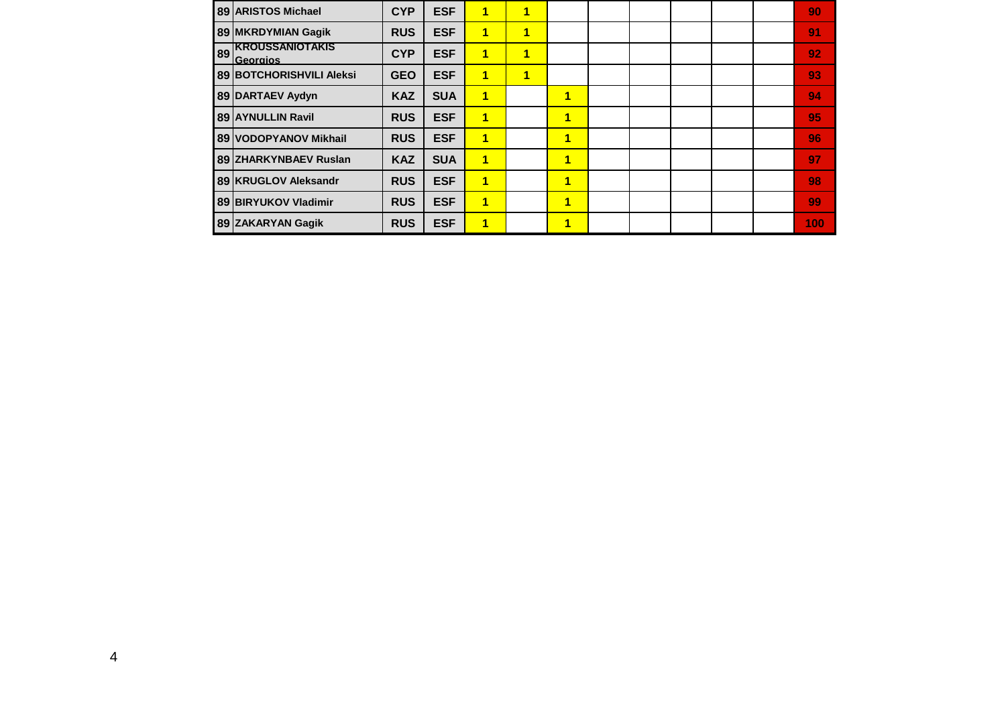|    | 89 ARISTOS Michael                  | <b>CYP</b> | <b>ESF</b> | 1              | 1 |                |  |  | 90  |
|----|-------------------------------------|------------|------------|----------------|---|----------------|--|--|-----|
|    | 89 MKRDYMIAN Gagik                  | <b>RUS</b> | <b>ESF</b> | $\blacksquare$ | 1 |                |  |  | 91  |
| 89 | <b>IKROUSSANIOTAKIS</b><br>Georgios | <b>CYP</b> | <b>ESF</b> | 1              | 1 |                |  |  | 92  |
|    | <b>89 BOTCHORISHVILI Aleksi</b>     | <b>GEO</b> | <b>ESF</b> | 1              | 1 |                |  |  | 93  |
|    | 89 DARTAEV Aydyn                    | <b>KAZ</b> | <b>SUA</b> | 1              |   | 1              |  |  | 94  |
|    | 89 AYNULLIN Ravil                   | <b>RUS</b> | <b>ESF</b> | 1              |   | 1              |  |  | 95  |
|    | 89 VODOPYANOV Mikhail               | <b>RUS</b> | <b>ESF</b> | 1              |   | 1              |  |  | 96  |
|    | 89 ZHARKYNBAEV Ruslan               | <b>KAZ</b> | <b>SUA</b> | 1              |   | $\blacksquare$ |  |  | 97  |
|    | 89 KRUGLOV Aleksandr                | <b>RUS</b> | <b>ESF</b> | 1              |   | 1              |  |  | 98  |
|    | <b>89 BIRYUKOV Vladimir</b>         | <b>RUS</b> | <b>ESF</b> | 1              |   | 1              |  |  | 99  |
|    | 89 ZAKARYAN Gagik                   | <b>RUS</b> | <b>ESF</b> | 1              |   | 1              |  |  | 100 |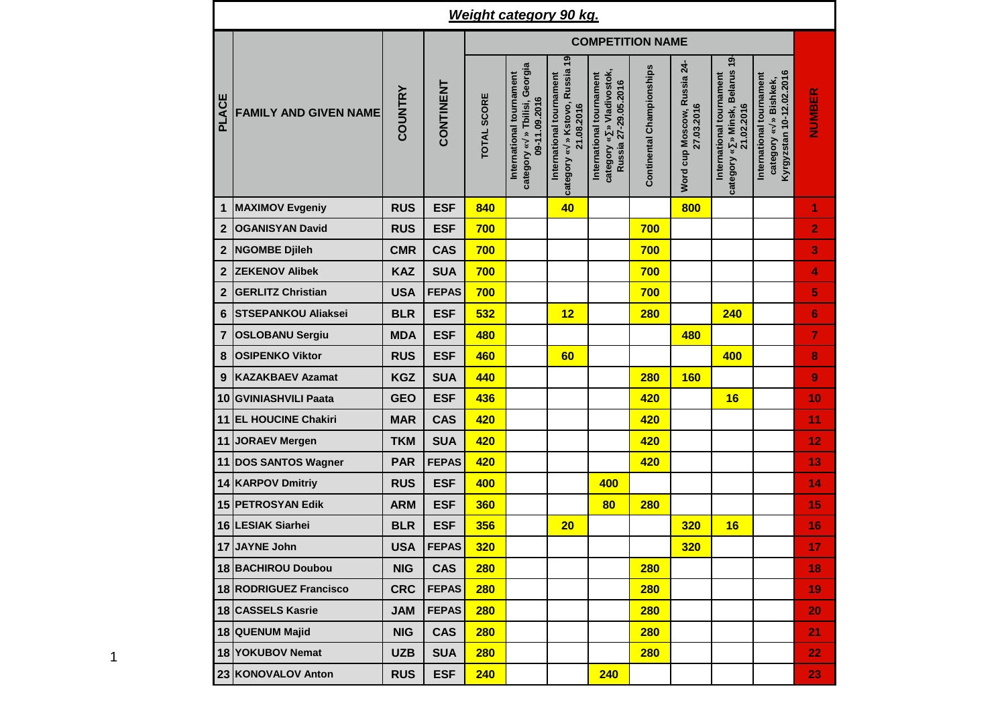|                | <b>Weight category 90 kg.</b> |                |              |                         |                                                                               |                                                                             |                                                                               |                           |                                           |                                                                           |                                                                                  |                |  |  |  |  |
|----------------|-------------------------------|----------------|--------------|-------------------------|-------------------------------------------------------------------------------|-----------------------------------------------------------------------------|-------------------------------------------------------------------------------|---------------------------|-------------------------------------------|---------------------------------------------------------------------------|----------------------------------------------------------------------------------|----------------|--|--|--|--|
|                |                               |                |              | <b>COMPETITION NAME</b> |                                                                               |                                                                             |                                                                               |                           |                                           |                                                                           |                                                                                  |                |  |  |  |  |
| <b>PLACE</b>   | <b>FAMILY AND GIVEN NAME</b>  | <b>COUNTRY</b> | CONTINENT    | TOTAL SCORE             | » Tbilisi, Georgia<br>International tournament<br>09-11.09.2016<br>category « | » Kstovo, Russia 19<br>International tournament<br>21.08.2016<br>category « | category « » Vladivostok,<br>International tournament<br>Russia 27-29.05.2016 | Continental Championships | Word cup Moscow, Russia 24-<br>27.03.2016 | category « » Minsk, Belarus 19-<br>International tournament<br>21.02.2016 | Kyrgyzstan 10-12.02.2016<br>International tournament<br>» Bishkek,<br>category « | NUMBER         |  |  |  |  |
| 1              | <b>MAXIMOV Evgeniy</b>        | <b>RUS</b>     | <b>ESF</b>   | 840                     |                                                                               | 40                                                                          |                                                                               |                           | 800                                       |                                                                           |                                                                                  | 1              |  |  |  |  |
| $\overline{2}$ | <b>OGANISYAN David</b>        | <b>RUS</b>     | <b>ESF</b>   | 700                     |                                                                               |                                                                             |                                                                               | 700                       |                                           |                                                                           |                                                                                  | $\overline{2}$ |  |  |  |  |
| $\mathbf{2}$   | <b>NGOMBE Djileh</b>          | <b>CMR</b>     | <b>CAS</b>   | 700                     |                                                                               |                                                                             |                                                                               | 700                       |                                           |                                                                           |                                                                                  | 3              |  |  |  |  |
| $\overline{2}$ | <b>ZEKENOV Alibek</b>         | <b>KAZ</b>     | <b>SUA</b>   | 700                     |                                                                               |                                                                             |                                                                               | 700                       |                                           |                                                                           |                                                                                  | 4              |  |  |  |  |
| $\overline{2}$ | <b>GERLITZ Christian</b>      | <b>USA</b>     | <b>FEPAS</b> | 700                     |                                                                               |                                                                             |                                                                               | 700                       |                                           |                                                                           |                                                                                  | 5              |  |  |  |  |
| 6              | <b>STSEPANKOU Aliaksei</b>    | <b>BLR</b>     | <b>ESF</b>   | 532                     |                                                                               | 12                                                                          |                                                                               | <b>280</b>                |                                           | 240                                                                       |                                                                                  | $6\phantom{1}$ |  |  |  |  |
| 7              | <b>OSLOBANU Sergiu</b>        | <b>MDA</b>     | <b>ESF</b>   | 480                     |                                                                               |                                                                             |                                                                               |                           | 480                                       |                                                                           |                                                                                  | 7              |  |  |  |  |
| 8              | <b>OSIPENKO Viktor</b>        | <b>RUS</b>     | <b>ESF</b>   | 460                     |                                                                               | 60                                                                          |                                                                               |                           |                                           | 400                                                                       |                                                                                  | 8              |  |  |  |  |
| 9              | <b>KAZAKBAEV Azamat</b>       | <b>KGZ</b>     | <b>SUA</b>   | 440                     |                                                                               |                                                                             |                                                                               | <b>280</b>                | <b>160</b>                                |                                                                           |                                                                                  | 9              |  |  |  |  |
| 10             | <b>GVINIASHVILI Paata</b>     | <b>GEO</b>     | <b>ESF</b>   | 436                     |                                                                               |                                                                             |                                                                               | 420                       |                                           | 16                                                                        |                                                                                  | 10             |  |  |  |  |
| 11             | <b>EL HOUCINE Chakiri</b>     | <b>MAR</b>     | <b>CAS</b>   | 420                     |                                                                               |                                                                             |                                                                               | 420                       |                                           |                                                                           |                                                                                  | 11             |  |  |  |  |
| 11             | <b>JORAEV Mergen</b>          | <b>TKM</b>     | <b>SUA</b>   | 420                     |                                                                               |                                                                             |                                                                               | 420                       |                                           |                                                                           |                                                                                  | 12             |  |  |  |  |
| 11             | <b>DOS SANTOS Wagner</b>      | <b>PAR</b>     | <b>FEPAS</b> | 420                     |                                                                               |                                                                             |                                                                               | 420                       |                                           |                                                                           |                                                                                  | 13             |  |  |  |  |
|                | 14 KARPOV Dmitriy             | <b>RUS</b>     | <b>ESF</b>   | 400                     |                                                                               |                                                                             | 400                                                                           |                           |                                           |                                                                           |                                                                                  | 14             |  |  |  |  |
| 15             | <b>PETROSYAN Edik</b>         | <b>ARM</b>     | <b>ESF</b>   | 360                     |                                                                               |                                                                             | 80                                                                            | <b>280</b>                |                                           |                                                                           |                                                                                  | 15             |  |  |  |  |
|                | 16 LESIAK Siarhei             | <b>BLR</b>     | <b>ESF</b>   | 356                     |                                                                               | 20                                                                          |                                                                               |                           | <b>320</b>                                | 16                                                                        |                                                                                  | 16             |  |  |  |  |
|                | 17 JAYNE John                 | <b>USA</b>     | <b>FEPAS</b> | <b>320</b>              |                                                                               |                                                                             |                                                                               |                           | <b>320</b>                                |                                                                           |                                                                                  | 17             |  |  |  |  |
|                | <b>18 BACHIROU Doubou</b>     | <b>NIG</b>     | <b>CAS</b>   | 280                     |                                                                               |                                                                             |                                                                               | <b>280</b>                |                                           |                                                                           |                                                                                  | 18             |  |  |  |  |
|                | <b>18 RODRIGUEZ Francisco</b> | <b>CRC</b>     | <b>FEPAS</b> | 280                     |                                                                               |                                                                             |                                                                               | 280                       |                                           |                                                                           |                                                                                  | 19             |  |  |  |  |
|                | 18 CASSELS Kasrie             | <b>JAM</b>     | <b>FEPAS</b> | 280                     |                                                                               |                                                                             |                                                                               | 280                       |                                           |                                                                           |                                                                                  | 20             |  |  |  |  |
|                | 18 QUENUM Majid               | <b>NIG</b>     | <b>CAS</b>   | 280                     |                                                                               |                                                                             |                                                                               | <b>280</b>                |                                           |                                                                           |                                                                                  | 21             |  |  |  |  |
|                | 18 YOKUBOV Nemat              | <b>UZB</b>     | <b>SUA</b>   | 280                     |                                                                               |                                                                             |                                                                               | <b>280</b>                |                                           |                                                                           |                                                                                  | 22             |  |  |  |  |
|                | 23 KONOVALOV Anton            | <b>RUS</b>     | <b>ESF</b>   | 240                     |                                                                               |                                                                             | 240                                                                           |                           |                                           |                                                                           |                                                                                  | 23             |  |  |  |  |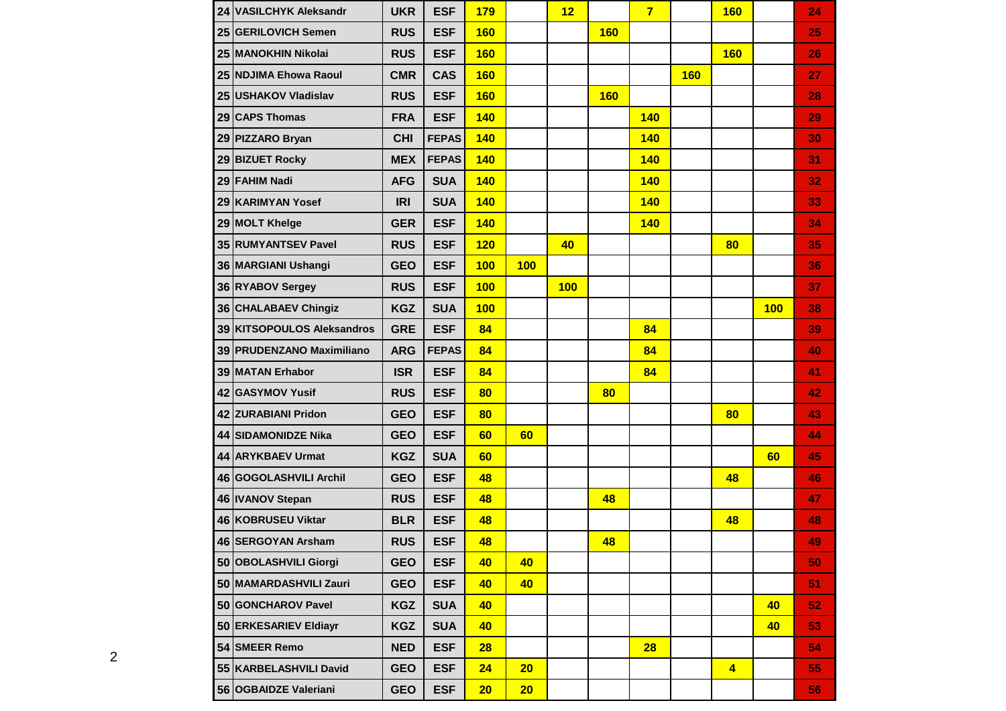| 24 VASILCHYK Aleksandr     | <b>UKR</b> | <b>ESF</b>   | 179        |     | 12  |            | $\overline{7}$ |            | <b>160</b>           |     | 24 |
|----------------------------|------------|--------------|------------|-----|-----|------------|----------------|------------|----------------------|-----|----|
| 25 GERILOVICH Semen        | <b>RUS</b> | <b>ESF</b>   | <b>160</b> |     |     | <b>160</b> |                |            |                      |     | 25 |
| 25 MANOKHIN Nikolai        | <b>RUS</b> | <b>ESF</b>   | <b>160</b> |     |     |            |                |            | <b>160</b>           |     | 26 |
| 25 NDJIMA Ehowa Raoul      | <b>CMR</b> | <b>CAS</b>   | <b>160</b> |     |     |            |                | <b>160</b> |                      |     | 27 |
| 25 USHAKOV Vladislav       | <b>RUS</b> | <b>ESF</b>   | <b>160</b> |     |     | <b>160</b> |                |            |                      |     | 28 |
| 29 CAPS Thomas             | <b>FRA</b> | <b>ESF</b>   | <b>140</b> |     |     |            | 140            |            |                      |     | 29 |
| 29 PIZZARO Bryan           | <b>CHI</b> | <b>FEPAS</b> | <b>140</b> |     |     |            | <b>140</b>     |            |                      |     | 30 |
| 29 BIZUET Rocky            | <b>MEX</b> | <b>FEPAS</b> | <b>140</b> |     |     |            | 140            |            |                      |     | 31 |
| 29 FAHIM Nadi              | <b>AFG</b> | <b>SUA</b>   | <b>140</b> |     |     |            | 140            |            |                      |     | 32 |
| 29 KARIMYAN Yosef          | <b>IRI</b> | <b>SUA</b>   | <b>140</b> |     |     |            | 140            |            |                      |     | 33 |
| 29 MOLT Khelge             | <b>GER</b> | <b>ESF</b>   | 140        |     |     |            | 140            |            |                      |     | 34 |
| 35 RUMYANTSEV Pavel        | <b>RUS</b> | <b>ESF</b>   | 120        |     | 40  |            |                |            | 80                   |     | 35 |
| 36 MARGIANI Ushangi        | <b>GEO</b> | <b>ESF</b>   | 100        | 100 |     |            |                |            |                      |     | 36 |
| 36 RYABOV Sergey           | <b>RUS</b> | <b>ESF</b>   | 100        |     | 100 |            |                |            |                      |     | 37 |
| 36 CHALABAEV Chingiz       | <b>KGZ</b> | <b>SUA</b>   | 100        |     |     |            |                |            |                      | 100 | 38 |
| 39 KITSOPOULOS Aleksandros | <b>GRE</b> | <b>ESF</b>   | 84         |     |     |            | 84             |            |                      |     | 39 |
| 39 PRUDENZANO Maximiliano  | <b>ARG</b> | <b>FEPAS</b> | 84         |     |     |            | 84             |            |                      |     | 40 |
| 39 MATAN Erhabor           | <b>ISR</b> | <b>ESF</b>   | 84         |     |     |            | 84             |            |                      |     | 41 |
| 42 GASYMOV Yusif           | <b>RUS</b> | <b>ESF</b>   | 80         |     |     | 80         |                |            |                      |     | 42 |
| 42 ZURABIANI Pridon        | <b>GEO</b> | <b>ESF</b>   | 80         |     |     |            |                |            | 80                   |     | 43 |
| 44 SIDAMONIDZE Nika        | <b>GEO</b> | <b>ESF</b>   | 60         | 60  |     |            |                |            |                      |     | 44 |
| 44 ARYKBAEV Urmat          | <b>KGZ</b> | <b>SUA</b>   | 60         |     |     |            |                |            |                      | 60  | 45 |
| 46 GOGOLASHVILI Archil     | <b>GEO</b> | <b>ESF</b>   | 48         |     |     |            |                |            | 48                   |     | 46 |
| 46   IVANOV Stepan         | <b>RUS</b> | <b>ESF</b>   | 48         |     |     | 48         |                |            |                      |     | 47 |
| 46 KOBRUSEU Viktar         | <b>BLR</b> | <b>ESF</b>   | 48         |     |     |            |                |            | 48                   |     | 48 |
| 46 SERGOYAN Arsham         | <b>RUS</b> | <b>ESF</b>   | 48         |     |     | 48         |                |            |                      |     | 49 |
| 50 OBOLASHVILI Giorgi      | <b>GEO</b> | <b>ESF</b>   | 40         | 40  |     |            |                |            |                      |     | 50 |
| 50 MAMARDASHVILI Zauri     | <b>GEO</b> | <b>ESF</b>   | 40         | 40  |     |            |                |            |                      |     | 51 |
| 50 GONCHAROV Pavel         | <b>KGZ</b> | <b>SUA</b>   | 40         |     |     |            |                |            |                      | 40  | 52 |
| 50 ERKESARIEV Eldiayr      | <b>KGZ</b> | <b>SUA</b>   | 40         |     |     |            |                |            |                      | 40  | 53 |
| 54 SMEER Remo              | <b>NED</b> | <b>ESF</b>   | 28         |     |     |            | 28             |            |                      |     | 54 |
| 55 KARBELASHVILI David     | <b>GEO</b> | <b>ESF</b>   | 24         | 20  |     |            |                |            | $\blacktriangleleft$ |     | 55 |
| 56 OGBAIDZE Valeriani      | <b>GEO</b> | <b>ESF</b>   | 20         | 20  |     |            |                |            |                      |     | 56 |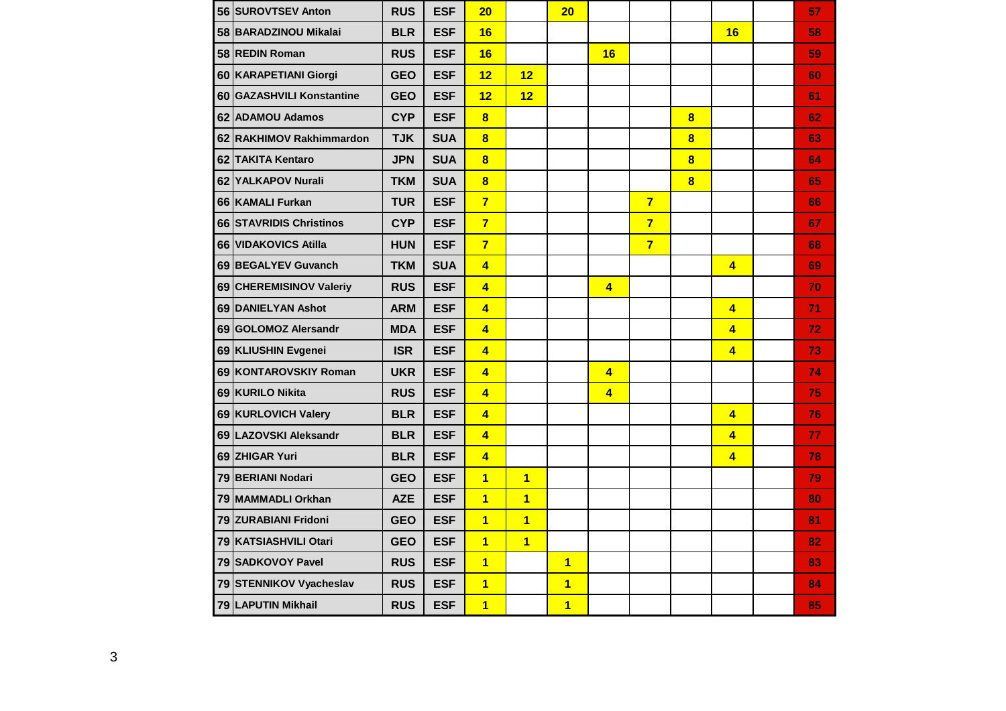| 56 SUROVTSEV Anton        | <b>RUS</b> | <b>ESF</b> | 20                      |                | 20                      |                         |                |                         |                         | 57 |
|---------------------------|------------|------------|-------------------------|----------------|-------------------------|-------------------------|----------------|-------------------------|-------------------------|----|
| 58 BARADZINOU Mikalai     | <b>BLR</b> | <b>ESF</b> | 16                      |                |                         |                         |                |                         | 16                      | 58 |
| 58 REDIN Roman            | <b>RUS</b> | <b>ESF</b> | 16                      |                |                         | 16                      |                |                         |                         | 59 |
| 60 KARAPETIANI Giorgi     | <b>GEO</b> | <b>ESF</b> | 12                      | 12             |                         |                         |                |                         |                         | 60 |
| 60 GAZASHVILI Konstantine | <b>GEO</b> | <b>ESF</b> | 12                      | 12             |                         |                         |                |                         |                         | 61 |
| 62 ADAMOU Adamos          | <b>CYP</b> | <b>ESF</b> | $\overline{\mathbf{8}}$ |                |                         |                         |                | 8                       |                         | 62 |
| 62 RAKHIMOV Rakhimmardon  | <b>TJK</b> | <b>SUA</b> | $\overline{\mathbf{8}}$ |                |                         |                         |                | $\overline{\mathbf{8}}$ |                         | 63 |
| 62 TAKITA Kentaro         | <b>JPN</b> | <b>SUA</b> | $\overline{\mathbf{8}}$ |                |                         |                         |                | $\overline{\mathbf{8}}$ |                         | 64 |
| 62 YALKAPOV Nurali        | <b>TKM</b> | <b>SUA</b> | $\overline{\mathbf{8}}$ |                |                         |                         |                | $\overline{\mathbf{8}}$ |                         | 65 |
| 66 KAMALI Furkan          | <b>TUR</b> | <b>ESF</b> | $\overline{7}$          |                |                         |                         | $\overline{7}$ |                         |                         | 66 |
| 66 STAVRIDIS Christinos   | <b>CYP</b> | <b>ESF</b> | $\overline{7}$          |                |                         |                         | $\overline{7}$ |                         |                         | 67 |
| 66 VIDAKOVICS Atilla      | <b>HUN</b> | <b>ESF</b> | $\overline{7}$          |                |                         |                         | $\overline{7}$ |                         |                         | 68 |
| 69 BEGALYEV Guvanch       | <b>TKM</b> | <b>SUA</b> | $\overline{4}$          |                |                         |                         |                |                         | $\overline{4}$          | 69 |
| 69 CHEREMISINOV Valeriy   | <b>RUS</b> | <b>ESF</b> | $\overline{\mathbf{4}}$ |                |                         | $\overline{\mathbf{4}}$ |                |                         |                         | 70 |
| 69 DANIELYAN Ashot        | <b>ARM</b> | <b>ESF</b> | $\overline{\mathbf{4}}$ |                |                         |                         |                |                         | 4                       | 71 |
| 69 GOLOMOZ Alersandr      | <b>MDA</b> | <b>ESF</b> | $\overline{4}$          |                |                         |                         |                |                         | $\overline{4}$          | 72 |
| 69 KLIUSHIN Evgenei       | <b>ISR</b> | <b>ESF</b> | $\overline{4}$          |                |                         |                         |                |                         | $\overline{4}$          | 73 |
| 69 KONTAROVSKIY Roman     | <b>UKR</b> | <b>ESF</b> | $\overline{4}$          |                |                         | $\overline{\mathbf{4}}$ |                |                         |                         | 74 |
| 69 KURILO Nikita          | <b>RUS</b> | <b>ESF</b> | $\overline{\mathbf{4}}$ |                |                         | $\overline{\mathbf{4}}$ |                |                         |                         | 75 |
| 69 KURLOVICH Valery       | <b>BLR</b> | <b>ESF</b> | $\overline{4}$          |                |                         |                         |                |                         | $\overline{4}$          | 76 |
| 69 LAZOVSKI Aleksandr     | <b>BLR</b> | <b>ESF</b> | $\overline{4}$          |                |                         |                         |                |                         | $\overline{\mathbf{4}}$ | 77 |
| 69 ZHIGAR Yuri            | <b>BLR</b> | <b>ESF</b> | $\overline{\mathbf{4}}$ |                |                         |                         |                |                         | $\overline{\mathbf{4}}$ | 78 |
| 79 BERIANI Nodari         | <b>GEO</b> | <b>ESF</b> | $\overline{1}$          | $\overline{1}$ |                         |                         |                |                         |                         | 79 |
| 79 MAMMADLI Orkhan        | <b>AZE</b> | <b>ESF</b> | $\overline{1}$          | $\overline{1}$ |                         |                         |                |                         |                         | 80 |
| 79 ZURABIANI Fridoni      | <b>GEO</b> | <b>ESF</b> | $\overline{1}$          | $\overline{1}$ |                         |                         |                |                         |                         | 81 |
| 79 KATSIASHVILI Otari     | <b>GEO</b> | <b>ESF</b> | $\overline{1}$          | $\overline{1}$ |                         |                         |                |                         |                         | 82 |
| 79 SADKOVOY Pavel         | <b>RUS</b> | <b>ESF</b> | $\overline{\mathbf{1}}$ |                | $\overline{\mathbf{1}}$ |                         |                |                         |                         | 83 |
| 79 STENNIKOV Vyacheslav   | <b>RUS</b> | <b>ESF</b> | $\overline{\mathbf{1}}$ |                | $\overline{\mathbf{1}}$ |                         |                |                         |                         | 84 |
| <b>79 LAPUTIN Mikhail</b> | <b>RUS</b> | <b>ESF</b> | $\overline{\mathbf{1}}$ |                | $\overline{\mathbf{1}}$ |                         |                |                         |                         | 85 |
|                           |            |            |                         |                |                         |                         |                |                         |                         |    |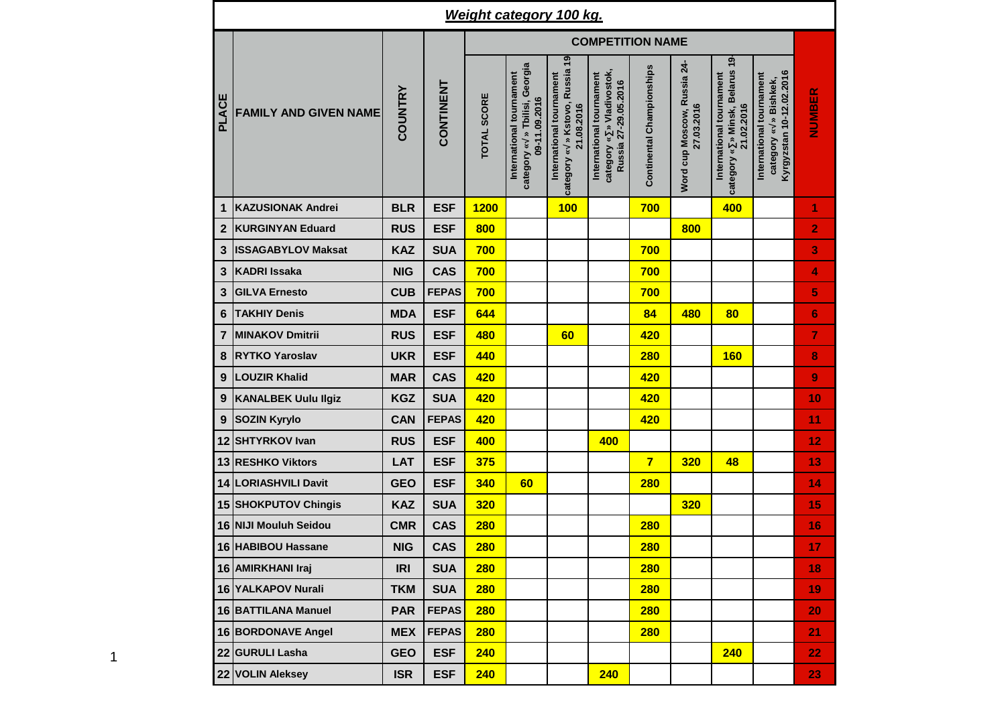|                  | <b>Weight category 100 kg.</b> |                |              |                         |                                                                            |                                                                          |                                                                               |                           |                                           |                                                                           |                                                                                  |                |  |  |  |
|------------------|--------------------------------|----------------|--------------|-------------------------|----------------------------------------------------------------------------|--------------------------------------------------------------------------|-------------------------------------------------------------------------------|---------------------------|-------------------------------------------|---------------------------------------------------------------------------|----------------------------------------------------------------------------------|----------------|--|--|--|
|                  |                                |                |              | <b>COMPETITION NAME</b> |                                                                            |                                                                          |                                                                               |                           |                                           |                                                                           |                                                                                  |                |  |  |  |
| PLACE            | <b>FAMILY AND GIVEN NAME</b>   | <b>COUNTRY</b> | CONTINENT    | <b>TOTAL SCORE</b>      | category « » Tbilisi, Georgia<br>International tournament<br>09-11.09.2016 | category « » Kstovo, Russia 19<br>International tournament<br>21.08.2016 | category « » Vladivostok,<br>International tournament<br>Russia 27-29.05.2016 | Continental Championships | Word cup Moscow, Russia 24-<br>27.03.2016 | category « » Minsk, Belarus 19-<br>International tournament<br>21.02.2016 | Kyrgyzstan 10-12.02.2016<br>International tournament<br>» Bishkek,<br>category « | NUMBER         |  |  |  |
| $\mathbf{1}$     | <b>KAZUSIONAK Andrei</b>       | <b>BLR</b>     | <b>ESF</b>   | <b>1200</b>             |                                                                            | 100                                                                      |                                                                               | 700                       |                                           | 400                                                                       |                                                                                  | 1              |  |  |  |
| $\mathbf{2}$     | <b>KURGINYAN Eduard</b>        | <b>RUS</b>     | <b>ESF</b>   | 800                     |                                                                            |                                                                          |                                                                               |                           | 800                                       |                                                                           |                                                                                  | 2              |  |  |  |
| $\mathbf{3}$     | <b>ISSAGABYLOV Maksat</b>      | <b>KAZ</b>     | <b>SUA</b>   | 700                     |                                                                            |                                                                          |                                                                               | 700                       |                                           |                                                                           |                                                                                  | 3              |  |  |  |
| $\mathbf{3}$     | <b>KADRI Issaka</b>            | <b>NIG</b>     | <b>CAS</b>   | 700                     |                                                                            |                                                                          |                                                                               | 700                       |                                           |                                                                           |                                                                                  | 4              |  |  |  |
| $\mathbf{3}$     | <b>GILVA Ernesto</b>           | <b>CUB</b>     | <b>FEPAS</b> | 700                     |                                                                            |                                                                          |                                                                               | 700                       |                                           |                                                                           |                                                                                  | 5              |  |  |  |
| $6\phantom{1}6$  | <b>TAKHIY Denis</b>            | <b>MDA</b>     | <b>ESF</b>   | 644                     |                                                                            |                                                                          |                                                                               | 84                        | 480                                       | 80                                                                        |                                                                                  | 6              |  |  |  |
| $\overline{7}$   | <b>MINAKOV Dmitrii</b>         | <b>RUS</b>     | <b>ESF</b>   | 480                     |                                                                            | 60                                                                       |                                                                               | 420                       |                                           |                                                                           |                                                                                  | $\overline{7}$ |  |  |  |
| 8                | <b>RYTKO Yaroslav</b>          | <b>UKR</b>     | <b>ESF</b>   | 440                     |                                                                            |                                                                          |                                                                               | <b>280</b>                |                                           | <b>160</b>                                                                |                                                                                  | 8              |  |  |  |
| $\boldsymbol{9}$ | <b>LOUZIR Khalid</b>           | <b>MAR</b>     | <b>CAS</b>   | 420                     |                                                                            |                                                                          |                                                                               | 420                       |                                           |                                                                           |                                                                                  | 9              |  |  |  |
| $\boldsymbol{9}$ | <b>KANALBEK Uulu Ilgiz</b>     | <b>KGZ</b>     | <b>SUA</b>   | 420                     |                                                                            |                                                                          |                                                                               | 420                       |                                           |                                                                           |                                                                                  | 10             |  |  |  |
| $\boldsymbol{9}$ | <b>SOZIN Kyrylo</b>            | <b>CAN</b>     | <b>FEPAS</b> | 420                     |                                                                            |                                                                          |                                                                               | 420                       |                                           |                                                                           |                                                                                  | 11             |  |  |  |
| 12               | <b>SHTYRKOV Ivan</b>           | <b>RUS</b>     | <b>ESF</b>   | 400                     |                                                                            |                                                                          | 400                                                                           |                           |                                           |                                                                           |                                                                                  | 12             |  |  |  |
| 13               | <b>RESHKO Viktors</b>          | <b>LAT</b>     | <b>ESF</b>   | 375                     |                                                                            |                                                                          |                                                                               | $\overline{7}$            | 320                                       | 48                                                                        |                                                                                  | 13             |  |  |  |
|                  | 14 LORIASHVILI Davit           | <b>GEO</b>     | <b>ESF</b>   | 340                     | 60                                                                         |                                                                          |                                                                               | <b>280</b>                |                                           |                                                                           |                                                                                  | 14             |  |  |  |
|                  | 15 SHOKPUTOV Chingis           | <b>KAZ</b>     | <b>SUA</b>   | <b>320</b>              |                                                                            |                                                                          |                                                                               |                           | <b>320</b>                                |                                                                           |                                                                                  | 15             |  |  |  |
|                  | 16 NIJI Mouluh Seidou          | <b>CMR</b>     | <b>CAS</b>   | <b>280</b>              |                                                                            |                                                                          |                                                                               | <b>280</b>                |                                           |                                                                           |                                                                                  | 16             |  |  |  |
|                  | 16 HABIBOU Hassane             | <b>NIG</b>     | <b>CAS</b>   | <b>280</b>              |                                                                            |                                                                          |                                                                               | <b>280</b>                |                                           |                                                                           |                                                                                  | 17             |  |  |  |
|                  | 16 AMIRKHANI Iraj              | <b>IRI</b>     | <b>SUA</b>   | 280                     |                                                                            |                                                                          |                                                                               | 280                       |                                           |                                                                           |                                                                                  | 18             |  |  |  |
|                  | 16 YALKAPOV Nurali             | <b>TKM</b>     | <b>SUA</b>   | 280                     |                                                                            |                                                                          |                                                                               | 280                       |                                           |                                                                           |                                                                                  | 19             |  |  |  |
|                  | 16 BATTILANA Manuel            | <b>PAR</b>     | <b>FEPAS</b> | <b>280</b>              |                                                                            |                                                                          |                                                                               | 280                       |                                           |                                                                           |                                                                                  | 20             |  |  |  |
|                  | 16 BORDONAVE Angel             | <b>MEX</b>     | <b>FEPAS</b> | <b>280</b>              |                                                                            |                                                                          |                                                                               | 280                       |                                           |                                                                           |                                                                                  | 21             |  |  |  |
|                  | 22 GURULI Lasha                | <b>GEO</b>     | <b>ESF</b>   | 240                     |                                                                            |                                                                          |                                                                               |                           |                                           | 240                                                                       |                                                                                  | 22             |  |  |  |
|                  | 22 VOLIN Aleksey               | <b>ISR</b>     | <b>ESF</b>   | 240                     |                                                                            |                                                                          | 240                                                                           |                           |                                           |                                                                           |                                                                                  | 23             |  |  |  |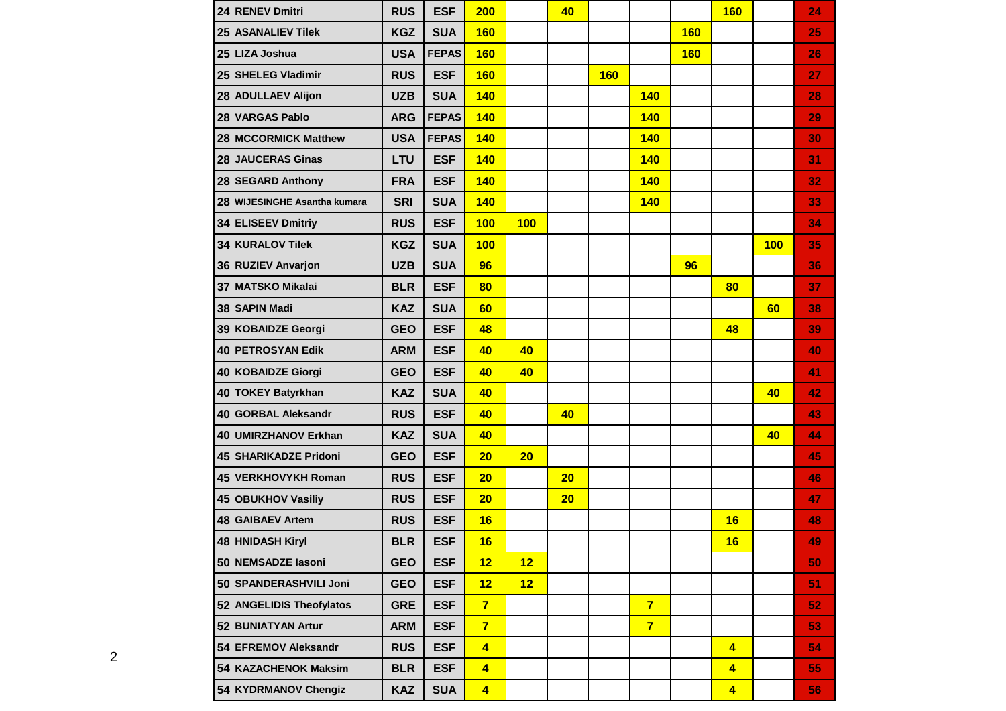| 24 RENEV Dmitri              | <b>RUS</b> | <b>ESF</b>   | 200                     |     | 40 |            |                |            | <b>160</b>              |     | 24 |
|------------------------------|------------|--------------|-------------------------|-----|----|------------|----------------|------------|-------------------------|-----|----|
| 25 ASANALIEV Tilek           | <b>KGZ</b> | <b>SUA</b>   | <b>160</b>              |     |    |            |                | <b>160</b> |                         |     | 25 |
| 25 LIZA Joshua               | <b>USA</b> | <b>FEPAS</b> | <b>160</b>              |     |    |            |                | <b>160</b> |                         |     | 26 |
| 25 SHELEG Vladimir           | <b>RUS</b> | <b>ESF</b>   | <b>160</b>              |     |    | <b>160</b> |                |            |                         |     | 27 |
| 28 ADULLAEV Alijon           | <b>UZB</b> | <b>SUA</b>   | 140                     |     |    |            | <b>140</b>     |            |                         |     | 28 |
| 28 VARGAS Pablo              | <b>ARG</b> | <b>FEPAS</b> | <b>140</b>              |     |    |            | <b>140</b>     |            |                         |     | 29 |
| 28 MCCORMICK Matthew         | <b>USA</b> | <b>FEPAS</b> | <b>140</b>              |     |    |            | 140            |            |                         |     | 30 |
| 28 JAUCERAS Ginas            | LTU        | <b>ESF</b>   | <b>140</b>              |     |    |            | <b>140</b>     |            |                         |     | 31 |
| 28 SEGARD Anthony            | <b>FRA</b> | <b>ESF</b>   | <b>140</b>              |     |    |            | <b>140</b>     |            |                         |     | 32 |
| 28 WIJESINGHE Asantha kumara | <b>SRI</b> | <b>SUA</b>   | <b>140</b>              |     |    |            | <b>140</b>     |            |                         |     | 33 |
| 34 ELISEEV Dmitriy           | <b>RUS</b> | <b>ESF</b>   | 100                     | 100 |    |            |                |            |                         |     | 34 |
| 34 KURALOV Tilek             | <b>KGZ</b> | <b>SUA</b>   | 100                     |     |    |            |                |            |                         | 100 | 35 |
| 36 RUZIEV Anvarjon           | <b>UZB</b> | <b>SUA</b>   | 96                      |     |    |            |                | 96         |                         |     | 36 |
| 37 MATSKO Mikalai            | <b>BLR</b> | <b>ESF</b>   | 80                      |     |    |            |                |            | 80                      |     | 37 |
| 38 SAPIN Madi                | <b>KAZ</b> | <b>SUA</b>   | 60                      |     |    |            |                |            |                         | 60  | 38 |
| 39 KOBAIDZE Georgi           | <b>GEO</b> | <b>ESF</b>   | 48                      |     |    |            |                |            | 48                      |     | 39 |
| 40 PETROSYAN Edik            | <b>ARM</b> | <b>ESF</b>   | 40                      | 40  |    |            |                |            |                         |     | 40 |
| 40 KOBAIDZE Giorgi           | <b>GEO</b> | <b>ESF</b>   | 40                      | 40  |    |            |                |            |                         |     | 41 |
| 40 TOKEY Batyrkhan           | <b>KAZ</b> | <b>SUA</b>   | 40                      |     |    |            |                |            |                         | 40  | 42 |
| 40 GORBAL Aleksandr          | <b>RUS</b> | <b>ESF</b>   | 40                      |     | 40 |            |                |            |                         |     | 43 |
| 40 UMIRZHANOV Erkhan         | <b>KAZ</b> | <b>SUA</b>   | 40                      |     |    |            |                |            |                         | 40  | 44 |
| <b>45 SHARIKADZE Pridoni</b> | <b>GEO</b> | <b>ESF</b>   | 20                      | 20  |    |            |                |            |                         |     | 45 |
| 45 VERKHOVYKH Roman          | <b>RUS</b> | <b>ESF</b>   | 20                      |     | 20 |            |                |            |                         |     | 46 |
| 45 OBUKHOV Vasiliy           | <b>RUS</b> | <b>ESF</b>   | 20                      |     | 20 |            |                |            |                         |     | 47 |
| 48 GAIBAEV Artem             | <b>RUS</b> | <b>ESF</b>   | 16                      |     |    |            |                |            | 16                      |     | 48 |
| 48 HNIDASH Kiryl             | <b>BLR</b> | <b>ESF</b>   | 16                      |     |    |            |                |            | 16                      |     | 49 |
| 50 NEMSADZE Iasoni           | <b>GEO</b> | <b>ESF</b>   | 12                      | 12  |    |            |                |            |                         |     | 50 |
| 50 SPANDERASHVILI Joni       | <b>GEO</b> | <b>ESF</b>   | 12                      | 12  |    |            |                |            |                         |     | 51 |
| 52 ANGELIDIS Theofylatos     | <b>GRE</b> | <b>ESF</b>   | $\overline{7}$          |     |    |            | $\overline{7}$ |            |                         |     | 52 |
| 52 BUNIATYAN Artur           | <b>ARM</b> | <b>ESF</b>   | $\overline{7}$          |     |    |            | $\overline{7}$ |            |                         |     | 53 |
| 54 EFREMOV Aleksandr         | <b>RUS</b> | <b>ESF</b>   | $\overline{\mathbf{4}}$ |     |    |            |                |            | $\overline{4}$          |     | 54 |
| 54 KAZACHENOK Maksim         | <b>BLR</b> | <b>ESF</b>   | $\overline{\mathbf{4}}$ |     |    |            |                |            | $\overline{4}$          |     | 55 |
| 54 KYDRMANOV Chengiz         | <b>KAZ</b> | <b>SUA</b>   | $\overline{\mathbf{4}}$ |     |    |            |                |            | $\overline{\mathbf{4}}$ |     | 56 |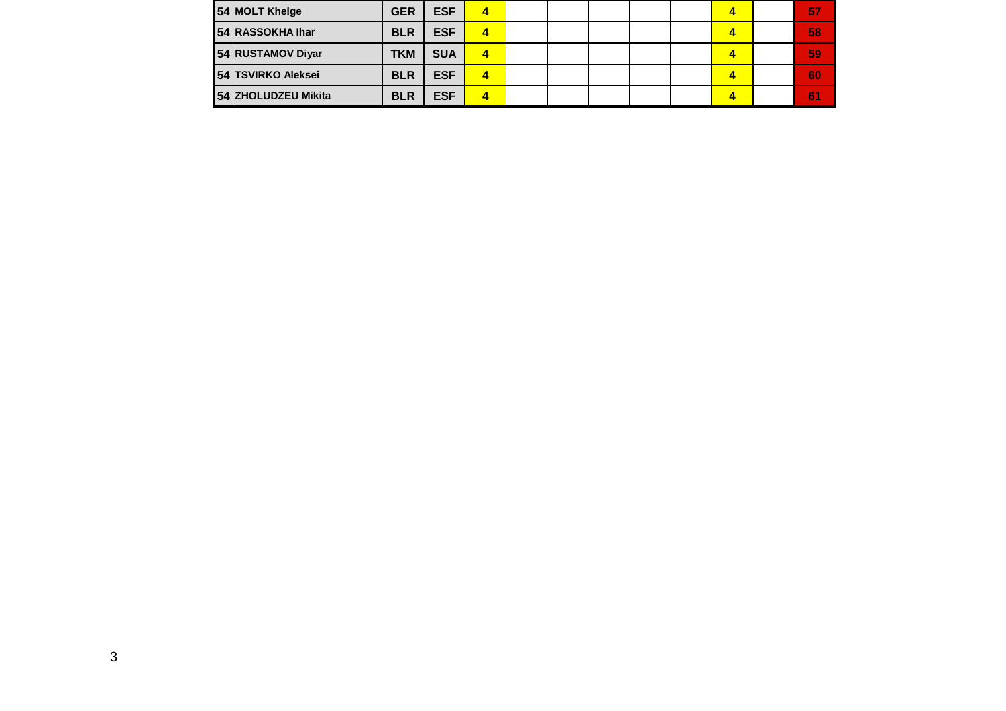| 54 MOLT Khelge      | <b>GER</b> | <b>ESF</b> | 4 |  |  |  | 87 |
|---------------------|------------|------------|---|--|--|--|----|
| 54 RASSOKHA Ihar    | <b>BLR</b> | <b>ESF</b> | 4 |  |  |  | 58 |
| 54 RUSTAMOV Diyar   | <b>TKM</b> | <b>SUA</b> | 4 |  |  |  | 59 |
| 54 TSVIRKO Aleksei  | <b>BLR</b> | <b>ESF</b> | 4 |  |  |  | 60 |
| 54 ZHOLUDZEU Mikita | <b>BLR</b> | <b>ESF</b> | 4 |  |  |  | 6. |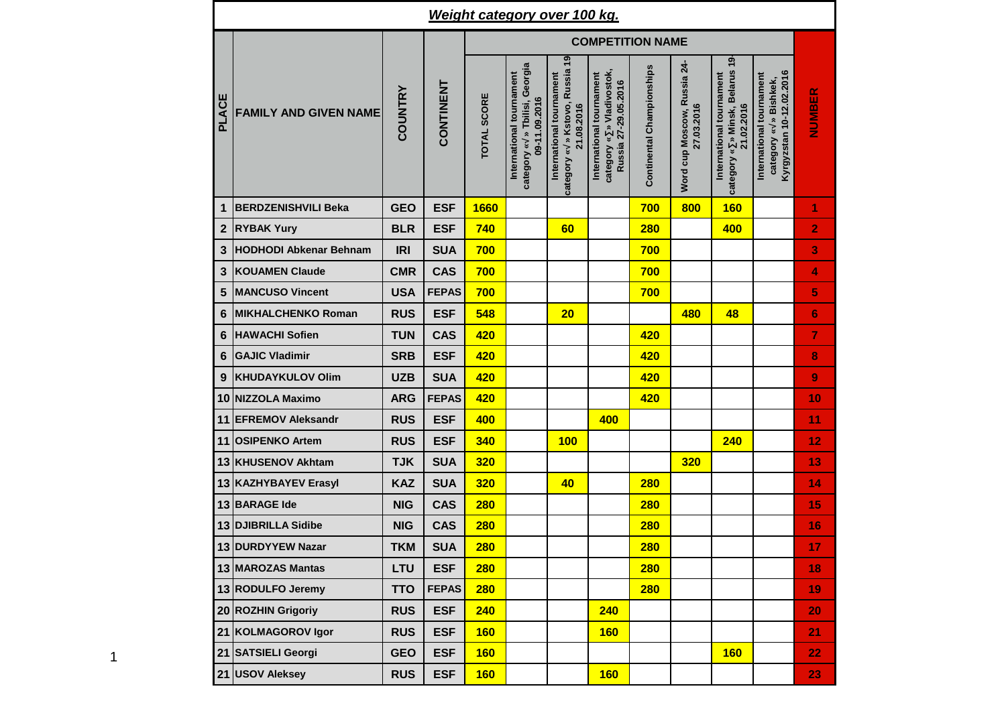| <u>Weight category over 100 kg.</u> |                               |            |              |                         |                                                                            |                                                                          |                                                                               |                           |                                           |                                                                             |                                                                                  |                |  |  |  |
|-------------------------------------|-------------------------------|------------|--------------|-------------------------|----------------------------------------------------------------------------|--------------------------------------------------------------------------|-------------------------------------------------------------------------------|---------------------------|-------------------------------------------|-----------------------------------------------------------------------------|----------------------------------------------------------------------------------|----------------|--|--|--|
|                                     |                               |            |              | <b>COMPETITION NAME</b> |                                                                            |                                                                          |                                                                               |                           |                                           |                                                                             |                                                                                  |                |  |  |  |
| PLACE                               | <b>FAMILY AND GIVEN NAME</b>  | COUNTRY    | CONTINENT    | <b>TOTAL SCORE</b>      | category « » Tbilisi, Georgia<br>International tournament<br>09-11.09.2016 | category « » Kstovo, Russia 19<br>International tournament<br>21.08.2016 | category « » Vladivostok,<br>International tournament<br>Russia 27-29.05.2016 | Continental Championships | Word cup Moscow, Russia 24-<br>27.03.2016 | » Minsk, Belarus 19<br>International tournament<br>21.02.2016<br>category « | Kyrgyzstan 10-12.02.2016<br>International tournament<br>» Bishkek,<br>category « | NUMBER         |  |  |  |
| 1                                   | <b>BERDZENISHVILI Beka</b>    | <b>GEO</b> | <b>ESF</b>   | 1660                    |                                                                            |                                                                          |                                                                               | 700                       | 800                                       | <b>160</b>                                                                  |                                                                                  | 1              |  |  |  |
| $\mathbf 2$                         | <b>RYBAK Yury</b>             | <b>BLR</b> | <b>ESF</b>   | 740                     |                                                                            | 60                                                                       |                                                                               | 280                       |                                           | 400                                                                         |                                                                                  | $\overline{2}$ |  |  |  |
| 3                                   | <b>HODHODI Abkenar Behnam</b> | <b>IRI</b> | <b>SUA</b>   | 700                     |                                                                            |                                                                          |                                                                               | 700                       |                                           |                                                                             |                                                                                  | 3              |  |  |  |
| 3                                   | <b>KOUAMEN Claude</b>         | <b>CMR</b> | <b>CAS</b>   | 700                     |                                                                            |                                                                          |                                                                               | 700                       |                                           |                                                                             |                                                                                  | 4              |  |  |  |
| 5                                   | <b>MANCUSO Vincent</b>        | <b>USA</b> | <b>FEPAS</b> | 700                     |                                                                            |                                                                          |                                                                               | 700                       |                                           |                                                                             |                                                                                  | 5              |  |  |  |
| 6                                   | <b>MIKHALCHENKO Roman</b>     | <b>RUS</b> | <b>ESF</b>   | 548                     |                                                                            | 20                                                                       |                                                                               |                           | 480                                       | 48                                                                          |                                                                                  | 6              |  |  |  |
| 6                                   | <b>HAWACHI Sofien</b>         | <b>TUN</b> | <b>CAS</b>   | 420                     |                                                                            |                                                                          |                                                                               | 420                       |                                           |                                                                             |                                                                                  | 7              |  |  |  |
| 6                                   | <b>GAJIC Vladimir</b>         | <b>SRB</b> | <b>ESF</b>   | 420                     |                                                                            |                                                                          |                                                                               | 420                       |                                           |                                                                             |                                                                                  | 8              |  |  |  |
| 9                                   | <b>KHUDAYKULOV Olim</b>       | <b>UZB</b> | <b>SUA</b>   | 420                     |                                                                            |                                                                          |                                                                               | 420                       |                                           |                                                                             |                                                                                  | 9              |  |  |  |
| 10                                  | <b>NIZZOLA Maximo</b>         | <b>ARG</b> | <b>FEPAS</b> | 420                     |                                                                            |                                                                          |                                                                               | 420                       |                                           |                                                                             |                                                                                  | 10             |  |  |  |
| 11                                  | <b>EFREMOV Aleksandr</b>      | <b>RUS</b> | <b>ESF</b>   | 400                     |                                                                            |                                                                          | 400                                                                           |                           |                                           |                                                                             |                                                                                  | 11             |  |  |  |
| 11                                  | <b>OSIPENKO Artem</b>         | <b>RUS</b> | <b>ESF</b>   | 340                     |                                                                            | 100                                                                      |                                                                               |                           |                                           | 240                                                                         |                                                                                  | 12             |  |  |  |
| 13                                  | <b>KHUSENOV Akhtam</b>        | <b>TJK</b> | <b>SUA</b>   | 320                     |                                                                            |                                                                          |                                                                               |                           | 320                                       |                                                                             |                                                                                  | 13             |  |  |  |
|                                     | 13 KAZHYBAYEV Erasyl          | <b>KAZ</b> | <b>SUA</b>   | 320                     |                                                                            | 40                                                                       |                                                                               | <b>280</b>                |                                           |                                                                             |                                                                                  | 14             |  |  |  |
| 13                                  | <b>BARAGE Ide</b>             | <b>NIG</b> | <b>CAS</b>   | <b>280</b>              |                                                                            |                                                                          |                                                                               | <b>280</b>                |                                           |                                                                             |                                                                                  | 15             |  |  |  |
|                                     | 13 DJIBRILLA Sidibe           | <b>NIG</b> | <b>CAS</b>   | <b>280</b>              |                                                                            |                                                                          |                                                                               | <b>280</b>                |                                           |                                                                             |                                                                                  | 16             |  |  |  |
|                                     | 13 DURDYYEW Nazar             | <b>TKM</b> | <b>SUA</b>   | <b>280</b>              |                                                                            |                                                                          |                                                                               | <b>280</b>                |                                           |                                                                             |                                                                                  | 17             |  |  |  |
|                                     | 13 MAROZAS Mantas             | LTU        | <b>ESF</b>   | 280                     |                                                                            |                                                                          |                                                                               | 280                       |                                           |                                                                             |                                                                                  | 18             |  |  |  |
|                                     | 13 RODULFO Jeremy             | <b>TTO</b> | <b>FEPAS</b> | 280                     |                                                                            |                                                                          |                                                                               | <b>280</b>                |                                           |                                                                             |                                                                                  | 19             |  |  |  |
|                                     | 20 ROZHIN Grigoriy            | <b>RUS</b> | <b>ESF</b>   | 240                     |                                                                            |                                                                          | 240                                                                           |                           |                                           |                                                                             |                                                                                  | 20             |  |  |  |
|                                     | 21 KOLMAGOROV Igor            | <b>RUS</b> | <b>ESF</b>   | 160                     |                                                                            |                                                                          | <b>160</b>                                                                    |                           |                                           |                                                                             |                                                                                  | 21             |  |  |  |
|                                     | 21 SATSIELI Georgi            | <b>GEO</b> | <b>ESF</b>   | 160                     |                                                                            |                                                                          |                                                                               |                           |                                           | <b>160</b>                                                                  |                                                                                  | 22             |  |  |  |
|                                     | 21 USOV Aleksey               | <b>RUS</b> | <b>ESF</b>   | 160                     |                                                                            |                                                                          | <b>160</b>                                                                    |                           |                                           |                                                                             |                                                                                  | 23             |  |  |  |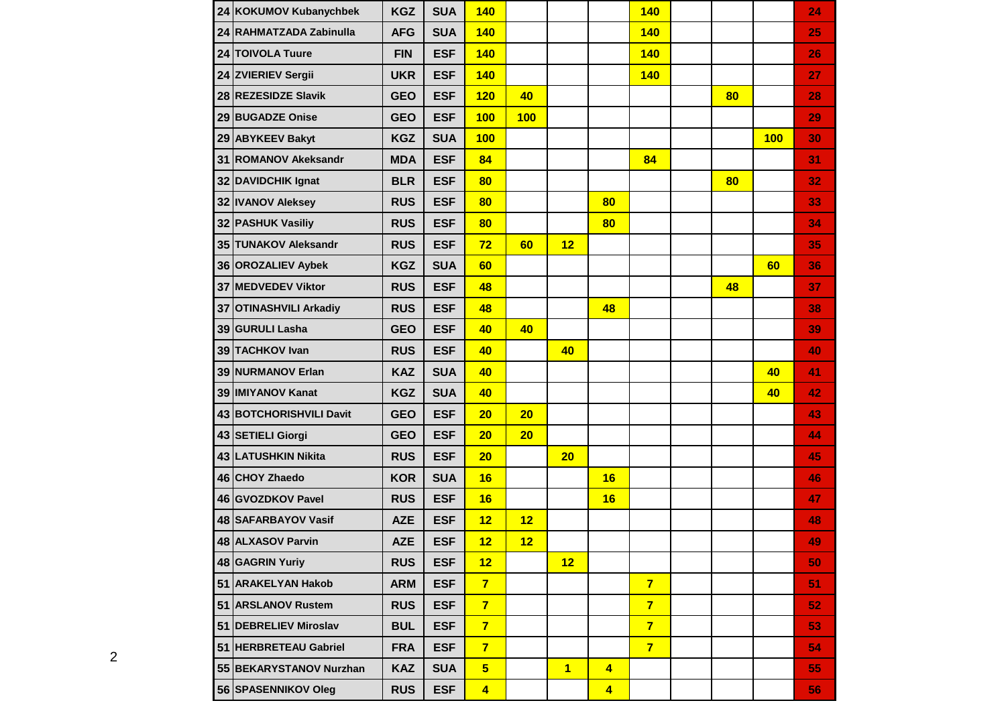|    | 24 KOKUMOV Kubanychbek     | <b>KGZ</b> | <b>SUA</b> | 140                     |     |                |                         | <b>140</b>     |    |     | 24 |
|----|----------------------------|------------|------------|-------------------------|-----|----------------|-------------------------|----------------|----|-----|----|
|    | 24 RAHMATZADA Zabinulla    | <b>AFG</b> | <b>SUA</b> | 140                     |     |                |                         | 140            |    |     | 25 |
|    | 24 TOIVOLA Tuure           | <b>FIN</b> | <b>ESF</b> | 140                     |     |                |                         | <b>140</b>     |    |     | 26 |
|    | 24 ZVIERIEV Sergii         | <b>UKR</b> | <b>ESF</b> | <b>140</b>              |     |                |                         | <b>140</b>     |    |     | 27 |
|    | 28 REZESIDZE Slavik        | <b>GEO</b> | <b>ESF</b> | 120                     | 40  |                |                         |                | 80 |     | 28 |
|    | 29 BUGADZE Onise           | <b>GEO</b> | <b>ESF</b> | 100                     | 100 |                |                         |                |    |     | 29 |
|    | 29 ABYKEEV Bakyt           | <b>KGZ</b> | <b>SUA</b> | 100                     |     |                |                         |                |    | 100 | 30 |
| 31 | <b>ROMANOV Akeksandr</b>   | <b>MDA</b> | <b>ESF</b> | 84                      |     |                |                         | 84             |    |     | 31 |
|    | 32 DAVIDCHIK Ignat         | <b>BLR</b> | <b>ESF</b> | 80                      |     |                |                         |                | 80 |     | 32 |
|    | 32 IVANOV Aleksey          | <b>RUS</b> | <b>ESF</b> | 80                      |     |                | 80                      |                |    |     | 33 |
|    | 32 PASHUK Vasiliy          | <b>RUS</b> | <b>ESF</b> | 80                      |     |                | 80                      |                |    |     | 34 |
|    | 35 TUNAKOV Aleksandr       | <b>RUS</b> | <b>ESF</b> | 72                      | 60  | 12             |                         |                |    |     | 35 |
|    | 36 OROZALIEV Aybek         | <b>KGZ</b> | <b>SUA</b> | 60                      |     |                |                         |                |    | 60  | 36 |
|    | 37 MEDVEDEV Viktor         | <b>RUS</b> | <b>ESF</b> | 48                      |     |                |                         |                | 48 |     | 37 |
| 37 | <b>OTINASHVILI Arkadiy</b> | <b>RUS</b> | <b>ESF</b> | 48                      |     |                | 48                      |                |    |     | 38 |
|    | 39 GURULI Lasha            | <b>GEO</b> | <b>ESF</b> | 40                      | 40  |                |                         |                |    |     | 39 |
|    | 39 TACHKOV Ivan            | <b>RUS</b> | <b>ESF</b> | 40                      |     | 40             |                         |                |    |     | 40 |
|    | 39 NURMANOV Erlan          | <b>KAZ</b> | <b>SUA</b> | 40                      |     |                |                         |                |    | 40  | 41 |
|    | 39 IMIYANOV Kanat          | <b>KGZ</b> | <b>SUA</b> | 40                      |     |                |                         |                |    | 40  | 42 |
|    | 43 BOTCHORISHVILI Davit    | <b>GEO</b> | <b>ESF</b> | 20                      | 20  |                |                         |                |    |     | 43 |
|    | 43 SETIELI Giorgi          | <b>GEO</b> | <b>ESF</b> | 20                      | 20  |                |                         |                |    |     | 44 |
|    | 43 LATUSHKIN Nikita        | <b>RUS</b> | <b>ESF</b> | 20                      |     | 20             |                         |                |    |     | 45 |
|    | 46 CHOY Zhaedo             | <b>KOR</b> | <b>SUA</b> | 16                      |     |                | 16                      |                |    |     | 46 |
|    | 46 GVOZDKOV Pavel          | <b>RUS</b> | <b>ESF</b> | 16                      |     |                | 16                      |                |    |     | 47 |
|    | 48 SAFARBAYOV Vasif        | <b>AZE</b> | <b>ESF</b> | 12                      | 12  |                |                         |                |    |     | 48 |
|    | 48 ALXASOV Parvin          | <b>AZE</b> | <b>ESF</b> | 12                      | 12  |                |                         |                |    |     | 49 |
|    | 48 GAGRIN Yuriy            | <b>RUS</b> | <b>ESF</b> | 12                      |     | 12             |                         |                |    |     | 50 |
|    | 51 ARAKELYAN Hakob         | <b>ARM</b> | <b>ESF</b> | $\overline{7}$          |     |                |                         | $\overline{7}$ |    |     | 51 |
|    | 51 ARSLANOV Rustem         | <b>RUS</b> | <b>ESF</b> | $\overline{7}$          |     |                |                         | $7\phantom{.}$ |    |     | 52 |
|    | 51 DEBRELIEV Miroslav      | <b>BUL</b> | <b>ESF</b> | $\overline{7}$          |     |                |                         | $\overline{7}$ |    |     | 53 |
|    | 51 HERBRETEAU Gabriel      | <b>FRA</b> | <b>ESF</b> | $\overline{7}$          |     |                |                         | $\overline{7}$ |    |     | 54 |
|    | 55 BEKARYSTANOV Nurzhan    | <b>KAZ</b> | <b>SUA</b> | 5 <sub>5</sub>          |     | $\overline{1}$ | $\overline{4}$          |                |    |     | 55 |
|    | 56 SPASENNIKOV Oleg        | <b>RUS</b> | <b>ESF</b> | $\overline{\mathbf{4}}$ |     |                | $\overline{\mathbf{4}}$ |                |    |     | 56 |